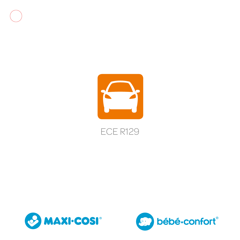







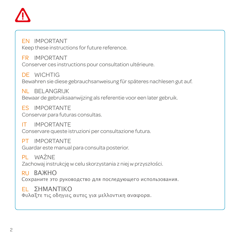

EN IMPORTANT Keep these instructions for future reference.

FR IMPORTANT Conserver ces instructions pour consultation ultérieure.

DE WICHTIG Bewahren sie diese gebrauchsanweisung für späteres nachlesen gut auf.

NL BELANGRIJK Bewaar de gebruiksaanwijzing als referentie voor een later gebruik.

ES IMPORTANTE Conservar para futuras consultas.

IT IMPORTANTE Conservare queste istruzioni per consultazione futura.

PT IMPORTANTE Guardar este manual para consulta posterior.

PL WAŻNE Zachowaj instrukcję w celu skorzystania z niej w przyszłości.

RU RAWHO Сохраните это руководство для последующего использования.

EL ΣΗΜΑΝΤΙΚΟΦυλαξτε τις οδηγιες αυτες για μελλοντικη αναφορα.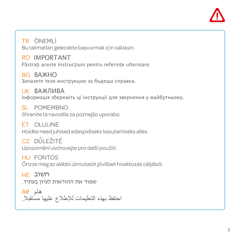

TR ÖNEMLİ Bu talimatlari gelecekte başvurmak için saklayin.

RO IMPORTANT Păstrați aceste instrucțiuni pentru referințe ulterioare.

BG ВАЖНО Запазете тези инструкции за бъдеща справка.

UK ВАЖЛИВА Інформація збережіть ці інструкції для звернення у майбутньому.

SL POMEMBNO Shranite ta navodila za poznejšo uporabo.

Hoidke need juhised edaspidiseks kasutamiseks alles. ET OLULINE

CZ DŮLEŽITÉ Upozornění uschovejte pro další použití.

HU FONTOS Őrizze meg az alábbi útmutatót jövőbeli hivatkozás céljából.

HE חשובשמור את ההוראות לעיון בעתיד.

احتفظ بهذه التعليمات لإلطالع عليها مستقبال. هام AR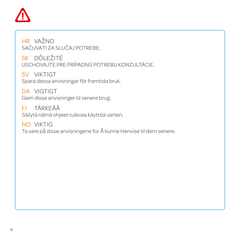

HR VAŽNO SAČUVATI ZA SLUČAJ POTREBE.

SK DÔLEŽITÉ USCHOVAJTE PRE PRÍPADNÚ POTREBU KONZULTÁCIE.

SV VIKTIGT Spara dessa anvisningar för framtida bruk.

DA VIGTIGT Gem disse anvisninger til senere brug.

FI TÄRKEÄÄ Säilytä nämä ohjeet tulevaa käyttöä varten.

NO VIKTIG Ta vare på disse anvisningene for Å kunne Henvise til dem senere.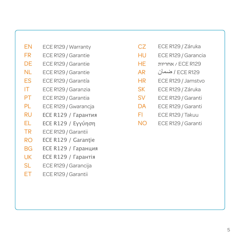- EN ECE R129 / Warranty
- FR ECE R129 / Garantie
- DE ECE R129 / Garantie
- NL ECE R129 / Garantie
- ES ECE R129 / Garantía
- IT ECE R129 / Garanzia
- PT ECE R129 / Garantia
- PL ECE R129 / Gwarancja
- RU ECE R129 / Гарантия
- EL ECE R129 / Εγγύηση
- TR ECE R129 / Garantii
- RO<sub>1</sub> ECE R129 / Garantie
- **BG** ECE R129 / Гаранция
- UK ECE R129 / Гарантія
- SL<sub>3</sub> ECE R129 / Garancija
- ET ECE R129 / Garantii
- CZ. ECE R129 / Záruka
- HU<sub>1</sub> ECE R129 / Garancia
- HE אחריות / ECE R129
- AR ضمان / ECE R129
- HR ECE R129 / Jamstvo
- SK ECE R129 / Záruka
- SV ECE R129 / Garanti
- $\overline{D}A$ ECE R129 / Garanti
- FI<sub>11</sub> ECE R129 / Takuu
- $N<sub>O</sub>$ ECE R129 / Garanti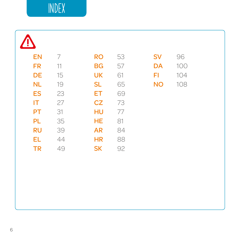# Index

| <b>EN</b> | $\overline{\phantom{a}}$   | <b>RO</b> | 53     | <b>SV</b> | 96  |  |
|-----------|----------------------------|-----------|--------|-----------|-----|--|
| <b>FR</b> | $\left\vert \right\rangle$ | <b>BG</b> | 57     | DA        | 100 |  |
| DE        | 15                         | <b>UK</b> | 61     | FI        | 104 |  |
| NL        | $10$                       | <b>SL</b> | 65     | <b>NO</b> | 108 |  |
| <b>ES</b> | 23                         | ET        | 69     |           |     |  |
| IT        | 27                         | CZ        | 73     |           |     |  |
| PT        | 31                         | HU        | $77\,$ |           |     |  |
| PL        | 35                         | HE        | 81     |           |     |  |
| <b>RU</b> | 39                         | <b>AR</b> | 84     |           |     |  |
| <b>EL</b> | 44                         | <b>HR</b> | 88     |           |     |  |
| <b>TR</b> | 49                         | <b>SK</b> | 92     |           |     |  |
|           |                            |           |        |           |     |  |
|           |                            |           |        |           |     |  |
|           |                            |           |        |           |     |  |
|           |                            |           |        |           |     |  |
|           |                            |           |        |           |     |  |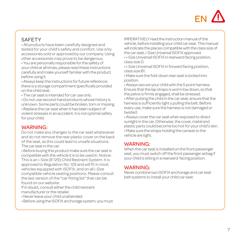

## **SAFFTY**

• All products have been carefully designed and tested for your child's safety and comfort. Use only accessories sold or approved by our company. Using other accessories may prove to be dangerous.

• You are personally responsible for the safety of your child at all times, please read these instructions carefully and make yourself familiar with the product before using it.

• Always keep the instructions for future reference; there is a storage compartment specifically provided on the child seat.

• The car seat is intended for car use only.

• Do not use second-hand products whose history is unknown. Some parts could be broken, torn or missing. • Replace the car seat when it has been subject of violent stresses in an accident: it is not optimal safety for your child.

#### WARNING:

Do not make any changes to the car seat whatsoever and do not remove the rear plastic cover on the back of the seat, as this could lead to unsafe situations. The car seat in the car:

• Before buying this product make sure the car seat is compatible with the vehicle it is to be used in. Notice: This is an i-Size (R 129) Child Restraint System. It is approved to Regulation No. 129 and will fit in most vehicles equipped with ISOFIX, and on all i-Size compatible vehicle seating positions. Please consult the last version of the "car fitting list" that can be found on our website.

If in doubt, consult either the child restraint manufacturer or the retailer.

- Never leave your child unattended.
- Before using the ISOFIX anchorage system, you must

IMPERATIVELY read the instruction manual of the vehicle, before installing your child car seat. This manual will indicate the places compatible with the class size of the car seat, i-Size Universal ISOFIX approved.

• i-Size Universal ISOFIX in rearward facing position, class size D.

• i-Size Universal ISOFIX in forward facing position, class size B1.

• Make sure the fold-down rear seat is locked into position.

• Always secure your child with the 5 point harness. Ensure that the lap straps is worm low down, so that the pelvis is firmly engaged, shall be stressed.

• After putting the child in the car seat, ensure that the harness is sufficiently tight y pulling the belt. Before every use, make sure the harness is not damaged or twisted.

• Always cover the car seat when exposed to direct sunlight in the car. Otherwise, the cover, metal and plastic parts could become too hot for your child's skin. • Make sure the straps holding the carseat to the vehicle are tight.

### WARNING:

When the car seat is installed on the front passenger seat, you must switch off the front passenger airbag if your child is sitting in a rearward-facing position.

### WARNING:

Never combine two ISOFIX anchorage and car seat belt systems to install your child car seat.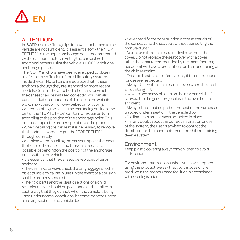# EN

## ATTENTION:

In ISOFIX use the fitting clips for lower anchorage to the vehicle are not sufficient. It is essential to fix the "TOP TETHER" to the upper anchorage point recommended by the car manufacturer. Fitting the car seat with additional tethers using the vehicle's ISOFIX additional anchorage points.

The ISOFIX anchors have been developed to obtain a safe and easy fixation of the child safety systems inside the car. Not all cars are equipped with these anchors although they are standard on more recent models. Consult the attached list of cars for which the car seat can be installed correctly (you can also consult additional updates of this list on the website www.maxi-cosi.com or www.bebeconfort.com). • When installing the seat in the rear-facing position, the belt of the "TOP TETHER" can turn one quarter turn according to the position of the anchorage point. This does not impair the proper operation of the product. • When installing the car seat, it is necessary to remove the headrest in order to put the "TOP TETHER" through correctly.

• Warning: when installing the car seat, spaces between the base of the car seat and the vehicle seat are possible depending on the position of the anchorage points within the vehicle.

• It is essential that the car seat be replaced after an accident.

• The user must always check that any luggage or other objects liable to cause injuries in the event of a collision shall be properly secured.

• The rigid parts and the plastic sections of a child restraint device should be positioned and installed in such a way that they cannot, when the vehicle is being used under normal conditions, become trapped under a moving seat or in the vehicle door.

• Never modify the construction or the materials of the car seat and the seat belt without consulting the manufacturer.

• Do not use the child restraint device without the cover. Do not replace the seat cover with a cover other than that recommended by the manufacturer, because it will have a direct effect on the functioning of the child restraint.

• This child restraint is effective only if the instructions for use are respected.

• Always fasten the child restraint even when the child is not sitting in it.

• Never place heavy objects on the rear parcel shelf, to avoid the danger of projectiles in the event of an accident.

• Always check that no part of the seat or the harness is trapped under a seat or in the vehicle door.

• Folding seats must always be locked in place.

• If in any doubt about the correct installation or use of the system, the user is advised to contact the distributor or the manufacturer of the child restraining device system.

### Environment

Keep plastic covering away from children to avoid suffocation.

For environmental reasons, when you have stopped using this product, we ask that you dispose of the product in the proper waste facilities in accordance with local legislation.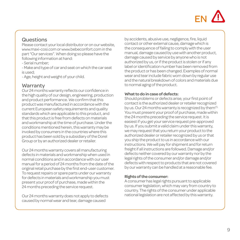

#### Questions

Please contact your local distributor or on our website, www.maxi-cosi.com or www.bebeconfort.com in the part "Our services". When doing so please have the following information at hand:

- Serial number;

- Make and type of car and seat on which the car seat is used;

- Age, height and weight of your child.

#### **Warranty**

Our 24 months warranty reflects our confidence in the high quality of our design, engineering, production and product performance. We confirm that this product was manufactured in accordance with the current European safety requirements and quality standards which are applicable to this product, and that this product is free from defects on materials and workmanship at the time of purchase. Under the conditions mentioned herein, this warranty may be invoked by consumers in the countries where this product has been sold by a subsidiary of the Dorel Group or by an authorized dealer or retailer.

Our 24 months warranty covers all manufacturing defects in materials and workmanship when used in normal conditions and in accordance with our user manual for a period of 24 months from the date of the original retail purchase by the first end-user customer. To request repairs or spare parts under our warranty for defects in materials and workmanship you must present your proof of purchase, made within the 24 months preceding the service request.

Our 24 months warranty does not apply to defects caused by normal wear and tear, damage caused

by accidents, abusive use, negligence, fire, liquid contact or other external cause, damage which is the consequence of failing to comply with the user manual, damage caused by use with another product damage caused by service by anyone who is not authorized by us, or if the product is stolen or if any label or identification number has been removed from the product or has been changed. Examples of normal wear and tear include fabric worn down by regular use and the natural breakdown of colors and materials due to normal aging of the product.

#### **What to do in case of defects:**

Should problems or defects arise, your first point of contact is the authorized dealer or retailer recognized by us. Our 24 months warranty is recognized by them(1). You must present your proof of purchase, made within the 24 months preceding the service request. It is easiest if you get your service request pre-approved by us. If you submit a valid claim under this warranty, we may request that you return your product to the authorized dealer or retailer recognized by us or that you ship the product to us in accordance with our instructions. We will pay for shipment and for return freight if all instructions are followed. Damage and/or defects neither covered by our warranty nor by the legal rights of the consumer and/or damage and/or defects with respect to products that are not covered by our warranty can be handled at a reasonable fee.

#### **Rights of the consumer:**

A consumer has legal rights pursuant to applicable consumer legislation, which may vary from country to country. The rights of the consumer under applicable national legislation are not affected by this warranty.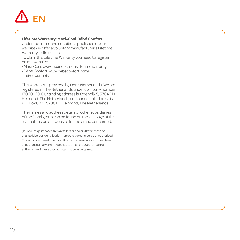# EN

#### **Lifetime Warranty: Maxi-Cosi, Bébé Confort**

Under the terms and conditions published on our website we offer a voluntary manufacturer's Lifetime Warranty to first users.

To claim this Lifetime Warranty you need to register on our website:

• Maxi-Cosi: www.maxi-cosi.com/lifetimewarranty

• Bébé Confort: www.bebeconfort.com/ lifetimewarranty

This warranty is provided by Dorel Netherlands. We are registered in The Netherlands under company number 17060920. Our trading address is Korendijk 5, 5704 RD Helmond, The Netherlands, and our postal address is P.O. Box 6071, 5700 ET Helmond, The Netherlands.

The names and address details of other subsidiaries of the Dorel group can be found on the last page of this manual and on our website for the brand concerned.

(1) Products purchased from retailers or dealers that remove or change labels or identification numbers are considered unauthorized. Products purchased from unauthorized retailers are also considered unauthorized. No warranty applies to these products since the authenticity of these products cannot be ascertained.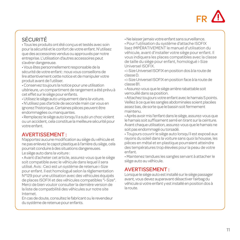

# SÉCURITÉ

• Tous les produits ont été conçus et testés avec soin pour la sécurité et le confort de votre enfant. N'utilisez que des accessoires vendus ou approuvés par notre entreprise. L'utilisation d'autres accessoires peut s'avérer dangereuse.

• Vous êtes personnellement responsable de la sécurité de votre enfant : nous vous conseillons de lire attentivement cette notice et de manipuler votre produit avant de l'utiliser.

• Conservez toujours la notice pour une utilisation ultérieure, un compartiment de rangement a été prévu à cet effet sur le siège pour enfants.

- Utilisez le siège auto uniquement dans la voiture.
- N'utilisez pas d'article de seconde main car vous en ignorez l'historique. Certaines pièces peuvent être endommagées ou manquantes.

• Remplacez le siège auto lorsqu'il a subi un choc violent ou un accident, cela constitue la meilleure sécurité pour votre enfant.

#### AVERTISSEMENT :

N'apportez aucune modification au siège du véhicule et ne pas enlevez le capot plastique à l'arrière du siège, cela pourrait conduire à des situations dangereuses. Le siège auto dans la voiture :

• Avant d'acheter cet article, assurez-vous que le siège soit compatible avec le véhicule dans lequel il sera utilisé. Avis : Ceci est un système de retenue i-Size pour enfant. Il est homologué selon la règlementation N°129 pour une utilisation avec des véhicules équipés de places ISOFIX et des véhicules compatibles "i-Size". Merci de bien vouloir consulter la dernière version de la liste de compatbilité des véhicules sur notre site Internet.

En cas de doute, consultez le fabricant ou le revendeur du système de retenue pour enfants.

• Ne laisser jamais votre enfant sans surveillance.

• Pour l'utilisation du système d'attache ISOFIX lisez IMPÉRATIVEMENT le manuel d'utilisation du véhicule, avant d'installer votre siège pour enfant. Il vous indiquera les places compatibles avec la classe de taille du siège pour enfant, homologué i-Size Universel ISOFIX.

• i-Size Universel ISOFIX en position dos à la route de classe D.

• i-Size Universel ISOFIX en position face à la route de classe B1.

• Assurez-vous que le siège arrière rabattable soit verrouillé dans sa position.

• Attachez toujours votre enfant avec le harnais 5 points. Veillez à ce que les sangles abdominales soient placées assez bas, de sorte que le bassin soit fermement maintenu.

• Après avoir mis l'enfant dans le siège, assurez-vous que le harnais soit suffisament serré en tirant sur la ceinture. Avant chaque utilisation, assurez-vous que le harnais ne soit pas endommagé ou torsadé.

• Toujours couvrir le siège auto lorsqu'il est exposé aux rayons du soleil dans la voiture sans quoi la housse, les pièces en métal et en plastique pourraient atteindre des températures trop élevées pour la peau de votre enfant.

• Maintenez tendues les sangles servant à attacher le siège auto au véhicule.

### AVERTISSEMENT :

Lorsque le siège auto est installé sur le siège passager avant, vous devez auparavant désactiver l'airbag du véhicule si votre enfant y est installé en position dos à la route.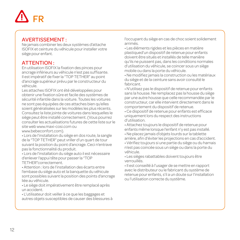

#### AVERTISSEMENT :

Ne jamais combiner les deux systèmes d'attache ISOFIX et ceinture du véhicule pour installer votre siège pour enfant.

## ATTENTION :

En utilisation ISOFIX la fixation des pinces pour ancrage inférieurs au véhicule n'est pas suffisante. Il est impératif de fixer la "TOP TETHER" au point d'ancrage supérieur prévu par le constructeur du véhicule.

Les attaches ISOFIX ont été développées pour obtenir une fixation sûre et facile des systèmes de sécurité infantile dans la voiture. Toutes les voitures ne sont pas équipées de ces attaches bien qu'elles soient généralisées sur les modèles les plus récents. Consultez la liste jointe de voitures dans lesquelles le siège peut être installé correctement. (Vous pourrez consulter les actualisations futures de cette liste sur le site web www.maxi-cosi.com ou www.bebeconfort.com)

• Lors de l'installation du siège en dos route, la sangle de la "TOP TETHER" peut vriller d'un quart de tour suivant la position du point d'ancrage. Ceci n'entrave pas la fonctionnalité du produit.

• Lors de l'installation du siège auto il est nécessaire d'enlever l'appui tête pour passer la "TOP TETHER"correctement.

• Attention : lors de l'installation des écarts entre l'embase du siège auto et la banquette du véhicule sont possibles suivant la position des points d'ancrage liée au véhicule.

• Le siège doit impérativement être remplacé après un accident.

• L'utilisateur doit veiller à ce que les baggages et autres objets susceptibles de causer des blessures à l'occupant du siège en cas de choc soient solidement arrimés.

• Les éléments rigides et les pièces en matière plastiqued'un dispositif de retenue pour enfants doivent être situés et installés de telle manière qu'ils ne puissent pas, dans les conditions normales d'utilisation du véhicule, se coincer sous un siège mobile ou dans la porte du véhicule.

• Ne modifiez jamais la construction ou les matériaux du siège et de la ceinture sans avoir consulté le fabricant.

• N'utilisez pas le dispositif de retenue pour enfants sans la housse. Ne remplacez pas la housse du siège par une autre housse que celle recommandée par le constructeur, car elle intervient directement dans le comportement du dispositif de retenue.

• Ce dispositif de retenue pour enfants est efficace uniquement lors du respect des instructions d'utilisation.

• Attachez toujours le dispositif de retenue pour enfants même lorsque l'enfant n'y est pas installé.

• Ne placez jamais d'objets lourds sur la tablette arrière, afin d'éviter les projections en cas d'accident.

• Vérifiez toujours si une partie du siège ou du harnais n'est pas coincée sous un siège ou dans la porte du véhicule.

• Les sièges rabattables doivent toujours être verrouillés.

• Il est conseillé à l'usager de se mettre en rapport avec le distributeur ou le fabricant du système de retenue pour enfants, s'il a un doute sur l'installation ou l'utilisation correcte du système.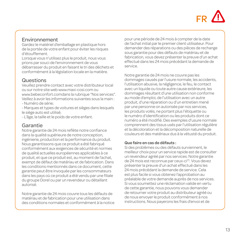# FR

### Environnement

Gardez le matériel d'emballage en plastique hors de la portée de votre enfant pour éviter les risques d'étouffement.

Lorsque vous n'utilisez plus le produit, nous vous prions par souci de l'environnement de vous débarrasser du produit en faisant le tri des déchets et conformément à la législation locale en la matière.

## Questions

Veuillez prendre contact avec votre distributeur local ou sur notre site web www.maxi-cosi.com ou www.bebeconfort.comdans la rubrique "Nos services". Veillez à avoir les informations suivantes sous la main : - Numéro de série;

- Marques et types de voitures et sièges dans lesquels le siège auto est utilisé;

- L'âge, la taille et le poids de votre enfant.

## Garantie

Notre garantie de 24 mois reflète notre confiance dans la qualité supérieure de notre conception, ingénierie, production et la performance du produit. Nous garantissons que ce produit a été fabriqué conformément aux exigences de sécurité et normes de qualité actuelles européennes applicables à ce produit, et que ce produit est, au moment de l'achat, exempt de défaut de matériau et de fabrication. Dans les conditions mentionnés dans ce document, cette garantie peut être invoquée par les consommateurs dans les pays où ce produit a été vendu par une filiale du groupe Dorel ou par un revendeur ou détaillant autorisé.

Notre garantie de 24 mois couvre tous les défauts de matériau et de fabrication pour une utilisation dans des conditions normales et conformément à la notice pour une période de 24 mois à compter de la date de l'achat initial par le premier client utilisateur. Pour demander des réparations ou des pièces de rechange sous garantie pour des défauts de matériau et de fabrication, vous devez présenter la preuve d'un achat effectué dans les 24 mois précédant la demande de service.

Notre garantie de 24 mois ne couvre pas les dommages causés par l'usure normale, les accidents, l'utilisation abusive, la négligence, le feu, le contact avec un liquide ou toute autre cause extérieure, les dommages résultant d'une utilisation non conforme au mode d'emploi, de l'utilisation avec un autre produit, d'une réparation ou d'un entretien mené par une personne on autorisée par nos services, les produits volés, ne portant plus l'étiquette ou le numéro d'identification ou les produits dont ce numéro a été modifié. Des exemples d'usure normale comprennent des tissus usés par l'utilisation régulière et la décoloration et la décomposition naturelle de couleurs et des matériaux dus à la vétusté du produit.

#### **Que faire en cas de défauts :**

Si des problèmes ou des défauts surviennent, le meilleur choix pour un service rapide est de consulter un revendeur agréé par nos services. Notre garantie de 24 mois est reconnue par ceux-ci<sup>(1)</sup>. Vous devez présenter la preuve d'un achat effectué dans les 24 mois précédant la demande de service. Cela est plus facile si vous obtenez l'approbation au préalable de votre demande auprès de nos services. Si vous soumettez une réclamation valide en vertu de cette garantie, nous pouvons vous demander de retourner votre produit au distributeur agréé ou de nous envoyer le produit conformément à nos instructions. Nous payerons les frais d'envoi et de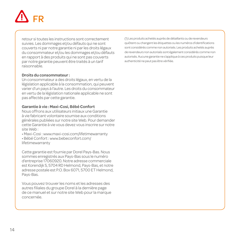

retour si toutes les instructions sont correctement suivies. Les dommages et/ou défauts qui ne sont couverts ni par notre garantie ni par les droits légaux du consommateur et/ou les dommages et/ou défauts en rapport à des produits qui ne sont pas couverts par notre garantie peuvent être traités à un tarif raisonnable.

#### **Droits du consommateur :**

Un consommateur a des droits légaux, en vertu de la législation applicable à la consommation, qui peuvent varier d'un pays à l'autre. Les droits du consommateur en vertu de la législation nationale applicable ne sont pas affectés par cette garantie.

#### **Garantie à vie : Maxi-Cosi, Bébé Confort**

Nous offrons aux utilisateurs initiaux une Garantie à vie fabricant volontaire soumise aux conditions générales publiées sur notre site Web. Pour demander cette Garantie à vie vous devez vous inscrire sur notre site Web :

- Maxi-Cosi : www.maxi-cosi.com/lifetimewarranty
- Bébé Confort : www.bebeconfort.com/ lifetimewarranty

Cette garantie est fournie par Dorel Pays-Bas. Nous sommes enregistrés aux Pays-Bas sous le numéro d'entreprise 17060920. Notre adresse commerciale est Korendijk 5, 5704 RD Helmond, Pays-Bas, et notre adresse postale est P.O. Box 6071, 5700 ET Helmond, Pays-Bas.

Vous pouvez trouver les noms et les adresses des autres filiales du groupe Dorel à la dernière page de ce manuel et sur notre site Web pour la marque concernée.

(1) Les produits achetés auprès de détaillants ou de revendeurs quiôtent ou changent les étiquettes ou les numéros d'identifications sont considérés comme non autorisés. Les produits achetés auprès de revendeurs non autorisés sont également considérés comme non autorisés. Aucune garantie ne s'applique à ces produits puisque leur authenticité ne peut pas être vérifiée.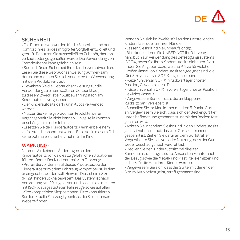# DE **/**!

## **SICHERHEIT**

• Die Produkte von wurden für die Sicherheit und den Komfort Ihres Kindes mit großer Sorgfalt entwickelt und geprüft. Benutzen Sie ausschließlich Zubehör, das von verkauft oder gutgeheißen wurde. Die Verwendung von Fremdzubehör kann gefährlich sein.

• Sie sind für die Sicherheit Ihres Kindes verantwortlich. Lesen Sie diese Gebrauchsanweisung aufmerksam durch und machen Sie sich vor der ersten Verwendung mit dem Produkt vertraut.

• Bewahren Sie die Gebrauchsanweisung für die Verwendung zu einem späteren Zeitpunkt auf, zu diesem Zweck ist ein Aufbewahrungsfach am Kinderautositz vorgesehen.

• Der Kinderautositz darf nur in Autos verwendet werden.

• Nutzen Sie keine gebrauchten Produkte, deren Vergangenheit Sie nicht kennen. Einige Teile könnten beschädigt sein oder fehlen.

• Ersetzen Sie den Kinderautositz, wenn er bei einem Unfall stark beansprucht wurde: Er bietet in diesem Fall keine optimale Sicherheit mehr für Ihr Kind.

### WARNUNG:

Nehmen Sie keinerlei Änderungen an dem Kinderautositz vor, da dies zu gefährlichen Situationen führen könnte. Der Kinderautositz im Fahrzeug: • Prüfen Sie vor dem Kauf dieses Produktes, ob der Kinderautositz mit dem Fahrzeug kompatibel ist, in dem er eingesetzt werden soll. Hinweis: Dies ist ein i-Size (R 129) Kinderrückhaltesystem. Das System ist nach Verordnung Nr. 129 zugelassen und passt in die meisten mit ISOFIX ausgestatteten Fahrzeuge sowie auf allen i-Size kompatiblen Sitzpositionen. Bitte konsultieren Sie die aktuelle Fahrzeugtypenliste, die Sie auf unserer Website finden.

Wenden Sie sich im Zweifelsfall an den Hersteller des Kindersitzes oder an Ihren Händler.

• Lassen Sie Ihr Kind nie unbeaufsichtigt.

• Bitte konsultieren Sie UNBEDINGT Ihr Fahrzeughandbuch zur Verwendung des Befestigungssystems ISOFIX, bevor Sie Ihren Kinderautositz einbauen. Dort finden Sie Angaben dazu, welche Plätze für welche Größenklasse von Kinderautositzen geeignet sind, die für i-Size /universal ISOFIX zugelassen sind.

• i-Size / universal ISOFIX in rückwärtsgerichteter Position, Gewichtsklasse D.

• i-Size universal ISOFIX in vorwärtsgerichteter Position, Gewichtsklasse B1.

• Vergewissern Sie sich, dass die umklappbare Rücksitzbank verriegelt ist.

• Schnallen Sie Ihr Kind immer mit dem 5-Punkt-Gurt an. Vergewissern Sie sich, dass sich der Beckengurt tief unten befindet und gespannt ist, damit das Becken fest gehalten wird.

• Achten Sie, nachdem Sie Ihr Kind in den Kinderautositz gesetzt haben, darauf, dass der Gurt ausreichend gespannt ist. Ziehen Sie dafür an dem Gurtstraffer. Vergewissern Sie sich vor jeder Nutzung, dass der Gurt weder beschädigt noch verdreht ist.

• Decken Sie den Kinderautositz bei direkter Sonneneinstrahlung stets ab. Ansonsten könnten sich der Bezug sowie die Metall- und Plastikteile erhitzen und zu heiß für die Haut Ihres Kindes werden.

• Vergewissern Sie sich, dass die Gurte, mit denen der Sitz im Auto befestigt ist, straff gespannt sind.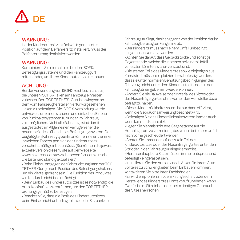# DE

#### WARNUNG:

Ist der Kinderautositz in rückwärtsgerichteter Position auf dem Beifahrersitz installiert, muss der Beifahrerairbag deaktiviert werden.

### WARNUNG:

Kombinieren Sie niemals die beiden ISOFIX-Befestigungssysteme und den Fahrzeuggurt miteinander, um Ihren Kinderautositz einzubauen.

## ACHTUNG:

Bei der Verwendung von ISOFIX reicht es nicht aus, die unteren ISOFIX-Haken am Fahrzeug einrasten zu lassen. Der "TOP TETHER"-Gurt ist zwingend an dem vom Fahrzeughersteller hierfür vorgesehenen Haken zu befestigen. Die ISOFIX-Verbindung wurde entwickelt, um einen sicheren und einfachen Einbau von Rückhaltesystemen für Kinder im Fahrzeug zu ermöglichen. Nicht alle Fahrzeuge sind damit ausgestattet, im Allgemeinen verfügen eher die neueren Modelle über dieses Befestigungssystem. Der beigefügten Fahrzeugtypenliste können Sie entnehmen, in welchen Fahrzeugen sich der Kinderautositz vorschriftsmäßig einbauen lässt. (Sie können die jeweils aktuelle Version dieser Liste auf der Webseite www.maxi-cosi.com/www. bebeconfort.com einsehen. Die Liste wird ständig aktualisiert)

• Beim Einbau entgegen der Fahrtrichtung kann der TOP TETHER-Gurt je nach Position des Befestigungshakens um ein Viertel gedreht sein. Die Funktion des Produktes wird dadurch nicht beeinträchtigt.

• Beim Einbau des Kinderautositzes ist es notwendig, die Auto-Kopfstütze zu entfernen, um den TOP TETHER ordnungsgemäß zu befestigen.

• Beachten Sie, dass die Basis des Kinderautositzes beim Einbau nicht unbedingt plan auf der Sitzbank des Fahrzeugs aufliegt, das hängt ganz von der Position der im Fahrzeug befestigten Fangarme ab.

• Der Kindersitz muss nach einem Unfall unbedingt ausgetauscht/ersetzt werden.

• Achten Sie darauf, dass Gepäckstücke und sonstige Gegenstände, welche die Insassen bei einem Unfall verletzten könnten, sicher verstaut sind.

• Die starren Teile des Kindersitzes sowie diejenigen aus Kunststoff müssen so platziert bzw. befestigt werden, dass sie unter normalen Benutzungsbedin-gungen des Fahrzeugs nicht unter dem Kinderau-tositz oder in der Fahrzeugtür eingeklemmt werdenkönnen.

• Ändern Sie nie Bauweise oder Material des Sitzes oder des Hosenträgergurtes ohne vorher den Her-steller dazu befragt zu haben.

• Dieses Kinderrückhaltesystem ist nur dann effi zient, wenn die Gebrauchsanweisung beachtet wird.

• Befestigen Sie das Kinderrückhaltesystem immer, auch wenn kein Kind darin sitzt.

• Legen Sie niemals schwere Gegenstände auf die Hutablage, um zu vermeiden, dass diese bei einem Unfall nach vorne geschleudert werden.

• Achten Sie immer darauf, dass kein Teil des Kinderautositzes oder des Hosenträgergurtes unter dem Sitz oder in der Fahrzeugtür eingeklemmt ist.

• Herunterklappbare Sitze müssen immer entsprechend befestigt / eingerastet sein.

• Installieren Sie den Autositz nach Ankauf in Ihrem Auto. Sollte es zu Schwierigkeiten beim Einbauen kommen, kontaktieren Sie bitte Ihren Fachhändler.

• Es wird empfohlen, mit dem Fachgeschäft oder dem Hersteller des Kindersitzes Kontakt aufzunehmen, wenn Zweifel beim Sitzeinbau oder beim richtigen Gebrauch des Sitzes herrschen.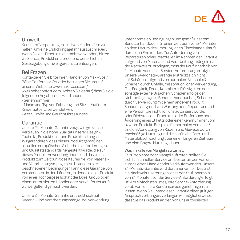# DE **/**!

#### Umwelt

Kunststoffverpackungen sind von Kindern fern zu halten, um eine Erstickungsgefahr auszuschließen. Wenn Sie das Produkt nicht mehr verwenden, bitten wir Sie, das Produkt entsprechend der örtlichen Gesetzgebung umweltgerecht zu entsorgen.

## Bei Fragen

Kontaktieren Sie bitte Ihren Händler von Maxi-Cosi/ Bébé Confort vor Ort oder besuchen Sie uns auf unserer Webseite www.maxi-cosi.com/ www.bebeconfort.com. Achten Sie darauf, dass Sie die folgenden Angaben zur Hand haben:

- Seriennummer;

- Marke und Typ von Fahrzeug und Sitz, in/auf dem Kinderautositz verwendet wird; - Alter, Größe und Gewicht Ihres Kindes.

### Garantie

Unsere 24-Monats-Garantie zeigt, wie groß unser Vertrauen in die hohe Qualität unserer Design-, Technik-, Produktions- und Produktleistung ist. Wir garantieren, dass dieses Produkt gemäß den aktuellen europäischen Sicherheitsanforderungen und Qualitätsstandards hergestellt wurde, die auf dieses Produkt Anwendung finden und dass dieses Produkt zum Zeitpunkt des Kaufes frei von Materialund Verarbeitungsmängeln ist. Unter den hier beschriebenen Bedingungen kann diese Garantie von Verbrauchern in den Ländern, in denen dieses Produkt von einer Tochtergesellschaft der Dorel Group oder einem autorisierten Händler oder Verkäufer verkauft wurde, geltend gemacht werden.

Unsere 24-Monats-Garantie erstreckt sich auf Material- und Verarbeitungsmängel bei Verwendung unter normalen Bedingungen und gemäß unserem Benutzerhandbuch für einen Zeitraum von 24 Monaten ab dem Datum des ursprünglichen Einzelhandelskaufs durch den Endkunden. Zur Anforderung von Reparaturen oder Ersatzteilen im Rahmen der Garantie aufgrund von Material- und Verarbeitungsmängeln ist der Nachweis zu erbringen, dass der Kauf innerhalb von 24 Monate vor dieser Service-Anforderung erfolgt ist. Unsere 24-Monats-Garantie erstreckt sich nicht auf Schäden aufgrund von normalem Verschleiß, Schaden durch Unfälle, missbräuchlicher Verwendung, Fahrlässigkeit, Feuer, Kontakt mit Flüssigleiten oder sonstige externe Ursachen, Schaden infolge der Nichtbefolgung des Benutzerhandbuches, Schaden durch Verwendung mit einem anderen Produkt, Schaden aufgrund von Wartung oder Reparatur durch eine Person, die nicht von uns autorisiert wurde, oder Diebstahl des Produktes oder Entfernung oder Änderung eines Etiketts oder einer Kennnummer vom bzw. am Produkt. Beispiele für normalen Verschleiß sind die Abnutzung von Rädern und Gewebe durch regelmäßige Nutzung und die natürliche Farb- und Materialabschwächung über einen längeren Zeitraum und eine längere Nutzungsdauer.

#### Was im Falle von Mängeln zu tun ist:

Falls Probleme oder Mängel auftreten, sollten Sie sich für schnellen Service am besten an den von uns autorisierten Händler oder Verkäufer wenden. Unsere 24-Monats-Garantie wird dort anerkannt(1). Dazu ist ein Nachweis zu erbringen, dass der Kauf innerhalb von 24 Monaten vor der Service-Anforderung erfolgt ist. Am einfachsten ist es, Ihre Service-Anforderung vorab vom unsere Kundenservice genehmigen zu lassen. Wenn Sie unter dieser Garantie einen gültigen Anspruch vorbringen, verlangen wir möglicherweise, dass Sie das Produkt an den von uns autorisierten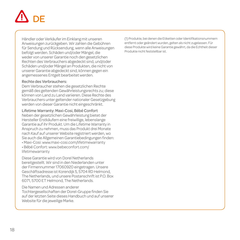# DE

Händler oder Verkäufer im Einklang mit unseren Anweisungen zurückgeben. Wir zahlen die Gebühren für Sendung und Rücksendung, wenn alle Anweisungen befolgt werden. Schäden und/oder Mängel, die weder von unserer Garantie noch den gesetzlichen Rechten des Verbrauchers abgedeckt sind, und/oder Schäden und/oder Mängel an Produkten, die nicht von unserer Garantie abgedeckt sind, können gegen ein angemessenes Entgelt bearbeitet werden.

#### Rechte des Verbrauchers:

Dem Verbraucher stehen die gesetzlichen Rechte gemäß des geltenden Gewährleistungsrechts zu; diese können von Land zu Land variieren. Diese Rechte des Verbrauchers unter geltender nationaler Gesetzgebung werden von dieser Garantie nicht eingeschränkt.

#### Lifetime Warranty: Maxi-Cosi, Bébé Confort

Neben der gesetzlichen Gewährleistung bietet der Hersteller Erstkäufern eine freiwillige, lebenslange Garantie auf ihr Produkt. Um die Lifetime Warranty in Anspruch zu nehmen, muss das Produkt drei Monate nach Kauf auf unserer Website registriert werden, wo Sie auch die Allgemeinen Garantiebedingungen finden:

- Maxi-Cosi: www.maxi-cosi.com/lifetimewarranty
- Bébé Confort: www.bebeconfort.com/ lifetimewarranty

Diese Garantie wird von Dorel Netherlands bereitgestellt. Wir sind in den Niederlanden unter der Firmennummer 17060920 eingetragen. Unsere Geschäftsadresse ist Korendijk 5, 5704 RD Helmond, The Netherlands, und unsere Postanschrift ist P.O. Box 6071, 5700 ET Helmond, The Netherlands.

Die Namen und Adressen anderer Tochtergesellschaften der Dorel-Gruppe finden Sie auf der letzten Seite dieses Handbuch und auf unserer Website für die jeweilige Marke.

(1) Produkte, bei denen die Etiketten oder Identifikationsnummern entfernt oder geändert wurden, gelten als nicht zugelassen. Für diese Produkte wird keine Garantie gewährt, da die Echtheit dieser Produkte nicht feststellbar ist.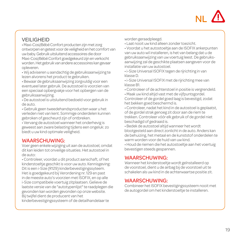

# VEILIGHEID

• Maxi-Cosi/Bébé Confort producten zijn met zorg ontworpen en getest voor de veiligheid en het comfort van uw baby. Gebruik uitsluitend accessoires die door Maxi-Cosi/Bébé Confort goedgekeurd zijn en verkocht worden. Het gebruik van andere accessoires kan gevaar opleveren.

• Wij adviseren u aandachtig de gebruiksaanwijzing te lezen alvorens het product te gebruiken.

• Bewaar de gebruiksaanwijzing zorgvuldig voor een eventueel later gebruik. De autostoel is voorzien van een speciaal opbergvakje voor het opbergen van de gebruiksaanwijzing.

• De autostoel is uitsluitend bedoeld voor gebruik in de auto.

• Gebruik geen tweedehandsproducten waar u het verleden niet van kent. Sommige onderdelen kunnen gebroken of gescheurd zijn of ontbreken.

• Vervang de autostoel wanneer het onderhevig is geweest aan zware belasting tijdens een ongeluk: zo biedt u uw kind optimale veiligheid.

#### WAARSCHUWING:

Voer geen enkele wijziging uit aan de autostoel, omdat dit kan leiden tot onveilige situaties. Het autostoel in de auto:

• Controleer, voordat u dit product aanschaft, of het kinderstoeltje geschikt is voor uw auto. Kennisgeving: Dit is een i-Size (R129) kinderbevestigingssyteem. Het is goedgekeurd bij Verordening nr. 129 en past in de meeste auto's voorzien met ISOFIX, en op alle i-Size compatibele voertuig zitplaatsen. Gelieve de laatste versie van de "autotypenlijst" te raadplegen die gevonden kan worden gevonden op onze website. Bij twijfel dient de producent van het kinderbevestigingssysteem of de detailhandelaar te

worden geraadpleegd.

• Laat nooit uw kind alleen zonder toezicht.

• Voordat u het autostoeltje aan de ISOFIX ankerpunten van uw auto wil installeren, is het van belang dat u de gebruiksaanwijzing van uw voertuig leest. De gebruiksaanwijzing zal de geschikte plaatsen aangeven voor de installatie van uw autostoel.

• i-Size Universal ISOFIX tegen de rijrichting in van klasse D.

• i-Size Universal ISOFIX met de rijrichting mee van klasse B1.

• Controleer of de achterstoel in positie is vergrendeld.

• Maak uw kind altijd vast met de vijfpuntsgordel. Controleer of de gordel goed laag is bevestigd, zodat het bekken goed beschermd is.

• Controleer, nadat het kind in de autostoel is geplaatst, of de gordel strak genoeg zit door aan de riem te trekken. Controleer vóór elk gebruik of de gordel niet beschadigd of gedraaid is.

• Bedek de autostoel altijd wanneer het wordt blootgesteld aan direct zonlicht in de auto. Anders kan de behuizing, het metaal en de kunststof onderdelen te warm worden voor de huid van uw kind.

• Houd de riemen die het autostoeltje aan het voertuig bevestigen steeds gespannen.

### WAARSCHUWING:

Wanneer het kinderstoeltje wordt geïnstalleerd op de voorstoel, dient u de airbag bij de voorstoel uit te schakelen als uw kind in de achterwaartse positie zit.

#### WAARSCHUWING:

Combineer het ISOFIX bevestigingssysteem nooit met de autogordel om het kinderstoeltje te installeren.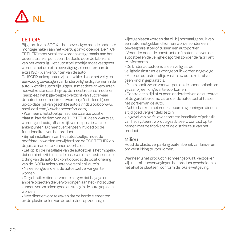# NL

## LET OP:

Bij gebruik van ISOFIX is het bevestigen met de onderste montage haken aan het voertuig onvoldoende. De "TOP TETHER" moet verplicht worden vastgemaakt aan het bovenste ankerpunt zoals bedoeld door de fabrikant van het voertuig. Het autostoel stoeltje moet vastgezet worden met de extra bevestigingselementen aan de extra ISOFIX ankerpunten van de auto.

De ISOFIX ankerpunten zijn ontwikkeld voor het veilig en eenvoudig bevestigen van kinderveiligheidsystemen in de auto. Niet alle auto's zijn uitgerust met deze ankerpunten hoewel ze standaard zijn op de meest recente modellen. Raadpleeg het bijgevoegde overzicht van auto's waar de autostoel correct in kan worden geïnstalleerd (een up-to-date lijst van geschikte auto's vindt u ook op www. maxi-cosi.com/www.bebeconfort.com).

• Wanneer u het stoeltje in achterwaartse positie plaatst, kan de riem van de TOP TETHER een kwartslag worden gedraaid, afhankelijk van de positie van de ankerpunten. Dit heeft verder geen invloed op de functionaliteit van het product.

• Bij het installeren van het autostoeltje, moet de hoofdsteun worden verwijderd om de TOP TETHER op de juiste manier te kunnen doorhalen.

• Let op: bij de installatie van de autostoel is het mogelijk dat er ruimte zit tussen de base van de autostoel en de zitting van de auto. Dit komt doordat de positionering van de ISOFIX ankerpunten verschilt bij auto's. • Na een ongeval dient de autostoel vervangen te

worden.

• De gebruiker dient ervoor te zorgen dat bagage en andere objecten die verwondingen aan het kind zouden kunnen veroorzaken goed en stevig in de auto geplaatst worden.

• Men dient er voor te waken dat de harde elementen en de plastic delen van de autostoel op zodanige

wijze geplaatst worden dat zij, bij normaal gebruik van een auto, niet geklemd kunnen worden onder een beweegbare stoel of tussen een autoportier.

• Verander nooit de constructie of materialen van de autostoel en de veiligheidsgordel zonder de fabrikant te informeren.

• De kinder autostoel is alleen veilig als de

veiligheidsinstructies voor gebruik worden nagevolgd.

• Maak de autostoel altijd vast in uw auto, zelfs als er geen kind in geplaatst is.

• Plaats nooit zware voorwerpen op de hoedenplank om gevaar bij een ongeval te voorkomen.

• Controleer altijd of er geen onderdeel van de autostoel of de gordel beklemd zit onder de autostoel of tussen het portier van de auto.

• Achterbanken met neerklapbare rugleuningen dienen altijd goed vergrendeld te zijn.

• In geval van twijfel over correcte installatie of gebruik van het systeem, wordt u geadviseerd contact op te nemen met de fabrikant of de distributeur van het product

#### Milieu

Houd de plastic verpakking buiten bereik van kinderen om verstikking te voorkomen.

Wanneer u het product niet meer gebruikt, verzoeken wij u uit milieuoverwegingen het product gescheiden bij het afval te plaatsen, conform de lokale wetgeving.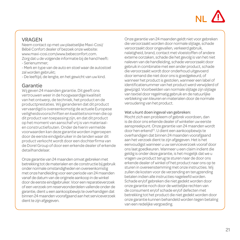# $N<sub>L</sub>$

## VRAGEN

Neem contact op met uw plaatselijke Maxi-Cosi/ Bébé Confort dealer of bezoek onze website: www.maxi-cosi.com/www.bebeconfort.com. Zorg dat u de volgende informatie bij de hand heeft:

- Serienummer;

- Merk en type van de auto en stoel waar de autostoel zal worden gebruikt;

- De leeftijd, de lengte, en het gewicht van uw kind.

## Garantie

Wij geven 24 maanden garantie. Dit geeft ons vertrouwen weer in de hoogwaardige kwaliteit van het ontwerp, de techniek, het product en de productprestaties. Wij garanderen dat dit product vervaardigd is overeenkomstig de actuele Europese veiligheidsvoorschriften en kwaliteitsnormen die op dit product van toepassing zijn, en dat dit product op het moment van aanschaf vrij is van materiaalen constructiefouten. Onder de hierin vermelde voorwaarden kan deze garantie worden ingeroepen door de eerste eindgebruiker in de landen waar dit product verkocht wordt door een dochterfirma van de Dorel Group of door een erkende dealer of erkende detailhandelaar.

Onze garantie van 24 maanden omvat gebreken met betrekking tot de materialen en de constructie bij gebruik onder normale omstandigheden en overeenkomstig met onze handleiding voor een periode van 24 maanden vanaf de datum van de originele aankoop in de winkel door de eerste eindgebruiker. Voor een reparatieverzoek of een verzoek om reserveonderdelen vallende onder de garantie, dient u een aankoopbewijs te overhandigen dat binnen 24 maanden voorafgaand aan het serviceverzoek dient te zijn afgegeven.

Onze garantie van 24 maanden geldt niet voor gebreken die veroorzaakt worden door normale slijtage, schade veroorzaakt door ongevallen, verkeerd gebruik, nalatigheid, brand, contact met vloeistoffen of andere externe oorzaken, schade die het gevolg is van het niet naleven van de handleiding, schade veroorzaakt door gebruik in combinatie met een ander product, schade die veroorzaakt wordt door onderhoud uitgevoerd door iemand die niet door ons is goedgekeurd, of wanneer het product is gestolen, wanneer een label of identificatienummer van het product werd verwijderd of gewijzigd. Voorbeelden van normale slijtage zijn slijtage van textiel door regelmatig gebruik en de natuurlijke verbleking van kleuren en materialen door de normale veroudering van het product.

#### Wat u kunt doen ingeval van gebreken:

Mocht zich een probleem of gebrek voordoen, dan is de door ons erkende dealer of winkelier uw eerste aanspreekpunt. Onze garantie van 24 maanden wordt door hen erkend(1). U dient een aankoopbewijs te overhandigen dat binnen 24 maanden voorafgaand aan het verzoek dient te zijn afgegeven. Het is het eenvoudigst wanneer u uw serviceverzoek vooraf door ons laat goedkeuren. Wanneer u een claim indient die geldig is onder deze garantie, is het mogelijk dat we u vragen uw product terug te sturen naar de door ons erkende dealer of winkel of het product naar ons op te sturen in overeenstemming met onze instructies. Wij zullen de kosten voor de verzending en terugzending betalen indien alle instructies nageleefd worden. Schade en/of gebreken die niet gedekt worden door onze garantie noch door de wettelijke rechten van de consument en/of schade en/of defecten met betrekking tot het product die niet gedekt worden door onze garantie kunnen behandeld worden tegen betaling van een redelijke vergoeding.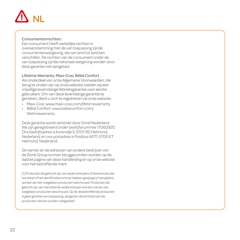# NL

#### Consumentenrechten:

Een consument heeft wettelijke rechten in overeenstemming met de van toepassing zijnde consumentenwetgeving, die van land tot land kan verschillen. De rechten van de consument onder de van toepassing zijnde nationale wetgeving worden door deze garantie niet aangetast.

Lifetime Warranty: Maxi-Cosi, Bébé Confort

Als onderdeel van onze Algemene Voorwaarden, die terug te vinden zijn op onze website, bieden wij een vrijwillige levenslange fabrieksgarantie voor eerste gebruikers. Om van deze levenslange garantie te genieten, dient u zich te registreren via onze website:

- Maxi-Cosi: www.maxi-cosi.com/lifetimewarranty
- Bébé Confort: www.bebeconfort.com/ lifetimewarranty

Deze garantie wordt verstrekt door Dorel Nederland. We zijn geregistreerd onder bedrijfsnummer 17060920. Ons bedrijfsadres is Korendijk 5, 5707 RD Helmond, Nederland, en ons postadres is Postbus 6071, 5700 ET Helmond, Nederland.

De namen en de adressen van andere bedrijven van de Dorel Group kunnen teruggevonden worden op de laatste pagina van deze handleiding en op onze website voor het betreffende merk.

(1) Producten die gekocht zijn van wederverkopers of leveranciers die het etiket of het identificatienummer hebben gewijzigd of verwijderd, worden als niet-toegelaten producten beschouwd. Producten die gekocht zijn van niet erkende wederverkoper worden ook als niettoegelaten producten beschouwd. Op de desbetreffende producten is geen garantie van toepassing, aangezien de echtheid van die producten niet kan worden vastgesteld.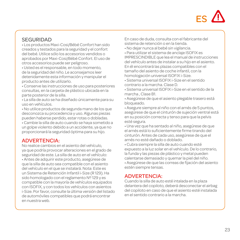

## SEGURIDAD

• Los productos Maxi-Cosi/Bébé Confort han sido creados y testados para la seguridad y el confort del bebé. Utilice sólo los accesorios vendidos o aprobados por Maxi-Cosi/Bébé Confort. El uso de otros accesorios puede ser peligroso.

• Usted es el responsable, en todo momento, de la seguridad del niño. Le aconsejamos leer detenidamente esta información y manipular el producto antes de utilizarlo.

• Conserve las instrucciones de uso para posteriores consultas, en la carpeta de plástico ubicada en la parte posterior de la silla.

• La silla de auto se ha diseñado únicamente para su uso en vehículos.

• No utilice productos de segunda mano de los que desconozca su procedencia y uso. Algunas piezas pueden haberse perdido, estar rotas o dobladas.

• Cambie la silla de auto cuando se haya sometido a un golpe violento debido a un accidente, ya que no proporcionará la seguridad óptima para su hijo.

#### ADVERTENCIA:

No realice cambios en el asiento del vehículo, ya que podría provocar alteraciones en el grado de seguridad de este. La silla de auto en el vehículo: • Antes de adquirir este producto, asegúrese de que la silla de auto sea compatible con el asiento del vehículo en el que se instalará. Nota: Este es un Sistema de Retención Infantil i-Size (R 129). Ha sido homologado con el reglamento Nº 129 y es compatible con la mayoría de vehículos equipados con ISOFIX, y con todos los vehículos con asientos i-Size. Por favor, consulte la última versión del listado de automóviles compatibles que podrá encontrar en nuestra web.

En caso de duda, consulta con el fabricante del sistema de retención o en la tienda.

• No dejar nunca al bebé sin vigilancia.

• Para utilizar el sistema de anclaje ISOFIX es IMPRESCINDIBLE que lea el manual de instrucciones del vehículo antes de instalar a su hijo en el asiento. En él encontrará las plazas compatibles con el tamaño del asiento de coche infantil, con la homologación universal ISOFIX i-Size.

• Sistema universal ISOFIX i-Size en el sentido contrario a la marcha. Clase D.

• Sistema universal ISOFIX i-Size en el sentido de la marcha , Clase B1.

• Asegúrese de que el asiento plegable trasero está bloqueado.

• Asegure siempre al niño con el arnés de 5 puntos, asegúrese de que el cinturón de sujeción ventral está en su posición correcta y tenso para que la pelvis esté segura.

• Una vez que ha sentado al niño, asegúrese de que el arnés está lo suficientemente firme tirando del cinturón. Antes de cada uso, asegúrese de que el arnés no esté dañado o doblado.

• Cubra siempre la silla de auto cuando esté expuesto a la luz solar en el vehículo. De lo contrario, la funda y las piezas de plástico y metal pueden calentarse demasiado y quemar la piel del niño.

• Asegúrese de que las correas de fijación del asiento estén siempre tensas.

#### ADVERTENCIA:

Cuando la silla de auto esté intalada en la plaza delantera del copiloto, deberá desconectar el airbag del copiloto en caso de que el asiento esté instalada en el sentido contrario a la marcha.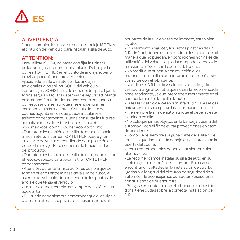# ES

## ADVERTENCIA:

Nunca combine los dos sistemas de anclaje ISOFIX y el cinturón del vehículo para instalar la silla de auto.

# ATTENTION:

Para utilizar ISOFIX, no basta con fijar las pinzas en los anclajes inferiores del vehículo. Debe fijar la correa TOP TETHER en el punto de anclaje superior provisto por el fabricante del vehículo.

Fijación de la silla de auto con los anclajes adicionales y los anillos ISOFIX del vehículo. Los anclajes ISOFIX han sido concebidos para fijar de forma segura y fácil los sistemas de seguridad infantil en el coche. No todos los coches están equipados con estos anclajes, aunque sí se encuentran en los modelos más recientes. Consulte la lista de coches adjunta en los que puede instalarse el asiento correctamente. (Puede consultar las futuras actualizaciones de esta lista en el sitio web www.maxi-cosi.com/ www.bebeconfort.com).

• Durante la instalación de la silla de auto de espaldas a la carretera, la correa TOP TETHER puede girar un cuarto de vuelta dependiendo de la posición del punto de anclaje. Esto no merma la funcionalidad del producto.

• Durante la instalación de la silla de auto, debe quitar el reposacabezas para pasar la tira TOP TETHER correctamente.

• Atención: durante la instalación es posible que se formen huecos entre la base de la silla de auto y el asiento del vehículo, dependiendo de los puntos de anclaje que tenga el vehículo.

• La silla se debe reemplazar siempre después de un accidente.

• El usuario debe siempre comprobar que el equipaje u otros objetos susceptibles de causar lesiones al

ocupante de la silla en caso de impacto, están bien sujetos.

• Los elementos rígidos y las piezas plásticas de un D.R.I. infantil, deben estar situados e instalados de tal manera que no puedan, en condiciones normales de utilización del vehículo, quedar atrapados debajo de un asiento móvil o con la puerta del coche.

• No modifique nunca la construcción o los materiales de la silla o del cinturón del automóvil sin consultar con el fabricante.

• No utilice el D.R.I. sin la vestidura. No sustituya la vestidura original por otra que no sea la recomendada por el fabricante, ya que interviene directamente en el comportamiento de la silla de auto.

• Este Dispositivo de Retención Infantil (D.R.I) es eficaz únicamente si se respetan las instrucciones de uso.

• Fije siempre la silla de auto, aunque el bebé no esté instalado en ella.

• No coloque jamás objetos en la bandeja trasera del automóvil, con el fin de evitar proyecciones en caso de accidente.

• Compruebe siempre si alguna parte de la silla o del arnés ha quedado pillada debajo del asiento o con la puerta del coche.

• Los asientos abatibles deben estar siempre bien bloqueados.

• Le recomendamos instalar su silla de auto en su vehículo justo después de la compra. En caso de encontrar dificultades en la instalación de su silla, ligadas a la longitud del cinturón de seguridad de su automóvil, le aconsejamos contactar y asesorarse con su tienda de puericultura.

• Póngase en contacto con el fabricante o el distribu dor si tiene dudas sobre la correcta instalación del D.R.I.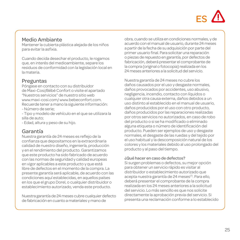# $FS$  /!

### Medio Ambiante

Mantener la cubierta plástica alejada de los niños para evitar la asfixia.

Cuando decida desechar el producto, le rogamos que, en interés del medioambiente, separe los residuos de conformidad con la legislación local en la materia.

## Preguntas

Póngase en contacto con su distribuidor de Maxi-Cosi/Bébé Confort o visite el apartado "Nuestros servicios" de nuestro sitio web www.maxi-cosi.com/ www.bebeconfort.com. Recuerde tener a mano la siguiente información: - Número de serie;

- Tipo y modelo de vehículo en el que se utilizara la silla de auto;

- Edad, altura y peso de su hijo.

## Garantía

Nuestra garantía de 24 meses es reflejo de la confianza que depositamos en la extraordinaria calidad de nuestro diseño, ingeniería, producción y en el rendimiento del producto. Garantizamos que este producto ha sido fabricado de acuerdo con las normas de seguridad y calidad europeas en vigor aplicables a este producto y que está libre de defectos en el momento de la compra. La presente garantía será aplicable, de acuerdo con las condiciones aquí establecidas, en aquellos países en los que el grupo Dorel, o cualquier distribuidor o establecimiento autorizado, venda este producto.

Nuestra garantía de 24 meses cubre cualquier defecto de fabricación en cuanto a materiales y mano de

obra, cuando se utiliza en condiciones normales, y de acuerdo con el manual de usuario, durante 24 meses a partir de la fecha de su adquisición por parte del primer usuario final. Para solicitar una reparación o piezas de repuesto en garantía, por defectos de fabricación, deberá presentar el comprobante de la compra (original o fotocopia) realizada en los 24 meses anteriores a la solicitud del servicio.

Nuestra garantía de 24 meses no cubre los daños causados por el uso y desgaste normales, daños provocados por accidentes, uso abusivo, negligencia, incendio, contacto con líquidos o cualquier otra causa externa, daños debidos a un uso distinto al establecido en el manual de usuario, daños producidos por el uso con otro producto, daños producidos por las reparaciones realizadas por otros servicios no autorizados, en caso de robo del producto o si se ha modificado o eliminado alguna etiqueta o número de identificación del producto. Pueden ser ejemplos de uso y desgaste normales, el desgaste de las ruedas y del tejido por el uso habitual y la descomposición natural de los colores y los materiales debido al uso prolongado del producto y al paso del tiempo.

#### ¿Qué hacer en caso de defectos?

Si surgen problemas o defectos, su mejor opción para obtener un servicio rápido es visitar al distribuidor o establecimiento autorizado que acepta nuestra garantía de 24 meses<sup>(1)</sup>. Para ello, deberá presentar el comprobante de la compra realizada en los 24 meses anteriores a la solicitud del servicio. Lo más sencillo es que nos solicite directamente la aprobación previa del servicio. Si presenta una reclamación conforme a lo establecido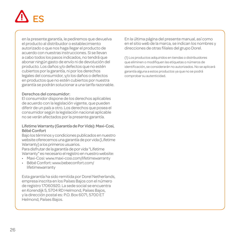# ES

en la presente garantía, le pediremos que devuelva el producto al distribuidor o establecimiento autorizado o que nos haga llegar el producto de acuerdo con nuestras instrucciones. Si se llevan a cabo todos los pasos indicados, no tendrá que abonar ningún gasto de envío ni de devolución del producto. Los daños y/o defectos que no estén cubiertos por la garantía, ni por los derechos legales del consumidor, y/o los daños o defectos en productos que no estén cubiertos por nuestra garantía se podrán solucionar a una tarifa razonable.

#### Derechos del consumidor:

El consumidor dispone de los derechos aplicables de acuerdo con la legislación vigente, que pueden diferir de un país a otro. Los derechos que posea el consumidor según la legislación nacional aplicable no se verán afectados por la presente garantía.

#### Lifetime Warranty (Garantía de Por Vida): Maxi-Cosi, Bébé Confort

Bajo los términos y condiciones publicados en nuestro website oferecemos una garantía de por vida (Lifetime Warranty) a los primeros usuarios.

Para disfrutar de la garantía de por vida "Lifetime Warranty" es necesario el registro en nuestro website:

- Maxi-Cosi: www.maxi-cosi.com/lifetimewarranty
- Bébé Confort: www.bebeconfort.com/ lifetimewarranty

Esta garantía ha sido remitida por Dorel Netherlands, empresa inscrita en los Países Bajos con el número de registro 17060920. La sede social se encuentra en Korendijk 5, 5704 RD Helmond, Países Bajos, y la dirección postal es: P.O. Box 6071, 5700 ET Helmond, Países Bajos.

En la última página del presente manual, así como en el sitio web de la marca, se indican los nombres y direcciones de otras filiales del grupo Dorel.

(1) Los productos adquiridos en tiendas o distribuidores que eliminen o modifiquen las etiquetas o números de identificación, se considerarán no autorizados. No se aplicará garantía alguna a estos productos ya que no se podrá comprobar su autenticidad.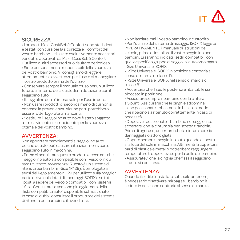

### SICUREZZA

• I prodotti Maxi-Cosi/Bébé Confort sono stati ideati e testati con cura per la sicurezza e il comfort del vostro bambino. Utilizzate esclusivamente accessori venduti o approvati da Maxi-Cosi/Bébé Confort. L'utilizzo di altri accessori può risultare pericoloso.

• Siete personalmente responsabili della sicurezza del vostro bambino. Vi consigliamo di leggere attentamente le avvertenze per l'uso e di maneggiare il vostro prodotto prima dell'utilizzo.

• Conservare sempre il manuale d'uso per un utilizzo futuro, all'interno della custodia in dotazione con il seggiolino auto.

- Il seggiolino auto è inteso solo per l'uso in auto.
- Non usare i prodotti di seconda mano di cui non si conosce la provenienza. Alcune parti potrebbero essere rotte, logorate o mancanti.

• Sostituire il seggiolino auto dove è stato soggetto a stress violento in un incidente per la sicurezza ottimale del vostro bambino.

#### AVVERTENZA:

Non apportare cambiamenti al seggiolino auto poiché questo può causare situazioni non sicure. Il seggiolino auto in macchina:

• Prima di acquistare questo prodotto accertarsi che il seggiolino auto sia compatibile con il veicolo in cui sarà utilizzato. Avvertenza: Questo è un sistema di ritenuta per bambini i-Size (R 129). È omologato ai sensi del Regolamento n. 129 per utilizzo sulla maggior parte dei veicoli dotati di ancoraggi ISOFIX e su tutti i posti a sedere del veicolo compatibili con i sistemi i-Size. Consultare la versione più aggiornata della "lista compatibità auto" disponibile sul nostro sito. In caso di dubbi, consultare il produttore del sistema di ritenuta per bambini o il rivenditore.

• Non lasciare mai il vostro bambino incustodito.

• Per l'utilizzo del sistema di fissaggio ISOFIX leggete IMPERATIVAMENTE il manuale di istruzioni del veicolo, prima di installare il vostro seggiolino per bambini. Lì saranno indicati i sedili compatibili con quello specifico gruppo di seggiolini auto omologato i-Size Universale ISOFIX.

• i-Size Universale ISOFIX in posizione contraria al senso di marcia di classe D.

• i-Size Universale ISOFIX nel senso di marcia di classe B1.

• Accertarsi che il sedile posteriore ribaltabile sia bloccato in posizione.

• Assicurare sempre il bambino con la cintura a 5 punti. Assicurarsi che le cinghie addominali siano posizionate abbastanza in basso in modo che il bacino sia ritenuto correttamente in caso di necessità.

• Dopo aver posizionato il bambino nel seggiolino, accertarsi che la cintura sia ben stretta tirandola. Prima di ogni uso, accertarsi che la cintura non sia danneggiata o attorcigliata.

• Coprire sempre il seggiolino auto quando esposto alla luce del sole in macchina. Altrimenti la copertura, parti di plastica e metallo potrebbero raggiungere temperature troppo elevate per la pelle del bambino. • Assicuratevi che la cinghia che fissa il seggiolino all'auto sia ben tesa.

## AVVERTENZA:

Quando il sedile è installato sul sedile anteriore, è necessario disattivare l'airbag se il bambino è seduto in posizione contraria al senso di marcia.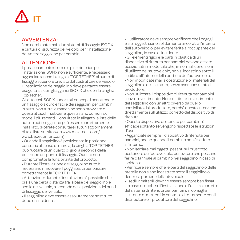# IT

### AVVERTENZA:

Non combinate mai i due sistemi di fissaggio ISOFIX e cintura di sicurezza del veicolo per l'installazione del vostro seggiolino per bambini.

# ATTENZIONE:

Il posizionamento delle sole pinze inferiori per l'installazione ISOFIX non è sufficiente: è necessario agganciare anche la cinghia "TOP TETHER" al punto di fissaggio superiore previsto dal costruttore del veicolo. L'installazione del seggiolino deve pertanto essere eseguita sia con gli agganci ISOFIX che con la cinghia Top Tether.

Gli attacchi ISOFIX sono stati concepiti per ottenere un fissaggio sicuro e facile dei seggiolini per bambini in auto. Non tutte le macchine sono provviste di questi attacchi, sebbene questi siano comuni sui modelli più recenti. Consultate in allegato la lista delle auto in cui il seggiolino può essere correttamente installato. (Potrete consultare i futuri aggiornamenti di tale lista sul sito web www.maxi-cosi.com/ www.bebeconfort.com).

• Quando il seggiolino è posizionato in posizione contraria al senso di marcia, la cinghia TOP TETHER può ruotare di un quarto di giro, a seconda della posizione del punto di fissaggio. Questo non compromette la funzionalità del prodotto.

• Durante l'installazione del seggiolino auto è necessario rimuovere il poggiatesta per passare correttamente la TOP TETHER.

• Attenzione: durante l'installazione è possibile che ci sia una certa distanza tra la base del seggiolino e il sedile del veicolo, a seconda della posizione dei punti di fissaggio del veicolo.

• Il seggiolino deve essere assolutamente sostituito dopo un incidente.

• L'utilizzatore deve sempre verificare che i bagagli e altri oggetti siano solidamente ancorati all'interno dell'autoveicolo, per evitare ferite all'occupante del seggiolino, in caso di incidente.

• Gli elementi rigidi e le parti in plastica di un dispositivo di ritenuta per bambini devono essere posizionati in modo tale che, in normali condizioni di utilizzo dell'autoveicolo, non si incastrino sotto il sedile o all'interno della portiera dell'autoveicolo. • Non modificate mai la costruzione o i materiali del seggiolino e della cintura, senza aver consultato il produttore.

• Non utilizzate il dispositivo di ritenuta per bambini senza il rivestimento. Non sostituire il rivestimento del seggiolino con un altro diverso da quello consigliato dal produttore, perché questo interviene direttamente sull'utilizzo corretto del dispositivo di ritenuta.

• Questo dispositivo di ritenuta per bambini è efficace soltanto se vengono rispettate le istruzioni d'uso.

• Agganciate sempre il dispositivo di ritenuta per bambini, anche quando il bambino non è seduto all'interno.

• Non lasciare mai oggetti pesanti sul cruscotto posteriore dell'autoveicolo, per evitare che possano ferire o far male al bambino nel seggiolino in caso di incidente.

• Verificare sempre che le parti del seggiolino o delle bretelle non siano incastrate sotto il seggiolino o dentro la portiera dell'autoveicolo.

• I sedili ribaltabili devono essere sempre ben fissati.

• In caso di dubbi sull'installazione o l'utilizzo corretto del sistema di ritenuta per bambini, si consiglia all'utente di mettersi in contatto direttamente con il distributore o il produttore del seggiolino.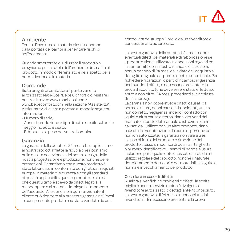# IT

#### Ambiente

Tenete l'involucro di materia plastica lontano dalla portata dei bambini per evitare rischi di soffocamento.

Quando smetterete di utilizzare il prodotto, vi preghiamo per la tutela dell'ambiente di smaltire il prodotto in modo differenziato e nel rispetto della normativa locale in materia.

## Domande

Siete pregati di contattare il punto vendita autorizzato Maxi-Cosi/Bébé Confort o di visitare il nostro sito web www.maxi-cosi.com/ www.bebeconfort.com nella sezione "Assistenza". Assicuratevi di avere a portata di mano le seguenti informazioni:

- Numero di serie;

- Anno di produzione e tipo di auto e sedile sul quale il seggiolino auto è usato;

- Età, altezza e peso del vostro bambino.

## Garanzia

La garanzia della durata di 24 mesi che applichiamo ai nostri prodotti riflette la fiducia che riponiamo nella qualità eccezionale del nostro design, della nostra progettazione e produzione, nonché delle prestazioni. Garantiamo che questo prodotto è stato fabbricato in conformità con gli attuali requisiti europei in materia di sicurezza e con gli standard di qualità applicabili a questo prodotto, e altresì che quest'ultimo è scevro da difetti legati alla manodopera o ai materiali impiegati al momento dell'acquisto. Alle condizioni qui menzionate, il cliente può ricorrere alla presente garanzia nei Paesi in cui il presente prodotto sia stato venduto da una

controllata del gruppo Dorel o da un rivenditore o concessionario autorizzato.

La nostra garanzia della durata di 24 mesi copre eventuali difetti dei materiali e di fabbricazione se il prodotto viene utilizzato in condizioni regolari ed in conformità con il nostro manuale d'istruzioni, per un periodo di 24 mesi dalla data dell'acquisto al dettaglio originale dal primo cliente utente finale. Per richiedere riparazioni o parti di ricambio in garanzia per i suddetti difetti, è necessario presentare la prova d'acquisto (che deve essere stato effettuato entro e non oltre i 24 mesi precedenti alla richiesta di assistenza).

La garanzia non copre invece difetti causati da normale usura, danni causati da incidenti, utilizzo non corretto, negligenza, incendi, contatto con liquidi o altra causa esterna, danni derivanti dal mancato rispetto del manuale d'istruzioni, danni causati dall'utilizzo con un altro prodotto, danni causati da manutenzione da parte di persone da noi non autorizzate; la garanzia non vale altresì in caso di furto del prodotto o rimozione dal prodotto stesso o modifica di qualsiasi targhetta o numero identificativo. Esempi di normale usura includono parti quali: ruote e tessuti usurati da un utilizzo regolare del prodotto, nonché il naturale deterioramento dei colori e dei materiali in seguito al normale invecchiamento del prodotto.

#### Cosa fare in caso di difetti:

Qualora si verifichino problemi o difetti, la scelta migliore per un servizio rapido è rivolgersi al rivenditore autorizzato o dettagliante riconosciuto. La nostra garanzia di 24 mesi è riconosciuta dai rivenditori(1). È necessario presentare la prova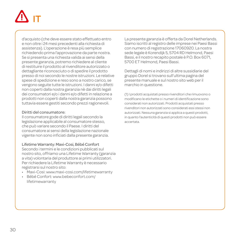

d'acquisto (che deve essere stato effettuato entro e non oltre i 24 mesi precedenti alla richiesta di assistenza). L'operazione è resa più semplice richiedendo prima l'approvazione da parte nostra. Se si presenta una richiesta valida ai sensi della presente garanzia, potremo richiedere al cliente di restituire il prodotto al rivenditore autorizzato o dettagliante riconosciuto o di spedire il prodotto presso di noi secondo le nostre istruzioni. Le relative spese di spedizione e reso sono a nostro carico, se vengono seguite tutte le istruzioni. I danni e/o difetti non coperti dalla nostra garanzia nè dai diritti legali dei consumatori e/o i danni e/o difetti in relazione a prodotti non coperti dalla nostra garanzia possono tuttavia essere gestiti secondo prezzi ragionevoli.

#### Diritti del consumatore:

Il consumatore gode di diritti legali secondo la legislazione applicabile al consumatore stesso, che può variare secondo il Paese. I diritti del consumatore ai sensi della legislazione nazionale vigente non sono inficiati dalla presente garanzia.

#### Lifetime Warranty: Maxi-Cosi, Bébé Confort

Secondo i termini e le condizioni pubblicati sul nostro sito, offriamo una Lifetime Warranty (garanzia a vita) volontaria del produttore ai primi utilizzatori. Per richiedere la Lifetime Warranty è necessario registrarsi sul nostro sito:

- Maxi-Cosi: www.maxi-cosi.com/lifetimewarranty
- Bébé Confort: www.bebeconfort.com/ lifetimewarranty

La presente garanzia è offerta da Dorel Netherlands. Siamo iscritti al registro delle imprese nei Paesi Bassi con numero di registrazione 17060920. La nostra sede legale è Korendijk 5, 5704 RD Helmond, Paesi Bassi, e il nostro recapito postale è P.O. Box 6071, 5700 ET Helmond, Paesi Bassi.

Dettagli di nomi e indirizzi di altre sussidiarie del gruppo Dorel si trovano sull'ultima pagina del presente manuale e sul nostro sito web per il marchio in questione.

(1) I prodotti acquistati presso rivenditori che rimuovono o modificano le etichette o i numeri di identificazione sono considerati non autorizzati. Prodotti acquistati presso rivenditori non autorizzati sono considerati essi stessi non autorizzati. Nessuna garanzia si applica a questi prodotti, in quanto l'autenticità di questi prodotti non può essere accertata.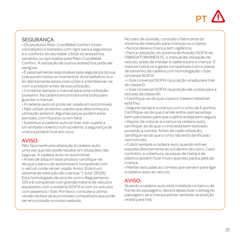

## **SEGURANCA**

• Os produtos Maxi-Cosi/Bébé Confort foram concebidos e testados com rigor para a segurança e o conforto do seu bebé. Utilize só acessórios vendidos ou aprovados pela Maxi-Cosi/Bébé Confort. A utilização de outros acessórios pode ser perigosa.

• É pessoalmente responsável pela segurança da sua criança em todos os momentos. Aconselhamo-lo a ler atentamente estas instruções e a familiarizar-se com o produto antes da sua utilização.

• Conserve sempre o manual para uma utilização posterior. Na cadeira encontrará uma bolsa para guardar o manual.

• A cadeira-auto só pode ser usada em automóveis.

• Não utilizar produtos usados que desconheça a utilização anterior. Algumas peças podem estar partidas, com fissuras ou em falta.

• Substituir a cadeira-auto se tiver sido sujeita a um embate violento num acidente: a segurança da criança poderá ficar em risco.

### AVISO:

Não faça nenhuma alteração à cadeira-auto, uma vez que isto pode resultar em situações não seguras. A cadeira-auto no automóvel:

• Antes de adquirir este produto certifique-se de que o banco do automóvel é compatível com o veículo onde vai ser usada. Aviso: Este é um sistema de retenção de crianças "i-Size" (R129). Esta homologado de acordo com o Regulamento 129 e é compatível com grande maioria de veículos equipados com o sistema ISOFIX e com os veículos com assentos i-Size. Por favor, consulte a ultima versão da lista de automóveis compatíveis que pode ser encontrada no nosso website.

No caso de dúvidas, consulte o fabricante do sistema de retenção para crianças ou o lojista.

• Nunca deixe a criança sem vigilância.

• Para a utilização do sistema de fixação ISOFIX ler, OBRIGATORIAMENTE, o manual de utilização do veículo, antes de instalar a cadeira para a criança. O manual indica os lugares compatíveis com a classe de tamanho da cadeira com homologação i-Size Universal ISOFIX.

• i-Size Universal ISOFIX na posição virada para trás de classe D.

• i-Size Universal ISOFIX na posição de costas para a estrada de classe B1.

• Certifique-se de que o banco traseiro rebatível está fixo.

• Segurar sempre a criança com o cinto de 5 pontos. Certifique-se de que o arnês entre-pernas esteja bem para baixo para que a pélvis esteja bem segura.

• Depois de colocar a criança na cadeira-auto, certifique-se de que o cinto está bem esticado puxando a correia. Antes de cada utilização, certifique-se de que o cinto não está danificado nem torcido.

• Cobrir sempre a cadeira-auto quando estiver exposta directamente ao sol dentro do carro. Caso contrário, a cobertura, as peças de metal e de plástico podem ficar muito quentes para a pele da criança.

• Manter esticadas as correias que servem para ligar a cadeira-auto ao veículo.

### AVISO:

Quando a cadeira-auto está instalada no banco da frente do passageiro, deverá desactivar o airbag do passageiro se a criança estiver sentada na posição virada para trás.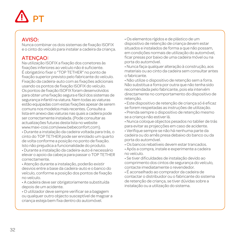# PT

## AVISO:

Nunca combinar os dois sistemas de fixação ISOFIX e o cinto do veículo para instalar a cadeira da criança.

# **ATENCAO:**

Na utilização ISOFIX a fixação dos conetores às fixações inferiores ao veículo não é suficiente. É obrigatório fixar o "TOP TETHER" no ponto de fixação superior previsto pelo fabricante do veículo. Fixação da cadeira-auto com as fixações adicionais usando os pontos de fixação ISOFIX do veículo. Os pontos de fixação ISOFIX foram desenvolvidos para obter uma fixação segura e fácil dos sistemas de segurança infantil na viatura. Nem todas as viaturas estão equipadas com estas fixações apesar de serem comuns nos modelos mais recentes. Consulte a lista em anexo das viaturas nas quais a cadeira pode ser correctamente instalada. (Pode consultar as actualizações futuras desta lista no website www.maxi-cosi.com/www.bebeconfort.com).

• Durante a instalação da cadeira voltada para trás, o cinto do TOP TETHER pode ser enrolado um quarto de volta conforme a posição no ponto de fixação. Isto não prejudica a funcionalidade do produto.

• Durante a instalação da cadeira-auto é necessário elevar o apoio da cabeça para passar o TOP TETHER correctamente.

• Atenção durante a instalação, poderão existir desvios entre a base da cadeira-auto e o banco do veículo, conforme a posição dos pontos de fixação no veículo.

• A cadeira deve ser obrigatoriamente substituída depois de um acidente.

• O utilizador deve sempre verificar se a bagagem ou qualquer outro objecto susceptível de magoar a criança esteja bem fixa dentro do automóvel.

• Os elementos rígidos e de plástico de um dispositivo de retenção de criança devem estar situados e instalados de forma a que não possam, em condições normais de utilização do automóvel, ficar presas por baixo de uma cadeira móvel ou na porta do automóvel.

• Nunca faça qualquer alteração à construção, aos materiais ou ao cinto da cadeira sem consultar antes o fabricante.

• Não utilize o dispositivo de retenção sem a forra. Não substitua a forra por outra que não tenha sido recomendada pelo fabricante, pois ela intervém directamente no comportamento do dispositivo de retenção.

• Este dispositivo de retenção de criança só é eficaz se forem respeitadas as instruções de utilização.

• Prenda sempre o dispositivo de retenção mesmo se a criança não estiver lá.

• Nunca coloque objectos pesados no tablier de trás para evitar as projecções em caso de acidente.

• Verifique sempre se não há nenhuma parte da cadeira ou do arnês presa debaixo do banco ou da porta do automóvel.

• Os bancos rebatíveis devem estar trancados.

• Após a compra, instale e experimente a cadeira no veículo.

• Se tiver dificuldades de instalação devido ao comprimento dos cintos de segurança do veículo, contacte imediatamente o revendedor.

• É aconselhado ao comprador da cadeira de contactar o distribuidor ou o fabricante do sistema de retenção de criança, se tiver dúvidas sobre a instalação ou a utilização do sistema.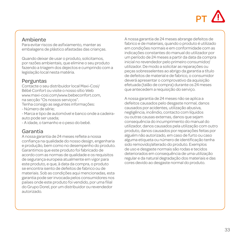# **DT**

## Ambiente

Para evitar riscos de asfixiamento, manter as embalagens de plástico afastadas das crianças.

Quando deixar de usar o produto, solicitamos, por razões ambientais, que elimine o seu produto fazendo a triagem dos dejectos e cumprindo com a legislação local nesta matéria.

## Perguntas

Contacte o seu distribuidor local Maxi-Cosi/ Bébé Confort ou visite o nosso sítio Web www.maxi-cosi.com/www.bebeconfort.com, na secção "Os nossos serviços".

- Tenha consigo as seguintes informações:
- Número de série;
- Marca e tipo de automóvel e banco onde a cadeiraauto pode ser usada;
- A idade, o tamanho e o peso do bebé.

### Garantia

A nossa garantia de 24 meses reflete a nossa confiança na qualidade do nosso design, engenharia e produção, bem como no desempenho do produto. Garantimos que este produto foi fabricado de acordo com as normas de qualidade e os requisitos de segurança europeia atualmente em vigor para este produto, e que, à data da compra, o produto se encontra isento de defeitos de fabrico ou de materiais. Sob as condições aqui mencionadas, esta garantia pode ser invocada pelos consumidores nos países onde este produto foi vendido, por uma filial do Grupo Dorel, por um distribuidor ou revendedor autorizado.

A nossa garantia de 24 meses abrange defeitos de fabrico e de materiais, quando o produto é utilizado em condições normais e em conformidade com as indicações constantes do manual do utilizador por um período de 24 meses a partir da data da compra inicial no revendedor pelo primeiro consumidor/ utilizador. De modo a solicitar as reparações ou peças sobresselentes ao abrigo da garantia a título de defeitos de material e de fabrico, o consumidor deverá apresentar o comprovativo da aquisição efetuada (talão de compra) durante os 24 meses que antecedem a requisição do serviço.

A nossa garantia de 24 meses não se aplica a defeitos causados pelo desgaste normal, danos causados por acidentes, utilização abusiva, negligência, incêndio, contacto com líquidos ou outras causas externas, danos que sejam consequência do incumprimento do manual do utilizador, danos causados pela utilização com outro produto, danos causados por reparações feitas por alguém não autorizado, em caso de furto ou caso alguma etiqueta ou número de identificação tenha sido removido/alterado do produto. Exemplos de uso e desgaste normais são rodas e tecidos deteriorados em consequência de uma utilização regular e da natural degradação dos materiais e das cores devido ao desgaste normal do produto.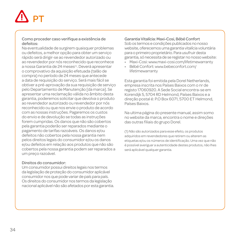# PT

#### Como proceder caso verifique a existência de defeitos:

Na eventualidade de surgirem quaisquer problemas ou defeitos, a melhor opção para obter um serviço rápido será dirigir-se ao revendedor autorizado ou ao revendedor por nós reconhecido que reconhece a nossa Garantia de 24 meses(1). Deverá apresentar o comprovativo da aquisição efetuada (talão de compra) no período de 24 meses que antecede a data de requisição do serviço. Será mais fácil se obtiver a pré-aprovação da sua requisição de serviço pelo Departamento de Manutenção [da marca]. Se apresentar uma reclamação válida no âmbito desta garantia, poderemos solicitar que devolva o produto ao revendedor autorizado ou revendedor por nós reconhecido ou que nos envie o produto de acordo com as nossas instruções. Pagaremos os custos do envio e de devolução se todas as instruções forem cumpridas. Os danos que não são cobertos pela garantia poderão ser reparados mediante o pagamento de tarifas razoáveis. Os danos e/ou defeitos não cobertos pela nossa garantia nem pelos direitos legais do consumidor e/ou os danos e/ou defeitos em relação aos produtos que não são cobertos pela nossa garantia podem ser reparados a um preço razoável.

#### Direitos do consumidor:

Um consumidor possui direitos legais nos termos da legislação de proteção do consumidor aplicável consumidor nos que pode variar de país para país. Os direitos do consumidor nos termos da legislação nacional aplicável não são afetados por esta garantia.

#### Garantia Vitalícia: Maxi-Cosi, Bébé Confort

Sob os termos e condições publicados no nosso website, oferecemos uma garantia vitalícia voluntária para o primeiro proprietário. Para usufruir desta garantia, só necessita de se registar no nosso website:

- Maxi-Cosi: www.maxi-cosi.com/lifetimewarranty
- Bébé Confort: www.bebeconfort.com/ lifetimewarranty

Esta garantia foi emitida pela Dorel Netherlands, empresa inscrita nos Países Baixos com o nr de registo 17060920. A Sede Social encontra-se em Korendijk 5, 5704 RD Helmond, Países Baixos e a direção postal é: P.O Box 6071, 5700 ET Helmond, Países Baixos.

Na ultima página do presente manual, assim somo no website da marca, encontra o nome e direções das outras filiais do grupo Dorel.

(1) Não são autorizados para esse efeito, os produtos adquiridos em revendedores que retirem ou alterem as etiquetas e/ou os números de identificação. Uma vez que não é possível averiguar a autenticidade destes produtos, não lhes será aplicável qualquer garantia.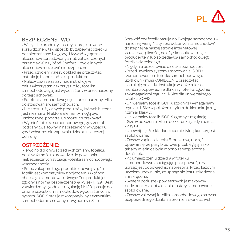# PL

# BEZPIECZEŃSTWO

• Wszystkie produkty zostały zaprojektowane i sprawdzone w taki sposób, by zapewnić dziecku bezpieczeństwo i wygodę. Używać wyłącznie akcesoriów sprzedawanych lub zatwierdzonych przez Maxi-Cosi/Bébé Confort. Użycie innych akcesoriów może być niebezpieczne.

• Przed użyciem należy dokładnie przeczytać instrukcję i zapoznać się z produktem.

• Należy zawsze zatrzymać instrukcję w celu wykorzystania w przyszłości; fotelika samochodowego jest wyposażony w przeznaczony do tego schowek.

• Fotelika samochodowego jest przeznaczony tylko do stosowania w samochodach.

• Nie stosuj używanych produktów, których historia jest nieznana. Niektóre elementy mogą być uszkodzone, podarte lub może ich brakować.

• Wymień fotelika samochodowego, gdy został poddany gwałtownym naprężeniom w wypadku, gdyż wówczas nie zapewnia dziecku najlepszej ochrony.

# OSTRZEŻENIE:

Nie wolno dokonywać żadnych zmian w foteliku, ponieważ może to prowadzić do powstania niebezpiecznych sytuacji. Fotelika samochodowego w samochodzie:

• Przed zakupem tego produktu upewnij się, że fotelik jest kompatybilny z pojazdem, w którym chcesz go zamontować. Uwaga: Ten produkt jest zgodny z normą bezpieczeństwa i-Size (R 129). Jest zatwierdzony zgodnie z regulacją Nr 129 i pasuje do prawie wszystkich samochodów wyposażonych w system ISOFIX oraz jest kompatybilny z wszystkimi samochodami tesowanymi wg normy i-Size.

Sprawdź czy fotelik pasuje do Twojego samochodu w najnoszej wersji "listy sprawdzonych samochodów" dostępnej na naszej stronie internetowej. W razie wątpliwości, należy skonsultować się z producentem lub sprzedawcą samochodowego fotelika dziecięcego.

• Nigdy nie pozostawiać dziecka bez nadzoru.

• Przed użyciem systemu mocowania ISOFIX i zamontowaniem fotelika samochodowego, użytkownik musi KONIECZNIE przeczytać instrukcję pojazdu. Instrukcja wskaże miejsca montażu odpowiednie dla klasy fotelika, zgodnie z wymaganiami regulacji i-Size dla uniwersalnego fotelika ISOFIX.

• Uniwersalny fotelik ISOFIX zgodny z wymaganiami regulacji i-Size w położeniu tyłem do kierunku jazdy, rozmiar klasy D.

• Uniwersalny fotelik ISOFIX zgodny z regulacją i-Size w położeniu tyłem do kierunku jazdy, rozmiar klasy B1.

• Upewnij się, że składane oparcie tylnej kanapy jest zablokowane.

• Zawsze zapinaj dziecku 5-punktową uprząż. Upewnij się, że pasy biodrowe przebiegają nisko, tak aby miednica była mocno zabezpieczona i dociśnięta.

• Po umieszczeniu dziecka w foteliku

samochodowym naciągając pas sprawdź, czy uprząż jest odpowiednio naprężona. Przed każdym użyciem upewnij się, że uprząż nie jest uszkodzona ani skręcona.

• System poduszek powietrznych jest aktywny, kiedy punkty zakotwiczenia zostały zamocowane i zablokowane.

• Zawsze zakrywaj fotelika samochodowego na czas bezpośredniego działania promieni słonecznych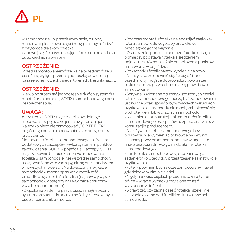

w samochodzie. W przeciwnym razie, osłona, metalowe i plastikowe części mogą się nagrzać i być zbyt gorące dla skóry dziecka.

• Upewnij się, że pasy mocujące fotelik do pojazdu są odpowiednio naprężone.

# OSTRZEŻENIE:

 Przed zamontowaniem fotelika na przednim fotelu pasażera, wyłącz przednią poduszkę powietrzną pasażera, jeśli dziecko siedzi tyłem do kierunku jazdy.

# OSTRZEŻENIE:

Nie wolno stosować jednocześnie dwóch systemów montażu: za pomocą ISOFIX i samochodowego pasa bezpieczeństwa.

## UWAGA:

W systemie ISOFIX użycie zacisków dolnego mocowania w pojeździe jest niewystarczające. Należy ko niecz nie zamocować "TOP TETHER" do górnego punktu mocowania, zalecanego przez producenta.

Montowanie fotelika samochodowego z użyciem dodatkowych zaczepów i wykorzystaniem punktów zakotwiczenia ISOFIX w pojeździe. Zaczepy ISOFIX mają zapewnić bezpieczne i łatwe mocowanie fotelika w samochodzie. Nie wszystkie samochody są wyposażone w te zaczepy, ale są one standardem w nowszych modelach. Na dołączonym wykazie samochodów można sprawdzić możliwość prawidłowego montażu fotelika (najnowszy wykaz samochodów dostępny na www.maxi-cosi.com/ www.bebeconfort.com).

• Złączka nakładek na pasy posiada magnetyczny system zamykania, który nie może być stosowany u osób z rozrusznikiem serca.

• Podczas montażu fotelika należy zdjąć zagłówek fotela samochodowego, aby prawidłowo przeciągnąć górne wiązanie.

• Ostrzeżenie: podczas montażu fotelika odstęp pomiędzy podstawą fotelika a siedzeniem pojazdu jest różny, zależnie od położenia punktów mocowania w pojeździe.

• Po wypadku fotelik należy wymienić na nowy.

• Należy zawsze upewnić się, że bagaż i inne przed mio ty mogące doprowadzić do obrażeń ciała dziecka w przypadku kolizji są prawidłowo zamocowane.

• Sztywne i wykonane z tworzyw sztucznych części fotelika samochodowego muszą być zamocowane i ustawione w taki sposób, by w zwykłych warunkach użytkowania samochodu nie mogły zablokować się pod fotelikiem lub w drzwiach samochodu.

• Nie zmieniać konstrukcji ani materiałów fotelika samochodowego oraz pasów bezpieczeństwa bez konsultacji z producentem.

• Nie używać fotelika samochodowego bez pokrowca. Nie wymieniać pokrowca na inny niż zalecany przez producenta, ponieważ będzie to miało bezpośredni wpływ na działanie fotelika samochodowego.

• Ten fotelika samochodowego spełnia swoje zadanie tylko wtedy, gdy przestrzegane są instrukcje użytkowania.

• Fotelik powinien być zawsze zamocowany, nawet gdy dziecko w nim nie siedzi.

• Nigdy nie kłaść ciężkich przedmiotów na tylnej półce – w razie wypadku mogą one zostać wyrzucone z dużą siłą.

• Sprawdzić, czy żadna część fotelika i szelek nie jest zablokowana pod fotelikiem lub w drzwiach samochodu.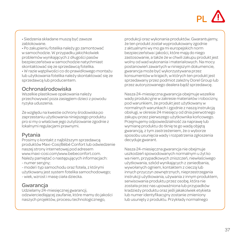# PL

• Siedzenia składane muszą być zawsze zablokowane.

• Po zakupieniu fotelika należy go zamontować w samochodzie. W przypadku jakichkolwiek problemów wynikających z długości pasów bezpieczeństwa w samochodzie natychmiast skontaktować się ze sprzedawcą fotelika.

• W razie wątpliwości co do prawidłowego montażu lub użytkowania fotelika należy skontaktować się ze sprzedawcą lub producentem.

# Ochronaśrodowiska

Wszelkie plastikowe opakowania należy przechowywać poza zasięgiem dzieci z powodu ryzyka uduszenia.

Ze względu na kwestie ochrony środowiska po zaprzestaniu użytkowania niniejszego produktu pro si my o właściwe jego zutylizowanie zgodnie z lokalnymi regulacjami prawnymi.

# Pytania

Prosimy o kontakt z najbliższym sprzedawcą produktów Maxi-Cosi/Bébé Confort lub odwiedzenie naszej strony internetowej pod adresem www.maxi-cosi.com/www.bebeconfort.com. Należy pamiętać o następujących informacjach: - numer seryjny;

- model i typ samochodu oraz fotela, z którymi użytkowany jest system fotelika samochodowego; - wiek, wzrost i masę ciała dziecka.

# Gwarancia

Udzielamy 24-miesięcznej gwarancji, odzwierciedlającej zaufanie, które mamy do jakości naszych projektów, procesu technologicznego,

produkcji oraz wykonania produktów. Gwarantujemy, że ten produkt został wyprodukowany zgodnie z aktualnymi wy mo ga mi europejskich norm bezpieczeństwa i jakości, które mają do niego zastosowanie, a także że w chwili zakupu produkt jest wolny od wad wykonania i materiałowych. Na mocy postanowień zawartych w niniejszym dokumencie, gwarancja może być wykorzystywana przez konsumentów w krajach, w których ten produkt jest sprzedawany przez podmiot zależny Dorel Group lub przez autoryzowanego dealera bądź sprzedawcę.

Nasza 24-miesięczna gwarancja obejmuje wszelkie wady produkcyjne w zakresie materiałów i robocizny, pod warunkiem, że produkt jest użytkowany w normalnych warunkach i zgodnie z naszą instrukcją obsługi, w okresie 24 miesięcy od dnia pierwotnego zakupu przez pierwszego użytkownika końcowego. Przejmujemy odpowiedzialność za naprawę lub wymianę produktu do tknię te go wadą objętą gwarancją, z tym zastrzeżeniem, że o wyborze sposobu usunięcia wady i rozpatrzenia zgłoszenia decyduje gwarant.

Nasza 24-miesięczna gwarancja nie obejmuje uszkodzeń spowodowanych normalnym u żyt ko wa niem, przypadkowych zniszczeń, niewłaściwego użytkowania, szkód wynikających z zaniedbania, wywołanych ogniem, kontaktem z cieczą lub innych przyczyn zewnętrznych, nieprzestrzegania instrukcji użytkowania, używania z innym produktem, serwisowania produktu przez osobę, która nie została przez nas upoważniona lub przypadków kradzieży produktu oraz jeśli jakakolwiek etykieta lub numer identyfikacyjny zostanie zmieniony lub usunięty z produktu. Przykłady normalnego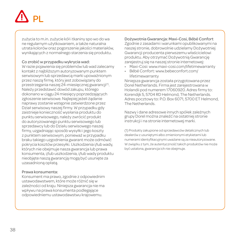# PL

zużycia to m.in. zużycie kół i tkaniny spo wo do wa ne regularnym użytkowaniem, a także naturalna utrata kolorów oraz pogorszenie jakości materiałów, wynikających z normalnego starzenia się produktu.

#### Co zrobić w przypadku wykrycia wad:

W razie pojawienia się problemów lub wad zalecamy kontakt z najbliższym autoryzowanym punktem serwisowym lub sprzedawcą marki upoważnionym przez naszą firmę, który jest zobowiązany do przestrzegania naszej 24-miesięcznej gwarancji<sup>(1)</sup>. Należy przedstawić dowód zakupu, którego dokonano w ciągu 24 miesięcy poprzedzających zgłoszenie serwisowe. Najlepiej jeżeli żądanie naprawy zostanie wstępnie zatwierdzone przez Dział serwisowy naszej firmy. W przypadku gdy zaistnieje konieczność wysłania produktu do punktu serwisowego, należy zwrócić produkt do autoryzowanego punktu serwisowego lub sprzedawcy lub do Działu serwisowego naszej firmy, uzgadniając sposób wysyłki i jego koszty z punktem serwisowym, ponieważ w przypadku braku takiego uzgodnienia gwarant może odmówić pokrycia kosztów przesyłki. Uszkodzenia i/lub wady, których nie obejmuje nasza gwarancja lub prawa konsumenta, i/lub uszkodzenia, i/lub wady produktu nieobjęte naszą gwarancją mogą być usunięte za uzasadnioną opłatą.

#### Prawa konsumenta:

Konsument ma prawo, zgodnie z odpowiednim ustawodawstwem, które może różnić się w zależności od kraju. Niniejsza gwarancja nie ma wpływu na prawa konsumenta podlegające odpowiedniemu ustawodawstwu krajowemu.

Dożywotnia Gwarancja: Maxi-Cosi, Bébé Confort Zgodnie z zasadami i warunkami opublikowanymi na naszej stronie, dobrowolnie udzielamy Dożywotniej Gwarancji producenta pierwszemu właścicielowi produktu. Aby otrzymać Dożywotnią Gwarancję zarejestruj się na naszej stronie internetowej:

- Maxi-Cosi: www.maxi-cosi.com/lifetimewarranty
- Bébé Confort: www.bebeconfort.com/ lifetimewarranty

Niniejsza gwarancja została przygotowana przez Dorel Netherlands. Firma jest zarejestrowana w Holandii pod numerem 17060920. Adres firmy to: Korendijk 5, 5704 RD Helmond, The Netherlands. Adres pocztowy to: P.O. Box 6071, 5700 ET Helmond, The Netherlands.

Nazwy i dane adresowe innych spółek zależnych grupy Dorel można znaleźć na ostatniej stronie instrukcji i na stronie internetowej marki.

(1) Produkty zakupione od sprzedawców detalicznych lub dealerów z usuniętymi albo zmienionymi etykietami lub numerami identyfikacyjnymi uważane są za nieautoryzowane. W związku z tym, że autentyczność takich produktów nie może być ustalona, gwarancja ich nie obejmuje.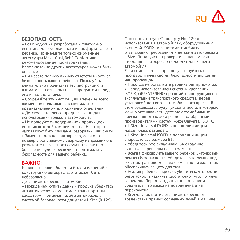

# **БЕЗОПАСНОСТЬ**

• Вся продукция разработана и тщательно испытана для безопасности и комфорта вашего ребенка. Применяйте только фирменные аксессуары Maxi-Cosi/Bébé Confort или рекомендованные производителем. Использование других аксессуаров может быть опасным.

• Вы несете полную личную ответственность за безопасность вашего ребенка. Пожалуйста, внимательно прочитайте эту инструкцию и внимательно ознакомьтесь с продуктом перед его использованием.

• Сохраняйте эту инструкцию в течение всего времени использования в специально предназначенном для хранения отделении.

• Детское автокресло предназначено для использования только в автомобиле.

• Не пользуйтесь подержанной продукцией, история которой вам неизвестна. Некоторые части могут быть сломаны, разорваны или сняты.

• Замените детское автокресло, если оно подверглось сильному ударному напряжению в результате несчастного случая, так как оно больше не будет обеспечивать оптимальную безопасность для вашего ребенка.

### **ВАЖНО:**

Не вносите каких бы то ни было изменений в конструкцию автокресла, это может быть небезопасно.

Детское автокресло в автомобиле:

• Прежде чем купить данный продукт убедитесь, что автокресло совместимо с транспортным средством. Примечание: Это автокресло с системой безопасности для детей i-Size (R 129).

Оно соответствует Стандарту No. 129 для использования в автомобилях, оборудованных системой ISOFIX, и во всех автомобилях, отвечающих требованиям к детским автокреслам i-Size. Пожалуйста, проверьте на нашем сайте, что данное автокресло подходит для Вашего автомобиля.

Если сомневаетесь, проконсультируйтесь с производителем систем безопасности для детей или продавцом.

• Никогда не оставляйте ребенка без присмотра.

• Перед использованием системы креплений ISOFIX, ОБЯЗАТЕЛЬНО прочитайте инструкцию по эксплуатации транспортного средства, перед установкой детского автомобильного кресла. В этом руководстве будут указаны места, в которых можно устанавливать детские автомобильные кресла данного класса размера, одобренные производителями систем i-Size Universal ISOFIX.

• i-Size Universal ISOFIX в положении лицом назад, класс размера D.

• i-Size Universal ISOFIX в положении лицом вперед, класс размера B1.

• Убедитесь, что складывающиеся задние сиденья закреплены на своем месте.

• Всегда фиксируйте вашего ребенок 5-точковым ремнем безопасности. Убедитесь, что ремни под животом расположены максимально низко, чтобы обеспечивать защиту для таза.

• Усадив ребенка в кресло, убедитесь, что ремни безопасности натянуты достаточно туго, потянув за ремень. Перед каждым использованием убедитесь, что лямка не повреждена и не перекручена.

• Всегда укрывайте детское автокресло от воздействия прямых солнечных лучей в машине.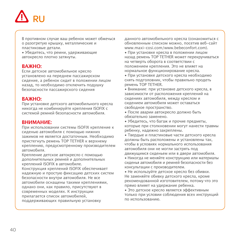

В противном случае ваш ребенок может обжечься о разогретую крышку, металлические и пластиковые детали.

• Убедитесь, что ремни, удерживающие автокресло плотно затянуты.

#### **ВАЖНО:**

Если детское автомобильное кресло установлено на переднем пассажирском сидение, а ребенок сидит в положении лицом назад, то необходимо отключить подушку безопасности пассажирского сидения

### **ВАЖНО:**

При установке детского автомобильного кресла никогда не комбинируйте крепления ISOFIX с системой ремней безопасности автомобиля.

#### **ВНИМАНИЕ:**

При использовании системы ISOFIX крепление к сиденью автомобиля с помощью нижних зажимов не является достаточным. Необходимо пристегнуть ремень TOP TETHER к верхнему креплению, предусмотренному производителем автомобиля.

Крепление детское автокресло с помощью дополнительных ремней и дополнительных креплений ISOFIX в автомобиле.

Конструкция креплений ISOFIX обеспечивает надежную и простую фиксацию детских систем безопасности внутри автомобиля. Не все автомобили оснащены такими креплениями, однако они, как правило, присутствуют в современных моделях. К инструкции прилагается список автомобилей, поддерживающих правильную установку

данного автомобильного кресла (ознакомиться с обновленным списком можно, посетив веб-сайт www.maxi-cosi.com/www.bebeconfort.com).

• При установке кресла в положении лицом назад ремень TOP TETHER может перекручиваться на четверть оборота в соответствии с положением крепления. Это не влияет на нормальное функционирование кресла.

• При установке детского кресла необходимо снять подголовник, чтобы правильно продеть ремень TOP TETHER.

• Внимание: при установке детского кресла, в зависимости от расположения креплений на сидениях автомобиля, между креслом и сидением автомобиля может оставаться свободное пространство.

• После аварии автокресло должно быть обязательно заменено.

• Убедитесь, что багаж и прочие предметы, которые при столкновении могут нанести травмы ребенку, надежно закреплены.

• Твердые и пластиковые части детского кресла должны быть расположены и установлены так, чтобы в условиях нормального использования автомобиля они не могли застрять под движущимся сиденьем или в двери автомобиля. • Никогда не меняйте конструкцию или материалы

сиденья автомобиля и ремней безопасности без консультации с производителем.

• Не используйте детское кресло без обивки. Не заменяйте обивку детского кресла, кроме рекомендованной изготовителем, потому что это прямо влияет на удержание ребенка.

• Это детское кресло является эффективным только при условии соблюдения всех инструкций по использованию.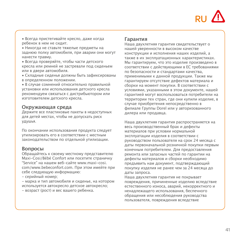

• Всегда пристегивайте кресло, даже когда ребенок в нем не сидит.

• Никогда не ставьте тяжелые предметы на заднюю полку автомобиля, при аварии они могут нанести травму.

• Всегда проверяйте, чтобы части детского кресла или ремней не застревали под сиденьем или в двери автомобиля.

• Складные сиденья должны быть зафиксированы в определенном положении.

• В случае сомнений относительно правильной установки или использования детского кресла рекомендуем связаться с дистрибьютором или изготовителем детского кресла.

#### **Окружающая среда**

Держите все пластиковые пакеты в недоступных для детей местах, чтобы не допускать риск удушья.

По окончании использования продукта следует утилизировать его в соответствии с местным законодательством по отдельной утилизации.

#### **Вопросы**

Обращайтесь к своему местному представителю Maxi-Cosi/Bébé Confort или посетите страничку "Service" на нашем веб-сайте www.maxi-cosi. com/www.bebeconfort.com. При этом имейте при себе следующую информацию:

- серийный номер;

- марка и тип автомобиля и сиденье, на котором используется автокресло детское автокресло;

- возраст (рост) и вес вашего ребенка.

#### **Гарантия**

Наша двухлетняя гарантия свидетельствует о нашей уверенности в высоком качестве конструкции и исполнения наших изделий, а также в их эксплуатационных характеристиках. Мы гарантируем, что это изделие произведено в соответствии с действующими в ЕС требованиями по безопасности и стандартами качества, применимыми к данной продукции. Также мы гарантируем отсутствие дефектов материала и сборки на момент покупки. В соответствии с условиями, указанными в этом документе, нашей гарантией могут воспользоваться потребители на территории тех стран, где они купили изделие, в случае приобретения непосредственно в филиале Группы Dorel или у авторизованного дилера или продавца.

Наша двухлетняя гарантия распространяется на весь производственный брак и дефекты материалов при условии нормальной эксплуатации изделия в соответствии с руководством пользователя на срок 24 месяца с даты первоначальной розничной покупки первым конечным потребителем. Для предоставления ремонта или запасных частей по гарантии на дефекты материалов и сборки необходимо предъявить нам документ, подтверждающий покупку изделия не ранее чем за 24 месяца до даты запроса.

Наша двухлетняя гарантия не покрывает повреждения, причиненные изделию вследствие естественного износа, аварий, некорректного и ненадлежащего использования, беспечного обращения или несоблюдения руководства пользователя, повреждения вследствие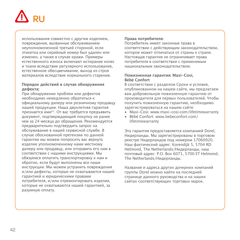

использования совместно с другим изделием,<br>повреждения вызванные обслуживанием повреждения, вызванные обслуживанием неуполномоченной третьей стороной, если этикетка или серийный номер был удален или изменен, а также в случае кражи. Примеры естественного износа включают истирание колес и ткани вследствие регулярного использования, естественное обесцвечивание, выход из строя материалов вследствие нормального старения.

#### **Порядок действий в случае обнаружения дефекта:**

При обнаружении проблем или дефектов необходимо немедленно обратиться к официальному дилеру или розничному продавцу нашей продукции. Наша двухлетняя гарантия признается ими(1). От вас требуется предъявить документ, подтверждающий покупку не ранее чем за 24 месяца до обращения. Рекомендуется предварительно подтвердить запрос на обслуживание в нашей сервисной службе. В случае обоснованной претензии по данной гарантии мы можем попросить вас вернуть изделие уполномоченному нами местному дилеру или продавцу, или отправить его нам в соответствии с нашими инструкциями. Мы обязуемся оплатить транспортировку к нам и обратно, если будут выполнены все наши инструкции. Мы можем устранить повреждения и/или дефекты, которые не охватываются нашей гарантией и юридическими правами потребителя, и/или отремонтировать изделия, которые не охватываются нашей гарантией, за разумную оплату.

#### **Права потребителя:**

Потребитель имеет законные права в соответствии с действующим законодательством, которое может отличаться от страны к стране. Настоящая гарантия не ограничивает права потребителя в соответствии с применимым национальным законодательством.

#### **Пожизненная гарантия: Maxi-Cosi, Bébé Confort**

В соответствии с разделом Сроки и условия, опубликованном на нашем сайте, мы предлагаем вам добровольную пожизненную гарантию от производителя для первых пользователей. Чтобы получить пожизненную гарантию, необходимо зарегистрироваться на нашем сайте:

- Maxi-Cosi: www.maxi-cosi.com/lifetimewarranty
- Bébé Confort: www.bebeconfort.com/ lifetimewarranty

Эта гарантия предоставляется компанией Dorel, Нидерланды. Мы зарегистрированы в торговом реестре Нидерландов под номером 17060920. Наш фактический адрес: Korendijk 5, 5704 RD Helmond, The Netherlands/Нидерланды, наш почтовый адрес: P.O. Box 6071, 5700 ET Helmond, The Netherlands/Нидерланды.

Названия и адреса других дочерних компаний группы Dorel можно найти на последней странице данного руководства и на наших сайтах соответствующих торговых марок.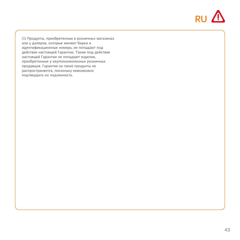

(1) Продукты, приобретенные в розничных магазинах или у дилеров, которые меняют бирки и идентификационные номера, не попадают под действие настоящей Гарантии. Также под действие настоящей Гарантии не попадают изделия, приобретенные у неуполномоченных розничных продавцов. Гарантия на такие продукты не распространяется, поскольку невозможно подтвердить их подлинность.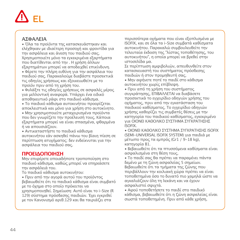# EL

# **ΑΣΦΑΛΕΙΑ**

• Όλα τα προϊόντα της κατασκευάστηκαν και ελέχθηκαν με ιδιαίτερη προσοχή και φροντίδα για την ασφάλεια και άνεση του παιδιού σας. Χρησιμοποιείτε μόνο τα εγκεκριμένα εξαρτήματα που διατίθενται από την . Η χρήση άλλων εξαρτημάτων μπορεί να αποδειχθεί επικίνδυνη.

• Φέρετε την πλήρη ευθύνη για την ασφάλεια του παιδιού σας. Παρακαλούμε διαβάστε προσεκτικά τις οδηγίες χρήσεως και εξοικειωθείτε με το προϊόν πριν από τη χρήση του.

• Φυλάξτε τις οδηγίες χρήσεως σε ασφαλές μέρος για μελλοντική αναφορά. Υπάρχει ένα ειδικό αποθηκευτικό ράφι στο παιδικό κάθισμα.

• Το παιδικό κάθισμα αυτοκινήτου προορίζεται αποκλειστικά και μόνο για χρήση στο αυτοκίνητο.

• Μην χρησιμοποιείτε μεταχειρισμένα προϊόντα που δεν γνωρίζετε την προέλευσή τους. Κάποια εξαρτήματα μπορεί να είναι σπασμένα, φθαρμένα ή να απουσιάζουν.

• Αντικαταστήστε το παιδικό κάθισμα αυτοκινήτου εάν ασκηθεί πάνω του βίαιη πίεση σε περίπτωση ατυχήματος: δεν ενδείκνυται για την ασφάλεια του παιδιού σας.

# **ΠΡΟΕΙΔΟΠΟΙΗΣΗ**

Μην επιφέρετε οποιαδήποτε τροποποίηση στο παιδικό κάθισμα, καθώς μπορεί να επηρεάσετε την ασφάλειά του.

Το παιδικό κάθισμα αυτοκινήτου:

• Πριν από την αγορά αυτού του προϊόντος βεβαιωθείτε ότι το παιδικό κάθισμα είναι συμβατό με το όχημα στο οποίο πρόκειται να

χρησιμοποιηθεί. Σημείωση: Αυτό είναι το i-Size (R 129) σύστημα πρόσδεσης παιδιών. Έχει εγκριθεί με τον Κανονισμό αριθ.129 και θα ταιριάζει στα

περισσότερα οχήματα που είναι εξοπλισμένα με ISOFIX, και σε όλα τα i-Size συμβατά καθίσματα αυτοκινήτου. Παρακαλώ συμβουλευθείτε την τελευταία έκδοση της "λίστας τοποθέτησης, του αυτοκινήτου", η οποία μπορεί να βρεθεί στην ιστοσελίδα μα.

Σε περίπτωση αμφιβολιών, απευθυνθείτε στον κατασκευαστή του συστήματος πρόσδεσης παιδιών ή στον προμηθευτή σας.

• Μην αφήνετε ποτέ το παιδί στο κάθισμα αυτοκινήτου χωρίς επίβλεψη.

• Πριν από τη χρήση του συστήματος συγκράτησης, ΕΠΙΒΑΛΛΕΤΑΙ να διαβάσετε προσεκτικά το εγχειρίδιο οδηγιών χρήσης του οχήματος, πριν από την εγκατάσταση του παιδικού καθίσματος. Το εγχειρίδιο οδηγιών χρήσης καθορίζει τις συμβατές θέσεις με την κατηγορία του παιδικού καθίσματος, εγκεκριμένο για ΟΙΟΝΕΙ ΚΑΘΟΛΙΚΟ ΣΥΣΤΗΜΑ ΣΥΓΚΡΑΤΗΣΗΣ ISOFIX.

• ΟΙΟΝΕΙ ΚΑΘΟΛΙΚΟ ΣΥΣΤΗΜΑ ΣΥΓΚΡΑΤΗΣΗΣ ISOFIX (SEMI-UNIVERSAL ISOFIX SYSTEM) για παιδιά με μέτωπο προς τα εμπρός (Gr1 / 9-18 kg), κατηγορία B1.

• Βεβαιωθείτε ότι τα πτυσσόμενα καθίσματα είναι ασφαλισμένα στη θέση τους.

• Το παιδί σας θα πρέπει να παραμένει πάντα δεμένο με τη ζώνη ασφαλείας 5 σημείων. Βεβαιωθείτε ότι τα τμήματα της ζώνης που περιβάλλουν την κοιλιακή χώρα πρέπει να είναι τοποθετημένα όσο το δυνατό πιο χαμηλά ώστε να αγκαλιάζουν όλη τη λεκάνη και να έχουν ασφαλιστεί σφιχτά.

• Αφού τοποθετήσετε το παιδί στο παιδικό κάθισμα, βεβαιωθείτε ότι η ζώνη ασφαλείας είναι σωστά τοποθετημένη. Πριν από κάθε χρήση,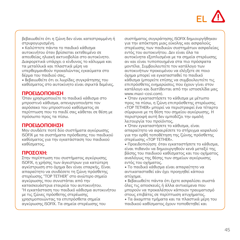

βεβαιωθείτε ότι η ζώνη δεν είναι κατεστραμμένη ή στριφογυρισμένη.

• Καλύπτετε πάντα το παιδικό κάθισμα αυτοκινήτου όταν βρίσκεται εκτεθειμένο σε απευθείας ηλιακή ακτινοβολία στο αυτοκίνητο. Διαφορετικά υπάρχει ο κίνδυνος το κάλυμμα και τα μεταλλικά και πλαστικά μέρη να υπερθερμανθούν προκαλώντας εγκαύματα στο δέρμα του παιδιού σας.

• Βεβαιωθείτε ότι οι λωρίδες συγκράτησης του καθίσματος στο αυτοκίνητο είναι σφικτά δεμένες.

### **ΠΡΟΕΙΔΟΠΟΙΗΣΗ**

Όταν χρησιμοποιείτε το παιδικό κάθισμα στο μπροστινό κάθισμα, απενεργοποιήστε τον αερόσακο του μπροστινού καθίσματος σε περίπτωση που το παιδί σας κάθεται σε θέση με πρόσωπο προς τα πίσω.

### **ΠΡΟΕΙΔΟΠΟΙΗΣΗ**

Mην συνδέετε ποτέ δύο συστήματα αγκύρωσης ISOFIX με τα συστήματα πρόσδεσης του παιδικού καθίσματος για την εγκατάσταση του παιδικού καθίσματος.

### **ΠΡΟΣΟΧΗ:**

Στην περίπτωση του συστήματος αγκύρωσης ISOFIX, η χρήσης των άγκιστρων για κατώτερη αγκίστρωση στο όχημα δεν είναι επαρκής. Είναι απαραίτητο να συνδέσετε τη ζώνη πρόσθετης στερέωσης "TOP TETHER" στο ανώτερο σημείο αγκύρωσης που συνιστάται από την κατασκευάστρια εταιρεία του αυτοκινήτου. "Η εγκατάσταση του παιδικό κάθισμα αυτοκινήτου με τις ζώνες πρόσθετης στερέωσης χρησιμοποιώντας τα επιπρόσθετα σημεία αγκύρωσης ISOFIX. Τα σημεία στερέωσης του

συστήματος συγκράτησης ISOFIX δημιουργήθηκαν για την απόκτηση μιας εύκολης και ασφαλούς στερέωσης των παιδικών συστημάτων ασφαλείας εντός του αυτοκινήτου. Δεν είναι όλα τα αυτοκίνητα εξοπλισμένα με τα σημεία στερέωσης αν και είναι τυποποιημένα στα πιο πρόσφατα μοντέλα. Συμβουλευτείτε τον κατάλογο των αυτοκινήτων προκειμένου να ελέγξετε σε ποιο όχημα μπορεί να εγκατασταθεί το παιδικό κάθισμα (μπορείτε επίσης να συμβουλευτείτε τις επιπρόσθετες ενημερώσεις που έχουν γίνει στον κατάλογο και διατίθενται από την ιστοσελίδα μας www.maxi-cosi.com).

• Όταν εγκαταστήσετε το κάθισμα με μέτωπο προς τα πίσω, η ζώνη επιπρόσθετης στερέωσης «TOP TETHER» μπορεί να περιστραφεί ένα τέταρτο σύμφωνα με τη θέση του σημείου αγκύρωσης. Η περιστροφή αυτή δεν εμποδίζει την ομαλή λειτουργία του προϊόντος.

• Όταν εγκαταστήσετε το κάθισμα, είναι απαραίτητο να αφαιρέσετε το στήριγμα κεφαλιού για την ορθή τοποθέτηση της ζώνης πρόσθετης στερέωσης «TOP TETHER».

• Προειδοποίηση: όταν εγκαταστήσετε το κάθισμα, είναι πιθανόν να δημιουργηθούν κενά μεταξύ της βάσης του παιδικού καθίσματος και του οχήματος αναλόγως της θέσης των σημείων αγκύρωσης εντός του οχήματος.

• Το παιδικό κάθισμα είναι απαραίτητο να αντικατασταθεί εάν έχει προηγηθεί κάποιο ατύχημα.

• Βεβαιωθείτε πάντα ότι έχετε ασφαλίσει σωστά όλες τις αποσκευές ή άλλα αντικείμενα που μπορούν να προκαλέσουν κάποιον τραυματισμό στους επιβάτες σε περίπτωση ατυχήματος.

• Τα άκαμπτα τμήματα και τα πλαστικά μέρη του παιδικού καθίσματος έχουν τοποθετηθεί και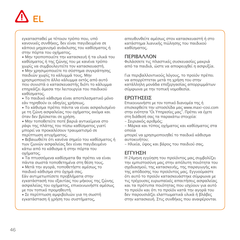

εγκατασταθεί με τέτοιον τρόπο που, υπό κανονικές συνθήκες, δεν είναι παγιδευμένα σε κάποιο μηχανισμό ανάκλισης του καθίσματος ή στην πόρτα του οχήματος.

• Μην τροποποιείτε την κατασκευή ή τα υλικά του καθίσματος ή της ζώνης του με κανένα τρόπο χωρίς να συμβουλευτείτε τον κατασκευαστή.

• Μην χρησιμοποιείτε το σύστημα συγκράτησης παιδιών χωρίς το κάλυμμά τους. Μην χρησιμοποιείτε άλλο κάλυμμα εκτός από αυτό που συνιστά ο κατασκευαστής διότι το κάλυμμα επηρεάζει άμεσα την λειτουργία του παιδικού καθίσματος.

• Το παιδικό κάθισμα είναι αποτελεσματικό μόνο εάν τηρηθούν οι οδηγίες χρήσεως.

• Το κάθισμα πρέπει πάντα να είναι ασφαλισμένο με τη ζώνη ασφαλείας του οχήματος ακόμα και όταν δεν βρίσκεται σε χρήση.

• Μην τοποθετείτε ποτέ βαριά αντικείμενα στο ράφι της πλάτης του πίσω καθίσματος γιατί μπορεί να προκαλέσουν τραυματισμό σε περίπτωση ατυχήματος.

• Βεβαιωθείτε ότι κανένα σημείο του καθίσματος ή των ζωνών ασφαλείας δεν είναι παγιδευμένο κάτω από το κάθισμα ή στην πόρτα του οχήματος.

• Τα πτυσσόμενα καθίσματα θα πρέπει να είναι πάντα σωστά τοποθετημένα στη θέση τους.

• Μετά την αγορά, τοποθετήστε αμέσως το παιδικό κάθισμα στο όχημά σας.

Εάν αντιμετωπίσετε προβλήματα στην εγκατάστασή του εξαιτίας του μήκους της ζώνης ασφαλείας του οχήματος, επικοινωνήστε αμέσως με τον τοπικό προμηθευτή.

• Σε περίπτωση αμφιβολιών για τη σωστή εγκατάσταση ή χρήση του συστήματος,

απευθυνθείτε αμέσως στον κατασκευαστή ή στο κατάστημα λιανικής πώλησης του παιδικού καθίσματος.

### **ΠΕΡΙΒΆΛΛΟΝ**

Φυλάσσετε τις πλαστικές συσκευασίες μακριά από τα παιδιά, ώστε να αποφευχθεί η ασφυξία.

Για περιβαλλοντικούς λόγους, το προϊόν πρέπει να απορρίπτεται μετά τη χρήση του στην κατάλληλη μονάδα επεξεργασίας απορριμμάτων σύμφωνα με την τοπική νομοθεσία.

## **ΕΡΩΤΉΣΕΙΣ**

Επικοινωνήστε με τον τοπικό διανομέα της ή επισκεφθείτε την ιστοσελίδα μας www.maxi-cosi.com στην ενότητα "Οι Υπηρεσίες μας". Πρέπει να έχετε στη διάθεσή σας τα παρακάτω στοιχεία:

- Σειριακός αριθμός;

- Μάρκα και τύπος οχήματος και καθίσματος στα οποία

μπορεί να χρησιμοποιηθεί το παιδικό κάθισμα αυτοκινήτου;

- Ηλικία, ύψος και βάρος του παιδιού σας.

# **ΕΓΓΎΗΣΗ**

Η 24μηνη εγγύηση του προϊόντος μας συμβολίζει την εμπιστοσύνη μας στην απόλυτη ποιότητα του σχεδιασμού, της κατασκευής, της παραγωγής και της απόδοσης του προϊόντος μας. Εγγυούμαστε ότι αυτό το προϊόν κατασκευάστηκε σύμφωνα με τις τρέχουσες ευρωπαϊκές απαιτήσεις ασφαλείας και τα πρότυπα ποιότητας που ισχύουν για αυτό το προϊόν και ότι το προϊόν κατά την αγορά του δεν παρουσιάζει ελαττωματικά υλικά ή βλάβες στην κατασκευή. Στις συνθήκες που αναφέρονται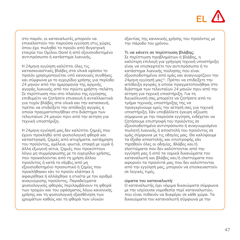# EL

στο παρόν, οι καταναλωτές μπορούν να επικαλεστούν την παρούσα εγγύηση στις χώρες όπου έχει πωληθεί το προϊόν από θυγατρική εταιρία του Ομίλου Dorel ή από εξουσιοδοτημένο αντιπρόσωπο ή κατάστημα λιανικής.

Η 24μηνη εγγύηση καλύπτει όλες τις κατασκευαστικές βλάβες στα υλικά εφόσον το προϊόν χρησιμοποιείται υπό κανονικές συνθήκες και σύμφωνα με το εγχειρίδιο χρήσης για περίοδο 24 μηνών από την ημερομηνία της αρχικής αγοράς λιανικής από τον πρώτο χρήστη-πελάτη. Σε περίπτωση που στο πλαίσιο της εγγύησης επιθυμείτε να ζητήσετε επισκευή ή ανταλλακτικά για τυχόν βλάβες στα υλικά και την κατασκευή, πρέπει να επιδείξετε την απόδειξη αγοράς η οποία πραγματοποιήθηκε στο διάστημα των τελευταίων 24 μηνών πριν από την αίτηση για τεχνική υποστήριξη.

Η 24μηνη εγγύησή μας δεν καλύπτει ζημιές που έχουν προκληθεί από φυσιολογική φθορά και καταστροφή, ζημιές από ατυχήματα, κατάχρηση του προϊόντος, αμέλεια, φωτιά, επαφή με υγρά ή άλλη εξωγενή αίτια, ζημιές που προκύπτουν λόγω μη συμμόρφωσης με το εγχειρίδιο χρήσης, που προκαλούνται από τη χρήση άλλου προϊόντος ή κατά το σέρβις από μη εξουσιοδοτημένο προσωπικό ή ζημίες που προκλήθηκαν εάν το προϊόν κλάπηκε ή αφαιρέθηκε ή αλλάχθηκε η ετικέτα με τον αριθμό αναγνώρισης προϊόντος. Παραδείγματα φυσιολογικής φθοράς περιλαμβάνουν τη φθορά των τροχών και του υφάσματος λόγω κανονικής χρήσης και τη φυσιολογική εξασθένηση των χρωμάτων καθώς και τη φθορά των υλικών

εξαιτίας της κανονικής χρήσης του προϊόντος με την πάροδο του χρόνου.

### **Τι να κάνετε σε περίπτωση βλάβης:**

Σε περίπτωση προβλημάτων ή βλάβης, η καλύτερη επιλογή για γρήγορη τεχνική υποστήριξη είναι να επισκεφτείτε τον αντιπρόσωπο ή το κατάστημα λιανικής πώλησης που είναι εξουσιοδοτημένοι από εμάς και αναγνωρίζουν την 24μηνη εγγύησή μας(1). Πρέπει να επιδείξετε την απόδειξη αγοράς η οποία πραγματοποιήθηκε στο διάστημα των τελευταίων 24 μηνών πριν από την αίτηση για τεχνική υποστήριξη. Για τη διευκόλυνσή σας μπορείτε να ζητήσετε από το τμήμα τεχνικής υποστήριξης της να προεγκρίνουμε εμείς την αίτησή σας για τεχνική υποστήριξη. Εάν υποβάλλετε έγκυρη αξίωση σύμφωνα με την παρούσα εγγύηση, ενδέχεται να ζητήσουμε επιστροφή του προϊόντος σε εξουσιοδοτημένο αντιπρόσωπο ή αναγνωρισμένο πωλητή λιανικής ή αποστολή του προϊόντος σε εμάς σύμφωνα με τις οδηγίες μας. Θα καλύψουμε τα έξοδα αποστολής και επιστροφής εάν τηρηθούν όλες οι οδηγίες. Βλάβες και/ή ελαττώματα που δεν καλύπτονται από την εγγύησή μας ή από τα νομικά δικαιώματα του καταναλωτή και βλάβες και/ή ελαττώματα που αφορούν τα προϊόντά μας που δεν καλύπτονται από την εγγύησή μας, μπορούν να επισκευαστούν σε λογικές τιμές.

#### **ώματα του καταναλωτή:**

Ο καταναλωτής έχει νόμιμα δικαιώματα σύμφωνα με την ισχύουσα νομοθεσία περί καταναλωτών, που είναι πιθανόν να διαφέρει σε κάθε χώρα. Τα δικαιώματα του καταναλωτή σύμφωνα με την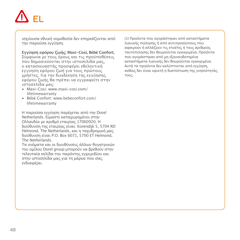

ισχύουσα εθνική νομοθεσία δεν επηρεάζονται από την παρούσα εγγύηση.

#### **Εγγύηση εφόρου ζωής: Maxi-Cosi, Bébé Confort,**

Σύμφωνα με τους όρους και τις προϋποθέσεις που δημοσιεύονται στην ιστοσελίδα μας, ο κατασκευαστής προσφέρει εθελοντική εγγύηση εφόρου ζωή για τους πρώτους χρήστες. Για την διεκδίκηση της εγγύησης εφόρου ζωής θα πρέπει να εγγραφείτε στην ιστοσελίδα μας:

- Maxi-Cosi: www.maxi-cosi.com/ lifetimewarranty
- Bébé Confort: www.bebeconfort.com/ lifetimewarranty

Η παρούσα εγγύηση παρέχεται από την Dorel Netherlands. Είμαστε καταχωρημένοι στην Ολλανδία με αριθμό εταιρίας 17060920. Η διεύθυνση της εταιρίας είναι: Korendijk 5, 5704 RD Helmond, The Netherlands, και η ταχυδρομική μας διεύθυνση είναι P.O. Box 6071, 5700 ET Helmond, The Netherlands.

Τα ονόματα και οι διευθύνσεις άλλων θυγατρικών του ομίλου Dorel group μπορούν να βρεθούν στην τελευταία σελίδα του παρόντος εγχειριδίου και στην ιστοσελίδα μας για τη μάρκα που σας ενδιαφέρει.

(1) Προϊόντα που αγοράστηκαν από καταστήματα λιανικής πώλησης ή από αντιπροσώπους που αφαιρούν ή αλλάζουν τις ετικέτες ή τους αριθμούς ταυτοποίησης δεν θεωρούνται εγκεκριμένα. Προϊόντα που αγοράστηκαν από μη εξουσιοδοτημένα καταστήματα λιανικής δεν θεωρούνται εγκεκριμένα. Αυτά τα προϊόντα δεν καλύπτονται από εγγύηση, καθώς δεν είναι εφικτή η διαπίστωση της γνησιότητάς τους.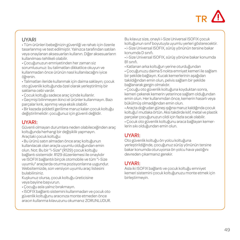# UYARI

• Tüm ürünleri bebeğinizin güvenliği ve rahatı için özenle tasarlanmış ve test edilmiştir. Yalnızca tarafından satılan veya onaylanan aksesuarları kullanın. Diğer aksesuarların kullanılması tehlikeli olabilir.

• Çocuğunuzun emniyetinden her zaman siz sorumlusunuz: bu talimatları dikkatlice okuyun ve kullanmadan önce ürünün nasıl kullanılacağını iyice öğrenin.

• Talimatları ileride kullanmak için daima saklayın; çocuk oto güvenlik koltuğunda özel olarak yerleştirilmiş bir saklama cebi vardır.

• Çocuk koltuğu sadece araç içinde kullanlır.

• Geçmişi bilinmeyen ikinci el ürünler kullanmayın. Bazı parçalar kırık, aşınmış veya eksik olabilir.

• Bir kazada şiddetli gerilime maruz kalan çocuk koltuğu değiştirilmelidir: çocuğunuz için güvenli değildir.

## UYARI:

Güvenli olmayan durumlara neden olabileceğinden araç koltuğunda herhangi bir değişiklik yapmayın. Araçtaki çocuk koltuğu:

• Bu ürünü satın almadan önce araç koltuğunun kullanılacak olan araçla uyumlu olduğundan emin olun. Not: Bu bir "i-Size" (R129) çocuk koltuğu bağlantı sistemidir. R129 düzenlemesi ile onaylıdır ve ISOFIX bağlantılı birçok otomobile ve tüm "i-Size uyumlu" araçlarda oturma pozisyonlarına uygundur. Websitemizde, son versiyon uyumlu araç listesini bulabilirsiniz.

Kuşkunuz olursa, çocuk koltuğu üreticisine veya bayiine başvurun.

• Çocuğu asla yalnız bırakmayın.

• ISOFIX bağlantı sistemini kullanmadan ve çocuk oto güvenlik koltuğunu aracınıza monte etmeden önce aracın kullanma kılavuzunu okumanız ZORUNLUDUR. Bu kılavuz size, onaylı i-Size Universal ISOFIX çocuk koltuğunun sınıf boyutuyla uyumlu yerleri gösterecektir. • i-Size Universal ISOFIX, sürüş yönünün tersine bakar konumda D sınıfı.

• i-Size Universal ISOFIX, sürüş yönüne bakar konumda B1 sınıfı.

• Katlanan arka koltuğun yerine oturduğundan

• Çocuğunuzu daima 5 nokta emniyet kemeri ile sağlam bir şekilde bağlayın. Kucak kemerlerinin aşağıdan takıldığından emin olun, pelvis sağlam bir şekilde bağlanarak gergin olmalıdır.

• Çocuğu oto güvenlik koltuğuna koyduktan sonra, kemeri çekerek kemerin yeterince sağlam olduğundan emin olun. Her kullanımdan önce, kemerin hasarlı veya bükülmüş olmadığından emin olun.

• Araçta doğrudan güneş ışığına maruz kaldığında çocuk koltuğu'i mutlaka örtün. Aksi takdirde kılıf, metal ve plastik parçalar çocuğunuzun cildi için fazla sıcak olabilir.

• Çocuk oto güvenlik koltuğunu araca bağlayan kemerlerin sıkı olduğundan emin olun.

# UYARI:

Oto güvenlik koltuğu ön yolcu koltuğuna yerleştirildiğinde, çocuğunuz sürüş yönünün tersine bakar konumda oturuyorsa ön yolcu hava yastığını devreden çıkarmanız gerekir.

# UYARI:

Asla iki ISOFIX bağlantı ve çocuk koltuğu emniyet kemeri sistemini çocuk koltuğunuzu monte etmek için birleştirmeyin.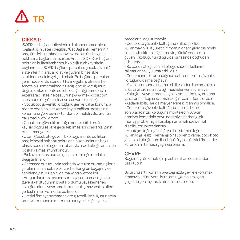## DIKKAT:

ISOFIX'te, bağlantı klipslerinin kullanımı araca alçak bağlantı için yeterli değildir. "Üst Bağlantı Kemeri"nin araç üreticisi tarafından tavsiye edilen üst bağlantı noktasına bağlanması şarttır. Aracın ISOFIX ek bağlantı noktaları kullanılarak çocuk koltuğun ek kayışlarla bağlanması. ISOFIX bağlantı parçaları, çocuk güvenliği sistemlerinin araca kolay ve güvenli bir şekilde sabitlenmesi için geliştirilmiştir. Bu bağlantı parçaları yeni modellerde standart haline gelmiş olsa da, her araçta bulunmamaktadır. Hangi çocuk koltuğunun doğru şekilde monte edilebileceğini öğrenmek için ekteki araç listesine başvurun (www.maxi-cosi.com sitesinden de güncel listeye başvurabilirsiniz)

• Çocuk oto güvenlik koltuğunu geriye bakar konumda monte ederken, üst kemer kayışı bağlantı noktasının konumuna göre çeyrek tur dönebilmelidir. Bu, ürünün çalışmasını etkilemez.

• Çocuk oto güvenlik koltuğu monte edilirken, üst kayışın doğru şekilde geçirilebilmesi için baş arkalığının çıkarılması gerekir.

• Uyarı: Çocuk oto güvenlik koltuğu monte edilirken, araç içindeki bağlantı noktalarının konumlarına bağlı olarak çocuk koltuğunun tabanıyla araç koltuğu arasında boşluk kalması mümkündür.

• Bir kaza sonrasında oto güvenlik koltuğu mutlaka değiştirilmelidir.

• Çarpışma durumunda arabada koltukta oturan kişilerin yaralanmasına sebep olacak herhangi bir bagajın iyice sabitlendiğini kullanıcı daima kontrol etmelidir.

• Araç kullanımı sırasında sorun yaşanmaması için oto güvenlik koltuğunun plastik bölümü veya kemerleri koltuğun altına veya araç kapısına sıkışmayacak şekilde yerleştirilmeli ve monte edilmelidir.

• Üretici firmaya sormadan oto güvenlik koltuğunun veya emniyet kemerinin malzemelerini ya da diğer yapısal

parçalarını değiştirmeyin.

• Çocuk oto güvenlik koltuğunu kılıfsız şekilde kullanmayın. Kılıfı, üretici firmanın önerdiğinin dışındaki bir koltuk kılıfı ile değiştirmeyin, çünkü çocuk oto güvenlik koltuğunun doğru çalışmasında doğrudan etkisi vardır.

• Bu çocuk oto güvenlik koltuğu sadece kullanım talimatlarına uyulursa etkili olur.

• Çocuk içinde oturmadığında dahi çocuk oto güvenlik koltuğunu daima bağlayın.

• Kaza durumunda fırlama tehlikesinden kaçınmak için arka taraftaki rafa asla ağır nesneler yerleştirmeyin.

- Koltuğun veya kemerin hiçbir kısmının koltuğun altına ya da aracın kapısına sıkışmadığını daima kontrol edin.
- Katlanır koltuklar daima yerlerine kilitlenmiş olmalıdır.
- Çocuk oto güvenlik koltuğunu satın aldıktan sonra aracınızın koltuğuna monte edin. Aracın emniyet kemerinin boyu nedeniyle herhangi bir montaj problemiyle karşılaşmanız halinde derhal distribütörünüze danışın.

• Montajın doğru yapıldığı ya da sistemin doğru kullanıldığı ile ilgili herhangi bir şüpheniz varsa, çocuk oto güvenlik koltuğunun distribütörü ya da üretici firması ile kullanıcının temasa geçmesi önerilir.

# **CEVRE**

Boğulmayı önlemek için plastik kılıfları çocuklardan uzak tutun.

Bu ürünü artık kullanmayacağınızda çevreyi korumak amacıyla ürünü yerel kurallara uygun olarak çöp çeşidine göre ayırarak atmanızı rica ederiz.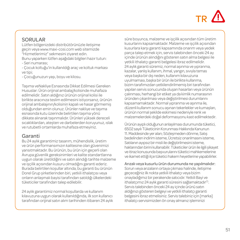# SORULAR

Lütfen bölgenizdeki distribütörünüzle iletişime geçin veya www.maxi-cosi.com web sitemizde "Hizmetlerimiz" sekmesini ziyaret edin. Bunu yaparken lütfen aşağıdaki bilgileri hazır tutun:

- Seri numarası;

- Çocuk koltuğu'in kullanıldığı araç ve koltuk markası ve tipi;

- Çocuğunuzun yaşı, boyu ve kilosu.

Taşıma veNakliye Esnasında Dikkat Edilmesi Gereken Hususlar: Ürün orijinal ambalaj/kolisinde muhafaza edilmelidir. Satın aldığınız ürünün orijinal kolisi ile birlikte aracınıza teslim edilmesini istiyorsanız, ürünün orijinal ambalajının/kolisinin kapalı ve hasar görmemiş olduğundan emin olunuz. Ürünler nakliye ve taşıma esnasında kutu üzerinde belirtilen taşıma yönü dikkate alınarak taşınmalıdır. Ürünleri yüksek dereceli sıcaklıklardan, ateşten ve darbelerden koruyunuz, ıslak ve rutubetli ortamlarda muhafaza etmeyiniz.

# Garanti

Bu 24 aylık garantimiz tasarım, mühendislik, üretim ve ürün performansımızın kalitesine olan güvenimizi yansıtmaktadır. Bu ürünün, bu ürün için geçerli olan Avrupa güvenlik gereksinimleri ve kalite standartlarına uygun olarak üretildiğini ve satın alındığı tarihte malzeme ve işçilik açısından kusuru olmadığını garanti ederiz. Burada belirtilen koşullar altında, bu garanti bu ürünün Dorel Grup şirketlerinden biri, yetkili ithalatçısı veya onların anlaşmalı bayisi tarafından satıldığı ülkelerdeki tüketiciler tarafından talep edilebilir.

24 aylık garantimiz normal koşullarda ve kullanım kılavuzuna uygun olarak kullanıldığında, ilk son kullanıcı tarafından orijinal satın alım tarihinden itibaren 24 aylık süre boyunca, malzeme ve işçilik açısından tüm üretim kusurlarını kapsamaktadır. Malzeme ve işçilik açısından kusurlara karşı garanti kapsamında onarım veya yedek parça talep etmek için, servis talebinden önceki 24 ay içinde ürünün alındığını gösteren satın alma belgesi ile yetkili ithalatçı garanti belgelesi ibraz edilmelidir. 24 aylık garanti süremiz, normal aşınma ve yıpranma, kazalar, yanlış kullanım, ihmal, yangın, sıvıyla temas veya başka bir dış neden, kullanım kılavuzuna uyulmaması, başka bir ürün ile birlikte kullanma, bizim tarafımızdan yetkilendirilmemiş biri tarafından yapılan servis sonucunda oluşan hasarları veya ürünün çalınması, herhangi bir etiket ya da kimlik numarasının üründen çıkarılması veya değiştirilmesi durumlarını kapsamamaktadır. Normal yıpranma ve aşınma ile, düzenli kullanım sonucu aşınan tekerlekler ve kumaşları, ürünün normal şekilde eskimesi nedeniyle renk ve malzemelerdeki doğal deformasyonu kast edilmektedir.

Ürünün ayıplı olduğunun anlaşılması durumunda tüketici, 6502 sayılı Tüketicinin Korunması Hakkında Kanunun 11. Maddesinde yer alan; Sözleşmeden dönme, Satış bedelinden indirim isteme, Ücretsiz onarılmasını isteme, Satılanın ayıpsız bir misli ile değiştirilmesini isteme, haklarından birini kullanabilir. Tüketiciler ürün ile ilgili şikayet ve itiraz konusunda başvurularını tüketici mahkemelerine ve ikamet ettiği ilçe tüketici hakem heyetlerine yapabilirler.

Arızalı veya kusurlu ürün durumunda ne yapılmalıdır:

Sorun veya arızaların ortaya çıkması halinde, iletişime geçeceğiniz ilk nokta yetkili ithalatçı veya bizim onayladığımız bir perakende satıcıdır. Yetkili Bayi ve ithalatçımız 24 aylık garanti süresini sağlamaktadır<sup>(1)</sup>. Servis talebinden önceki 24 ay içinde ürünü satın aldığınızı gösteren belgeyi ve yetkili ithalatçı garanti belgesini ibraz etmelisiniz. Servis talebiniz için [marka] ithalatçı servisimizden ön onay almanız işleminizi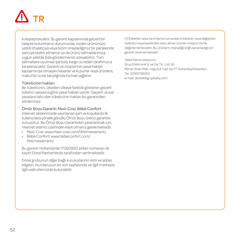kolaylaştıracaktır. Bu garanti kapsamında geçerli bir talepte bulunmanız durumunda, sizden ürününüzü yetkili ithalatçıya veya bizim onayladığımız bir perakende satıcıya teslim etmenizi ya da ürünü talimatlarımıza uygun şekilde bize göndermenizi isteyebiliriz. Tüm talimatlara uyulması şartıyla, kargo ücretleri tarafımızca karşılanacaktır. Garanti ve müşterinin yasal hakları kapsamında olmayan hasarlar ve kusurlar veya ürünlere, makul bir ücret karşılığında hizmet sağlanır.

#### Tüketicinin hakları:

Bir tüketicinin, ülkeden ülkeye farklılık gösteren geçerli tüketici yasasına göre yasal hakları vardır. Geçerli ulusal yasalara tabi olan tüketicinin hakları bu garantiden etkilenmez.

#### Ömür Boyu Garanti: Maxi-Cosi, Bébé Confort

Internet sitelerimizde yayınlanan şart ve koşullarda ilk kullanıcılara yönelik gönüllü Ömür Boyu üretici garantisi sunuyoruz. Bu Ömür Boyu Garantiden yararlanmak için, internet sitemiz üzerinden kayıt olmanız gerekmektedir.

- Maxi-Cosi: www.maxi-cosi.com/lifetimewarranty
- Bébé Confort: www.bebeconfort.com/ lifetimewarranty

Bu garanti Hollanda'da 17060920 şirket numarası ile kayıtlı Dorel Netherlands tarafından verilmektedir.

Dorel grubunun diğer bağlı kuruluşlarının isim ve adres bilgileri, bu kılavuzun en son sayfasında ve ilgili markayla ilgili web sitemizde bulunabilir.

(1) Etiketleri veya tanımlama numaralarını kaldıran veya değiştiren tedarikçi veya bayilerden satın alınan ürünler onaysız olarak değerlendirilecektir. Bu ürünlerin orijinalliği doğrulanamadığı için garanti verilmemektedir.

Yetkili Servis istasyonu:

Grup Elektronik İç ve Dış Tic. Ltd. Şti. Mimar Sinan Mah. ozgurluk Cad. No:77 Sultanbeyli/Istanbul Tel: 02165736200 e-mail: destek@grupbaby.com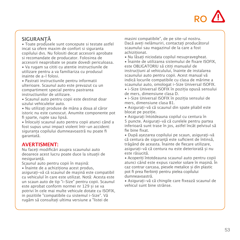

# **SIGURANȚĂ**

• Toate produsele sunt concepute si testate astfel incat sa ofere maxim de confort si siguranta copilului dvs. Nu folositi decat accesorii aprobate si recomandate de producator. Folosirea de accesorii neaprobate se poate dovedi periculoasa.

• Va rugam sa cititi cu atentie instructiunile de utilizare pentru a va familiariza cu produsul inainte de a-l folosi.

• Pastrati instructiunile pentru informatii ulterioare. Scaunul auto este prevazut cu un compartiment special pentru pastrarea<br>instructiunilor de utilizare

instructiunilor de utilizare. • Scaunul auto pentru copii este destinat doar uzului vehiculelor auto.

• Nu utilizați produse de mâna a doua al căror istoric nu este cunoscut. Anumite componente pot fi sparte, rupte sau lipsă.

• Înlocuiți scaunul auto pentru copii atunci când a fost supus unui impact violent într-un accident: siguranța copilului dumneavoastră nu poate fi garantată.

### **AVERTISMENT:**

Nu faceți modificări asupra scaunului auto deoarece acest lucru poate duce la situații de nesiguranță.

Scaunul auto pentru copii în mașină:

• Înainte de a achizitiona acest produs. asigurați-vă că scaunul de mașină este compatibil cu vehiculul în care este utilizat. Notă: Acesta este un scaun auto de tip "i-Size" pentru copii. Scaunul este aprobat conform normei nr 129 și se va potrivi în cele mai multe vehicule dotate cu ISOFIX, in pozitiile "compatibile cu sistemul i-Size". Vă rugăm să consultați ultima versiune a "listei de

masini compatibile", de pe site-ul nostru. Dacă aveți nelămuriri, contactați producătorul scaunului sau magazinul de la care a fost

achiziționat. • Nu lăsați niciodata copilul nesupravegheat.

• Înainte de utilizarea sistemului de fixare ISOFIX, este OBLIGATORIU să citiți manualul de instrucțiuni al vehiculului, înainte de instalarea scaunului auto pentru copii. Acest manual vă indică locurile compatibile cu clasa de mărime a scaunului auto, omologat i-Size Universal ISOFIX. • i-Size Universal ISOFIX în poziția opusă sensului

de mers, dimensiune clasa D.

• i-Size Universal ISOFIX în poziția sensului de mers, dimensiune clasa B1.

• Asigurați-vă că scaunul din spate pliabil este blocat pe poziție.

• Asigurați întotdeauna copilul cu centura în

5 puncte. Asigurați-vă că curelele pentru partea inferioară sunt trase în jos, astfel încât pelvisul să fie bine fixat.

• După asezarea copilului pe scaun, asigurați-vă că centura de siguranţă este suficient de întinsă, trăgând de aceasta. Înainte de fiecare utilizare, asigurați-vă că centura nu este deteriorată și nu este răsucită.

• Acoperiți întotdeauna scaunul auto pentru copii atunci când este expus razelor solare în mașină. În caz contrar carcasa, piesele metalice și din plastic pot fi prea fierbinți pentru pielea copilului dumneavoastră.

• Asigurați-vă că chingile care fixează scaunul de vehicul sunt bine strânse.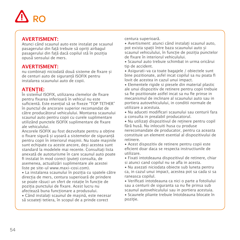

## **AVERTISMENT:**

Atunci când scaunul auto este instalat pe scaunul pasagerului din față trebuie să opriți airbagul pasagerului din față dacă copilul stă în poziția opusă sensului de mers.

### **AVERTISMENT:**

nu combinați niciodată două sisteme de fixare și de centuri auto de siguranță ISOFIX pentru instalarea scaunului auto de copii.

## **ATENȚIE:**

În sistemul ISOFIX, utilizarea clemelor de fixare pentru fixarea inferioară în vehicul nu este suficientă. Este esențial să se fixeze "TOP TETHER" în punctul de ancorare superior recomandat de către producătorul vehiculului. Montarea scaunului scaunul auto pentru copii cu curele suplimentare utilizând punctele ISOFIX suplimentare de fixare ale vehiculului.

Ancorele ISOFIX au fost dezvoltate pentru a obține o fixare sigură și ușoară a sistemelor de siguranță pentru copii în interiorul mașinii. Nu toate mașinile sunt echipate cu aceste ancore, deși acestea sunt standard la modelele mai recente. Consultați lista anexată de autoturisme în care scaunul auto poate fi instalat în mod corect (puteți consulta, de asemenea, actualizări suplimentare ale acestei liste pe site-ul www.maxi-cosi.com).

• La instalarea scaunului în poziția cu spatele către direcția de mers, centura superioară de prindere se poate răsuci un sfert de rotație în funcție de poziția punctului de fixare. Acest lucru nu afectează buna funcționare a produsului.

• Când instalați scaunul de mașină, este necesar să scoateți tetiera, în scopul de a prinde corect

centura superioară.

• Avertisment: atunci când instalați scaunul auto, pot exista spații între baza scaunului auto și scaunul vehiculului, în funcție de poziția punctelor

de fixare în interiorul vehiculului. • Scaunul auto trebuie schimbat in urma oricărui tip de accident.

• Asigurati-va ca toate bagajele / obiectele sunt bine pozitionate, asfel incat copilul sa nu poata fi lovit de acestea in cazul unui impact.

• Elementele rigide si piesele din material plastic ale unui dispozitiv de retinere pentru copii trebuie sa fie pozitionate astfel incat sa nu fie prinse in mecanismul de inclinare al scaunului auto sau in portiera autovehiculului, in conditii normale de utilizare a acestuia.

• Nu aduceti modificari scaunului sau centurii fara a consulta in prealabil producatorul.

• Nu utilizați dispozitivul de reținere pentru copil fără husă. Nu inlocuiti husa cu produse nerecomandate de producator, pentru ca aceasta constituie un element esential al dispozitivului de retinere.

• Acest dispozitiv de retinere pentru copii este eficient doar daca se respecta instructiunile de utilizare.

• Fixati intotdeauna dispozitivul de retinere, chiar si atunci cand copilul nu se afla in acesta.

• Nu asezati niciodata obiecte sub luneta pentru ca, in cazul unui impact, acestea pot sa cada si sa raneasca copilul.

• Verificati intotdeauna ca nici o parte a fotoliului sau a centurii de siguranta sa nu fie prinsa sub scaunul autovehiculului sau in portiera acestuia.

• Scaunele pliante trebuie întotdeauna blocate în pozitie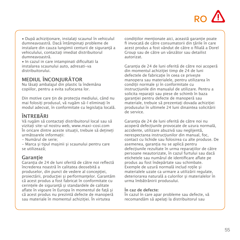# RO

• După achiziționare, instalați scaunul în vehiculul<br>dumneavoastră Dacă întâmninați probleme de dumneavoastră. Dacă întâmpinaţi probleme de instalare din cauza lungimii centurii de siguranţă a vehiculului, contactati imediat distribuitorul dumneavoastră.

• In cazul in care intampinati dificultati la instalarea scaunului auto, adresati-va distribuitorului.

# **MEDIUL ÎNCONJURĂTOR**

Nu lăsați ambalajul din plastic la îndemâna copiilor, pentru a evita sufocarea lor.

Din motive care tin de protectia mediului, când nu mai folosiți produsul, vă rugăm să-l eliminați în modul adecvat, în conformitate cu legislația locală.

# **ÎNTREBĂRI**

Vă rugăm să contactați distribuitorul local sau să vizitați site-ul nostru web, www.maxi-cosi.com În oricare dintre aceste situații, trebuie să dețineți următoarele informații:

- Numărul de serie;

- Marca şi tipul maşinii şi scaunului pentru care se utilizează;

# **Garanţie**

Garanția de 24 de luni oferită de către noi reflectă încrederea noastră în calitatea deosebită a produselor, din punct de vedere al conceptiei projectării, producției și performanțelor. Garantăm că acest produs a fost fabricat în conformitate cu cerintele de sigurantă și standardele de calitate aflate în vigoare în Europa în momentul de față și că acest produs nu prezintă defecte de manoperă sau materiale în momentul achiziției. În virtutea

condițiilor menționate aici, această garanție poate fi invocată de către consumatorii din țările în care acest produs a fost vândut de către o filială a Dorel Group sau de către un vânzător sau detailist autorizat.

Garantia de 24 de luni oferită de către noi acoperă din momentul achizitiei timp de 24 de luni defectele de fabricatie în ceea ce priveste manopera sau materialele, pentru utilizarea în condiții normale și în conformitate cu instructiunile din manualul de utilizare. Pentru a solicita reparații sau piese de schimb în baza garanției pentru defecte de manoperă sau materiale, trebuie să prezentați dovada achiziției produsului în ultimele 24 luni dinaintea solicitării de service.

Garanția de 24 de luni oferită de către noi nu acoperă defectiunile provocate de uzura normală. accidente, utilizare abuzivă sau neglijentă, nerespectarea instructiunilor din manual, foc. contact cu lichide sau folosirea cu alte produse. De asemenea, garanția nu se aplică pentru defectiunile rezultate în urma reparațiilor de către persoane neautorizate, în cazul furtului sau dacă etichetele sau numărul de identificare aflate pe produs au fost îndepărtate sau schimbate. Exemple de uzură normală includ roțile și materialele uzate ca urmare a utilizării regulate, deteriorarea naturală a culorilor și materialelor în urma îmbătrânirii produsului.

#### **În caz de defecte:**

În cazul în care apar probleme sau defecte, vă recomandăm să apelați la distribuitorul sau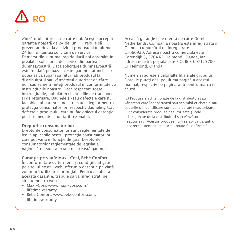

vânzătorul autorizat de către noi. Aceştia acceptă garanția noastră de 24 de luni<sup>(1)</sup>. Trebuie să prezentați dovada achiziției produsului în ultimele 24 luni dinaintea solicitării de service. Demersurile sunt mai rapide dacă noi aprobăm în prealabil solicitarea de service din partea<br>dumneavoastră. Dacă solicitarea dumneavoastră dumneavoastră. Dacă solicitarea dumneavoastră este fondată pe baza acestei garanţii, atunci s-ar putea să vă rugăm să returnați produsul la distribuitorul sau vânzătorul autorizat de către noi, sau să ne trimiteți produsul în conformitate cu instrucțiunile noastre. Dacă respectați toate instrucțiunile, noi plățim cheltuielile de transport si de returnare. Daunele si/sau defectele care nu fac obiectul garantiei noastre sau al legilor pentru protecția consumatorilor, respectiv daunele și/sau defectele produsului care nu fac obiectul garantiei pot fi remediate la un tarif rezonabil.

#### **Drepturile consumatorilor:**

Drepturile consumatorilor sunt reglementate de legile aplicabile pentru protecţia consumatorilor, care pot varia în funcție de țară. Drepturile consumatorilor reglementate de legislatia națională nu sunt afectate de această garanție.

#### **Garanție pe viață: Maxi-Cosi, Bébé Confort**

În conformitate cu termenii și condițiile afișate pe site-ul nostru web, oferim o garantie pe viată voluntară utilizatorilor inițiali. Pentru a solicita această garanție, trebuie să vă înregistrați pe site-ul nostru web:

- Maxi-Cosi: www.maxi-cosi.com/ lifetimewarranty
- Bébé Confort: www.bebeconfort.com/ lifetimewarranty

Această garanție este oferită de către Dorel Netherlands. Compania noastră este înregistrată în Olanda, cu numărul de înregistrare 17060920. Adresa noastră comercială este Korendijk 5, 5704 RD Helmond, Olanda, iar adresa noastră poştală este P.O. Box 6071, 5700 ET Helmond, Olanda.

Numele şi adresele celorlalte filiale ale grupului Dorel le puteți găsi pe ultima pagină a acestui manual, respectiv pe pagina web pentru marca în cauză.

(1) Produsele achizitionate de la distribuitori sau vânzători care îndepărtează sau schimbă etichetele sau codurile de identificare sunt considerate neautorizate. Sunt considerate produse neautorizate și cele achizitionate de la distribuitori sau vânzători neautorizați. Acestor produse nu li se aplică garanția, deoarece autenticitatea lor nu poate fi confirmată.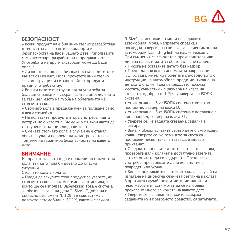

## **БЕЗОПАСНОСТ**

• Всеки продукт на е бил внимателно разработван и тестван за да гарантира комфорта и безопасността на Вас и Вашето дете. Използвайте само аксесоари разработени и продавани от. Употребата на други аксесоари може да бъде опасна.

• Лично отговаряте за безопасността на детето си във всеки момент, моля, прочетете внимателно тези инструкции и се запознайте с продукта преди употребата му.

• Винаги пазете инструкцията за употреба за бъдещи справки и я съхранявайте в определеното за тази цел място на гърба на облегалката на столчето за кола.

• Столчето кола е предназначен за ползване само в лек автомобил.

• Не ползвайте продукти втора употреба, чиято история не е известна. Възможно е някои части да са счупени, скъсани или да липсват.

• Сменете cтолчето кола, в случай че е станал обект на удари по време на катастрофа: тогава той вече не гарантира безопасността на вашето дете.

### **ВНИМАНИЕ:**

Не правете каквито и да е промени по столчето за кола, тъй като това би довело до опасни ситуации.

Столчето кола в колата:

• Преди да закупите този продукт се уверете, че столчето за кола е съвместимо с автомобила, в който ще се използва. Забележка: Това е система за обезопасяване на деца "i-Size". Одобрена е съгласно регламент № 129 и е съвместима с повечето автомобили с ISOFIX, както и с всички

"i-Size" съвместими позиции на седалките в автомобила. Моля, направете справка в последната версия на списъка за съвместимост на автомобили (car fitting list) на нашия уебсайт. При съмнения се свържете с производителя или дилъра на системата за обезопасяване на деца.

• Никога не оставяйте детето без надзор.

• Преди да ползвате системата за закрепване ISOFIX, задължително прочетете ръководството с инструкции на автомобила, преди монтиране на детското столче. Това ръководство посочва местата, съвместими с размера на класа на столчето, одобрен от i-Size универсална ISOFIX система.

• Универсална i-Size ISOFIX система с обратно поставяне, размер на класа D.

• Универсална i-Size ISOFIX система с поставяне с лице напред, размер на класа B1.

• Уверете се, че задната сгъваема седалка е фиксирана.

• Винаги обезопасявайте своето дете с 5-точковия колан. Уверете се, че ремъците за скута са поставени ниско, така че тазът да е здраво прихванат.

• След като поставите детето в столчето за кола, проверете дали коланът е достатъчно затегнат, като се опитате да го издърпате. Преди всяка употреба, проверявайте дали коланът не е повреден или усукан.

• Винаги покривайте на cтолчето кола в случай на излагане на директна слънчева светлина в колата. В противен случай, покритието, металните и пластмасовите части могат да се нагорещят прекалено много за кожата на вашето дете.

• Уверете се, че коланите, които задържат седалката към превозното средство, са затегнати.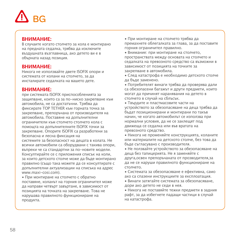# **BG**

### **ВНИМАНИЕ:**

В случаите когато столчето за кола е монтирано на предната седалка, трябва да изключите въздушната възглавница, ако детето ви е в обърната назад позиция.

### **ВНИМАНИЕ:**

Никога не използвайте двете ISOFIX опори и системата от колани на столчето, за да инсталирате седалката на вашето дете.

#### **ВНИМАНИЕ:**

при системата ISOFIX приспособленията за защипване, които са за по-ниско закрепване към автомобилa, не са достатъчни. Трябва да фиксирате TOP TETHER към горната точка за закрепване, препоръчанa от производителя на автомобила. Поставяне на допълнителни ограничители към столчето cтолчето кола с помощта на допълнителните ISOFIX точки за закрепване. Опорите ISOFIX са разработени за безопасна и лесна фиксация на системите за безопасност на децата в колата. Не

всички автомобили са оборудвани с такива опори, въпреки че са стандартни за по-новите модели. Консултирайте се с приложения списък на коли, за които детското столче може да бъде монтирано правилно (също така можете да се консултирате с допълнителни актуализации на списъка на адрес www.maxi-cosi.com).

• При монтиране на столчето с обратно поставяне, коланът на горния ограничител може да направи четвърт завъртане, в зависимост от позицията на точката на закрепване. Това не нарушава правилното функциониране на продукта.

• При монтиране на столчето трябва да премахнете облегалката за глава, за да поставите горния ограничител правилно.

• Внимание: при монтиране на столчето, пространствата между основата на столчето и седалката на превозното средство са възможни в зависимост от позицията на точките за закрепване в автомобила.

• След катастрофа е необходимо детското столче да бъде заменено.

• Потребителят винаги трябва да проверява дали са обезопасени багажът и други предмети, които могат да причинят наранявания на детето в столчето в случай на сблъсък.

• Твърдите и пластмасовите части на устройството за обезопасяване на деца трябва да бъдат позиционирани и монтирани по такъв начин, че когато автомобилът се използва при нормални условия, да не се заклещят под движеща се седалка или във вратата на превозното средство.

• Никога не променяйте конструкцията, коланите или материалите на детското столче, без това да бъде съгласувано с производителя.

• Не ползвайте устройството за обезопасяване на деца без тапицерията. Не я заменяйте с друга,освен препоръчаната от прозводителя,за да не се наруши правилното функциониране на столчето.

• Системата за обезопасяване е ефективна, само ако са спазени инструкциите за експлоатация.

• Винаги затягайте системата за обезопасяване, дори ако детето не седи в нея.

• Никога не поставяйте тежки предмети в задния рафт, за да избегнете падащи частици в случай на катастрофа.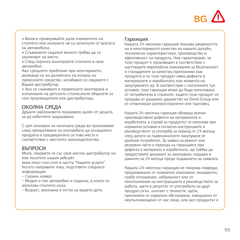

• Винаги проверявайте дали елементите на столчето или коланите не са затиснати от вратата на автомобила .

• Сгъваемите седалки винаги трябва да се заключват на място.

• След поръчка монтирайте столчето в своя автомобил.

Ако срещнете проблеми при монтирането, дължащи се на дължината на колана на превозното средство, незабавно се свържете с Вашия дистрибутор.

• Ако се съмнявате в правилното монтиране и използване на детското столче,моля обърнете се към производителя или дистрибутора.

## **ОКОЛНА СРЕДА**

Дръжте найлоновото покривало далеч от децата, за да избегнете задушаване.

С цел опазване на околната среда ви приканваме след прекратяване на употребата да изхвърлите продукта в предвидените за това места в съответствие с местното законодателство.

## **ВЪПРОСИ**

Моля, свържете се със своя местен дистрибутор на или посетете нашия уебсайт:

www.maxi-cosi.com в частта "Нашите услуги". Когато направите това, подгответе следната информация:

- Сериен номер;

- Модел и тип автомобил и седалка, в които се използва cтолчето кола;

- Възраст, височина и тегло на вашето дете.

#### **Гаранция**

Нашата 24-месечна гаранция показва увереността ни в неоспоримото качество на нашите дизайн, технически характеристики, производство и ефективност на продукта. Ние гарантираме, че този продукт е произведен в съответствие с настоящите европейски изисквания за безопасност и стандартите за качество,приложими към продукта и че този продукт няма дефекти в материалите и изработката към момента на закупуването му. В съответствие с посочените тук условия, тази гаранция може да бъде използвана от потребители в страните, където този продукт се продава от дъщерно дружество на Dorel Group или от оторизиран разпространител или търговец.

Нашата 24-месечна гаранция обхваща всички производствени дефекти на материалите и изработката, в случай че продуктът се използва при нормални условия и съгласно инструкциите в ръководството за употреба за период от 24 месеца след датата на първоначалното закупуване от крайния потребител. За заявка на ремонт или резервни части в периода на гаранцията при дефекти в материала и изработката, ще трябва да предоставите документ за закупуване, издаден в рамките на 24 месеца преди подаването на заявката.

Нашата 24-месечна гаранция не покрива повреди, предизвикани от нормално износване, инциденти, грубо отношение, небрежност или от неизпълнение на инструкциите в ръководството за работа, щети в резултат от употребата на друг продукт,огън, контакт с течности, щети, причинени от сервизно обслужване, извършено от неупълномощено от нас лице, или ако продуктът е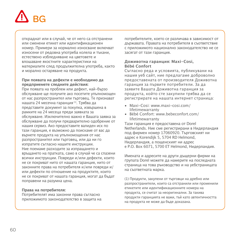

откраднат или в случай, че от него са отстранени или сменени етикет или идентификационен номер. Примери за нормално износване включват износени от редовна употреба колела и тъкани, естествено избледняване на цветовете и влошаване якостните характеристики на материалите след продължителна употреба, както и морално остаряване на продукта.

#### **При появата на дефекти е необходимо да предприемете следните действия:**

При появата на проблем или дефект, най-бързо обслужване ще получите ако посетите упълномощен от нас разпространител или търговец. Те признават нашата 24 месечна гаранция (1). Трябва да представите документ за покупка, извършена в рамките на 24 месеца преди заявката за обслужване. Изключително важно е Вашата заявка за обслужване да получи предварително одобрение от нашия сервиз. Ако предоставите валиден иск по тази гаранция, е възможно да поискаме от вас да върнете продукта на упълномощения от нас разпространител или търговец, или да ни го изпратите съгласно нашите инструкции. Ние поемаме разходите за изпращането и връщането на пратката, само в случай че са спазени всички инструкции. Повреди и/или дефекти, които не се покриват нито от нашата гаранция, нито от законните права на потребителя и/или повреди и/ или дефекти по отношение на продуктите, които не се покриват от нашата гаранция, могат да бъдат поправени на разумна цена.

#### **Права на потребителя:**

Потребителят има законни права съгласно приложимото законодателство в защита на

потребителите, което се различава в зависимост от държавата. Правата на потребителя в съответствие с приложимото национално законодателство не се засягат от тази гаранция.

#### **Доживотна гаранция: Maxi-Cosi, Bébé Confort**

Съгласно реда и условията, публикувани на нашия уеб сайт, ние предлагаме доброволно предоставената от производителя Доживотна гаранция за първите потребители. За да заявите Вашата Доживотна гаранция за продукта, който сте закупили трябва да се регистрирате на нашата интернет страница:

- Maxi-Cosi: www.maxi-cosi.com/
- lifetimewarranty Bébé Confort: www.bebeconfort.com/ lifetimewarranty

Тази гаранция е предоставена от Dorel Netherlands. Ние сме регистрирани в Нидерландия под фирмен номер 17060920. Търговският ни адрес е Korendijk 5, 5704 RD Helmond, Нидерландия, а пощенският ни адрес е P.O. Box 6071, 5700 ET Helmond, Нидерландия.

Имената и адресите на други дъщерни фирми на групата Dorel можете да намерите на последната страница на това ръководство и на уебстраницата на съответната марка.

(1) Продукти, закупени от търговци на дребно или разпространители, които са отстранили или променили етикетите или идентификационните номера на продукта, се считат за неоригинални. За такива продукти гаранцията не важи, тъй като автентичността на продукта не може да бъде доказана.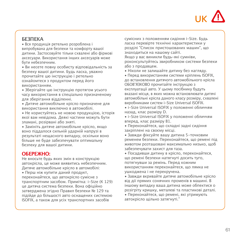

### **БЕЗПЕКА**

• Вся продукція ретельно розроблена і випробувана для безпеки та комфорту вашої дитини. Застосовуйте тільки схвалені або фірмові аксесуари. Використання інших аксесуарів може бути небезпечним.

• Ви несете повну особисту відповідальність за безпеку вашої дитини. Будь ласка, уважно прочитайте цю інструкцію і ретельно ознайомтеся з продуктом перед його використанням.

• Зберігайте цю інструкцію протягом усього часу використання в спеціально призначеному для зберігання відділенні.

• Дитяче автомобільне крісло призначене для використання виключно в автомобілі.

• Не користуйтесь не новою продукцією, історія якої вам невідома. Деякі частини можуть бути зламані, розірвані або зняті.

• Замініть дитяче автомобільне крісло, якщо воно піддалося сильній ударній напрузі в результаті нещасного випадку, оскільки воно більше не буде забезпечувати оптимальну безпеку для вашої дитини.

### **ОБЕРЕЖНО:**

Не вносьте будь яких змін в конструкцію автокрісла, це може виявитись небезпечним. Дитяче автомобільне крісло в автомобілі:

• Перш ніж купити даний продукт, переконайтеся, що автокрісло сумісне з транспортним засобом. Примітка: i-Size (К 129) це дитяча система безпеки. Вона офіційно затверджена згідно Правил безпеки № 129 та підійде до більшості авто оснащених системою ISOFIX, а також для усіх транспортних засобів

сумісних з положенням сидіння i-Size. Будь ласка перевірте технічні характеристики у розділі "Список пристошованих машин", що знаходиться на нашому сайті. Якщо у вас виникли будь-які сумніви,

роконсультуйтесь звиробником системи безпеки або з продавцем.

• Ніколи не залишайте дитину без нагляду.

• Перед використанням системи кріплень ISOFIX, до встановлення дитячого автомобільного крісла ОБОВ'ЯЗКОВО прочитайте інструкцію з експлуатації авто. У цьому посібнику будуть вказані місця, в яких можна встановлювати дитячі автомобільні крісла даного класу розміру, схвалені виробниками систем i-Size Universal ISOFIX.

• i-Size Universal ISOFIX у положенні обличчям назад, клас разміру D.

• i-Size Universal ISOFIX у положенні обличчям вперед, клас разміру B1.

• Переконайтеся, що складні задні сидіння закріплені на своєму місці.

• Завжди фіксуйте вашу дитина 5-точковим ременем безпеки. Переконайтеся, що ремені під животом розташовані максимально низько, щоб забезпечувати захист для таза.

• Посадивши дитину в крісло, переконайтеся, що ремені безпеки натягнуті досить туго, потягнувши за ремінь. Перед кожним використанням переконайтеся, що лямка не ушкоджена і не перекручена.

• Завжди вкривайте дитяче автомобільне крісло від дії прямих сонячних променів в машині. В іншому випадку ваша дитина може обпектися о розігріту кришку, металеві та пластикові деталі.

• Переконайтеся, що ремені, які утримують автокрісло щільно затягнуті."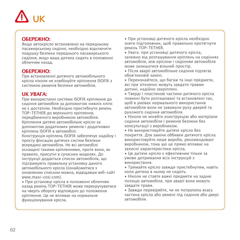

### **ОБЕРЕЖНО:**

Якщо автокрісло встановлено на передньому пасажирському сидінні, необхідно відключити подушку безпеки переднього пасажирського сидіння, якщо ваша дитина сидить в положенні обличчям назад.

## **ОБЕРЕЖНО:**

При встановленні дитячого автомобільного крісла ніколи не комбінуйте кріплення ISOFIX з системою ременів безпеки автомобіля.

# **UK УВАГА:**

При використанні системи ISOFIX кріплення до сидіння автомобіля за допомогою нижніх кліпс не є достатнім. Необхідно пристебнути ремінь TOP-TETHER до верхнього кріплення,

передбаченого виробником автомобіля. Кріплення дитяче автомобільне крісло за допомогою додаткових ременів і додаткових кріплень ISOFIX в автомобілі.

Конструкція кріплень ISOFIX забезпечує надійну і просту фіксацію дитячих систем безпеки всередині автомобіля. Не всі автомобілі оснащені такими кріпленнями, проте вони, як правило, присутні в сучасних моделях. До інструкції додається список автомобілів, що підтримують правильну установку даного автомобільного крісла (ознайомитися з оновленим списком можна, відвідавши веб-сайт www.maxi-cosi.com).

• При установці крісла в положенні обличчям назад ремінь TOP-TETHER може перекручуватися на чверть обороту відповідно до положення кріплення. Це не впливає на нормальне функціонування крісла.

• При установці дитячого крісла необхідно зняти підголовник, щоб правильно протягнути ремінь TOP-TETHER.

• Увага: при установці дитячого крісла, залежно від розташування кріплень на сидіннях автомобіля, між кріслом і сидінням автомобіля може залишатися вільний простір.

• Після аварії автомобільне сидіння підлягає обов'язковій заміні.

• Переконайтеся, що багаж та інші предмети, які при зіткненні можуть завдати травми дитині, надійно закріплені.

• Тверді і пластикові частини дитячого крісла повинні бути розташовані та встановлені так, щоб в умовах нормального використання автомобіля вони не заважали руху дверей та рухомого сидіння автомобіля.

• Ніколи не міняйте конструкцію або матеріали сидіння автомобіля і ременів безпеки без консультації з виробником.

• Не використовуйте дитяче крісло без покриття. Для заміни оббивки дитячого крісла використовуйте лише вироби, рекомендовані виробником, тому що це прямо впливає на захисні характеристики крісла.

• Це дитяче крісло є ефективним тільки за умови дотримання всіх інструкцій з використання.

• Тримайте крісло завжди пристебнутим, навіть коли дитина в ньому не сидить.

• Ніколи не ставте важкі предмети на задню полицю автомобіля, при аварії вони можуть завдати травм.

• Завжди перевіряйте, чи не потрапила якась частина крісла або ремені під сидіння або двері автомобіля.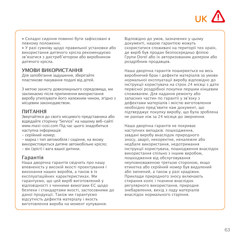

• Складні сидіння повинні бути зафіксовані в певному положенні.

• У разі сумніву щодо правильної установки або використання дитячого крісла рекомендуємо зв'язатися з дистриб'ютором або виробником дитячого крісла.

### **УМОВИ ВИКОРИСТАННЯ**

Для запобігання задушення, зберігайте пластикове пакування подалі від дітей.

З метою захисту довколишнього середовища, ми закликаємо після припинення використання виробу утилізувати його належним чином, згідно з місцевим законодавством.

#### **ПИТАННЯ**

Звертайтеся до свого місцевого представника або відвідайте сторінку "Service" на нашому веб-сайті www.maxi-cosi.com Під час цього знадобиться наступна інформація:

- серійний номер;

- марка і тип автомобіля і сидіння, на якому використовується дитяче автомобільне крісло; - вік (зріст) і вага вашої дитини.

#### **Гарантія**

Наша дворічна гарантія свідчить про нашу впевненість у високій якості проектування і виконання наших виробів, а також в їх експлуатаційних характеристиках. Ми гарантуємо, що цей виріб виготовлений у відповідності з чинними вимогами ЄС щодо безпеки і стандартами якості, застосовними до даної продукції. Також ми гарантуємо відсутність дефектів матеріалу і якость виготовлення вироба на момент купування.

Відповідно до умов, зазначених у цьому документі, нашою гарантією можуть скористатися споживачі на території тих країн,<br>де виріб був продан безпосередньо філією де виріб був продан безпосередньо філією Групи Dorel або їх авторизованим дилером або роздрібним продавцев.

Наша дворічна гарантія поширюється на весь виробничий брак і дефекти матеріалів за умови нормальної експлуатації виробу відповідно до інструкції користувача на строк 24 місяці з дати первісної роздрібної покупки першим кінцевим споживачем. Для надання ремонту або запасних частин по гарантії у зв'язку з дефектами матеріалів і якістю виготовлення необхідно пред'явити нам документ, що підтверджує покупку виробу, що була зроблена не раніше ніж за 24 місяця до звернення.

Наша дворічна гарантія не покриває наступних випадків: пошкодження, завдані виробу внаслідок природного зносу, аварії, некоректне, неналежне або недбале використання, недотримання інструкції користувача, пошкодження внаслідок використання спільно з іншим виробом, пошкодження від обслуговування неуповноваженою третьою стороною, якщо етикетка або серійний номер був видалений або змінений, а також у разі крадіжки. Приклади природного зносу включають стирання коліс і тканини внаслідок регулярного використання, природне знебарвлення, вихід з ладу матеріалів внаслідок нормального старіння.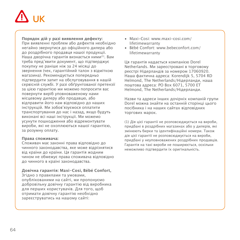

**Порядок дій у разі виявлення дефекту:**

При виявленні проблем або дефектів необхідно негайно звернутися до офіційного дилера або до роздрібного продавця нашої продукції. Наша дворічна гарантія визнається ними(1). Вам треба пред'явити документ, що підтверджує покупку не раніше ніж за 24 місяці до звернення (чек, гарантійний талон з відміткою магазина). Рекомендується попередньо підтвердити запит на обслуговування в нашій сервісній службі. У разі обґрунтованої претензії за цією гарантією ми можемо попросити вас повернути виріб уповноваженому нами місцевому дилеру або продавцю, або відправити його нам відповідно до наших інструкцій. Ми зобов'язуємося оплатити транспортування до нас і назад, якщо будуть виконані всі наші інструкції. Ми можемо усунути пошкодження або відремонтувати вироби, які не охоплюються нашої гарантією, за розумну оплату.

#### **Права споживача:**

Споживач має законні права відповідно до чинного законодавства, яке може відрізнятися від країни до країни. Ця гарантія жодним чином не обмежує права споживача відповідно до чинного в країні законодавства.

#### **Довічна гарантія: Maxi-Cosi, Bébé Confort,**

Згідно з правилами та умовами, опублікованими на сайті, ми пропонуємо добровільну довічну гарантію від виробника для перших користувачів. Для того, щоб отримати довічну гарантію необхідно зареєструватись на нашому сайті:

- Maxi-Cosi: www.maxi-cosi.com/ lifetimewarranty
- Bébé Confort: www.bebeconfort.com/ lifetimewarranty

Ця гарантія надається компанією Dorel Netherlands. Ми зареєстровані в торговому реєстрі Нідерландів за номером 17060920. Наша фактична адреса: Korendijk 5, 5704 RD Helmond, The Netherlands/Нідерланди, наша поштова адреса: PO Box 6071, 5700 ET Helmond, The Netherlands/Нідерланди.

Назви та адреси інших дочірніх компаній групи Dorel можна знайти на останній сторінці цього посібника і на наших сайтах відповідних торгових марок.

(1) Дія цієї гарантії не розповсюджується на вироби, придбані в роздрібних магазинах або у дилерів, які змінюють бирки та ідентифікаційні номери. Також дія цієї гарантії не розповсюджується на вироби, придбані у неуповноважених роздрібних продавців. Гарантія на такі вироби не поширюється, оскільки неможливо підтвердити їх оригінальність.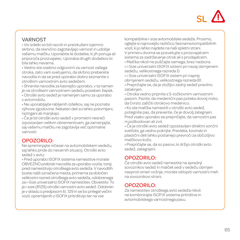

## VARNOST

• Vsi izdelki so bili razviti in preizkušeni izjemno skrbno, da resnično zagotavljajo varnost in udobje vašemu malčku. Uporabite le dodatke, ki jih ponuja ali priporoča proizvajalec. Uporaba drugih dodatkov bi bila lahko nevarna.

• Vedno ste osebno odgovorni za varnost vašega otroka, zato vam svetujemo, da skrbno preberete navodila in da se pred uporabo dobro seznanite z otroškim varnostnim avto sedežem.

• Shranite navodila za kasnejšo uporabo; v ta namen je na otroškem varnostnem sedežu poseben žepek.

• Otroški avto sedež je namenjen samo za uporabo v avtomobilu.

• Ne uporabljajte rabljenih izdelkov, saj ne poznate njihove zgodovine. Nekateri deli so lahko polomljeni, raztrgani ali manjkajo.

• Če je bil otroški avto sedež v prometni nesreči izpostavljen velikim obremenitvam, ga zamenjajte, saj vašemu malčku ne zagotavlja več optimalne varnosti.

## OPOZORILO:

Ne spreminjajte ničesar na avtomobilskem sedežu, saj lahko pride do nevarnih situacij. Otroški avto sedež v avtu:

• Pred uporabo ISOFIX sistema namestitve morate OBVEZNO prebrati navodila za uporabo vozila, torej pred namestitvijo otroškega avto sedeža. V navodilih boste našli označena mesta, primerna za določen velikostni razred otroškega avto sedeža, odobrenega za i-Size univerzalno ISOFIX namestitev. Obvestilo: To je i-size (R129) otroški varnostni avto sedež. Odobren je v skladu s predpisom št. 129 in se bo prilegal večini vozil, opremljenih z ISOFIX pritrditvijo ter na vse

kompatibilne i-size avtomobilske sedeže. Prosimo, oglejte si najnovejšo različico Seznama kompatibilnih vozil, ki jo lahko najdete na naši spletni strani. V primeru dvoma se posvetujte s proizvajalcem sistema za zadrževanje otrok ali s prodajalcem.

• Malčka nikoli ne puščajte samega, brez nadzora.

• i-Size univerzalni ISOFIX sistem pri nazaj obrnjenem sedežu, velikostnega razreda D.

• i-Size univerzalni ISOFIX sistem pri naprej obrnjenem sedežu, velikostnega razreda B1.

• Prepričajte se, da je zložljivi zadnji sedež pravilno zataknjen.

• Otroka vedno pripnite s 5-točkovnim varnostnim pasom. Pazite, da medenični pas poteka dovolj nizko, da čvrsto zaščiti otrokovo medenico.

• Ko ste malčka namestili v otroški avto sedež, potegnite pas, da preverite, če je dovolj zategnjen. Pred vsako uporabo se prepričajte, da varnostni pas ni poškodovan ali zvit.

• Če je otroški avto sedež izpostavljen direktni sončni svetlobi, ga vedno pokrijte. Prevleka, kovinski in plastični deli lahko postanejo prevroči za občutljivo malčkovo kožo.

• Prepričajte se, da so pasovi, ki držijo otroški avto sedež, zategnjeni.

## OPOZORILO:

Če otroški avto sedež namestite na sprednji sovoznikov sedež in malček sedi v sedežu obrnjen nasproti smeri vožnje, morate izklopiti varnostni meh na sovoznikovi strani.

## OPOZORILO:

Za namestitev otroškega avto sedeža nikoli ne kombinirajte ISOFIX sistema pritrditve in avtomobilskega varnostnega pasu.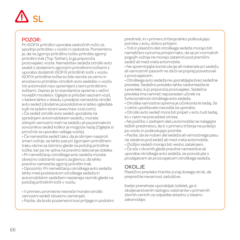# SL

# POZOR:

Pri ISOFIX pritrditvi uporaba zaskočnih ročic za spodnjo pritrditev v vozilo ni zadostna. Pomembno je, da na zgornjo pritrdilno točko pritrdite zgornji pritrdilni trak (Top Tether), ki ga priporoča proizvajalec vozila. Namestitev sedeža otroški avto sedež z dodatnimi zgornjimi pritrdilnimi točkami z uporabo dodatnih ISOFIX pritrdilnih točk v vozilu. ISOFIX pritrdilne točke so bile razvite za varno in enostavno pritrditev otroških avto sedežev v vozilo. Vsi avtomobili niso opremljeni s temi pritrdilnimi točkami, čeprav je to standardna oprema v večini novejših modelov. Oglejte si priložen seznam vozil, v katere lahko v skladu s predpisi namestite otroški avto sedež (dodatne posodobitve si lahko ogledate tudi na spletni strani www.maxi-cosi.com). • Če sedež otroški avto sedež uporabite na sprednjem avtomobilskem sedežu, morate izklopiti varnostni meh na sedežu ali pa premakniti sovoznikov sedež kolikor je mogoče nazaj (Oglejte si priročnik za uporabo vašega vozila).

• Če namestite sedež tako, da je obrnjen nasproti smeri vožnje, se lahko pas pri zgornjem pritrdilnem traku obrne za četrtino glede na položaj pritrdilne točke, kar pa ne vpliva na pravilno delovanje izdelka. • Pri nameščanju otroškega avto sedeža morate obvezno odstraniti oporo za glavico, da lahko pravilno namestite zgornji pritrdilni trak.

• Opozorilo: Pri nameščanju otroškega avto sedeža lahko med podstavkom otroškega sedeža in avtomobilskim sedežem nastanejo razmiki glede na položaj pritrdilnih točk v vozilu.

• V primeru prometne nesreče morate otroški varnostni sedež obvezno zamenjati.

• Pazite, da bodo posamezni kosi prtljage in podobni

predmeti, ki v primeru trčenja lahko poškodujejo potnike v avtu, dobro pritrjeni.

• Trdi in plastični deli otroškega sedeža morajo biti nameščeni oziroma pritrjeni tako, da se pri normalnih pogojih vožnje ne morejo zatakniti pod premični sedež ali med vrata avtomobila.

• Ne spreminjajte konstrukcije ali materiala pri sedežu ali varnostnih pasovih ne da bi se poprej posvetovali s proizvajalcem.

• Otroškega avto sedeža ne uporabljajte brez sedežne prevleke. Sedežno prevleko lahko nadomestite le s prevleko, ki jo priporoča proizvajalec. Sedežna prevleka ima namreč neposreden učinek na funkcionalnost otroškega avto sedeža.

• Otroška varnostna oprema je učinkovita le tedaj, če v celoti upoštevate navodila za uporabo.

• Otroški avto sedež mora biti pripet v avtu tudi tedaj, ko v njem ne prevažate otroka.

• Na poličko v zadnjem delu avtomobila ne nalagajte težkih predmetov, da ti v primeru trčenja ne poletijo po vozilu in poškodujejo potnike.

• Pazite, da se noben del sedeža ali varnostnega pasu ne zatakne pod sedež ali med vrata avtomobila.

• Zložljivi sedeži morajo biti vedno zataknjeni.

• Če ste v dvomih glede pravilne namestitve ali uporabe otroškega avto sedeža, se posvetujte s prodajalcem ali proizvajalcem otroškega sedeža.

# OKOL **IF**

Plastično prevleko hranite zunaj dosega otrok, da preprečite nevarnost zadušitve.

Kadar prenehate uporabljati izdelek, ga iz okoljevarstvenih razlogov odstranite v primernih zbirnih centrih za odpadke skladno z lokalno zakonodajo.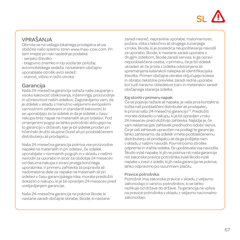# SL

# VPRAŠANJA

Obrnite se na vašega lokalnega prodajalca ali pa obiščite našo spletno stran www.maxi-cosi.com. Pri tem imejte pri roki naslednje podatke: - serijsko številko

- blagovno znamko in tip vozila ter položaj avtomobilskega sedeža, na katerem običajno uporabljate otroški avto sedež;

- starost, višino in težo otroka.

# Garancija

Naša 24-mesečna garancija odraža naše zaupanje v visoko kakovost oblikovanja, inženiringa, proizvodnje in učinkovitost naših izdelkov. Zagotavljamo vam, da je izdelek v skladu s trenutno veljavnimi evropskimi varnostnimi zahtevami in standardi kakovosti, ki se uporabljajo za ta izdelek in da je izdelek v času nakupa brez napak na materialih ali pri izdelavi. Pod omenjenimi pogoji se lahko potrošniki sklicujejo na to garancijo v državah, kjer je bil izdelek prodan pri hčerinski družbi skupine Dorel ali pri pooblaščenem distributerju ali prodajalcu.

Naša 24-mesečna garancija pokriva vse proizvodne napake na materialih in pri izdelavi, če izdelek uporabljate v normalnih pogojih in v skladu z našimi navodili za uporabo in sicer za obdobje 24 mesecev od datuma nakupa s strani prvega končnega uporabnika. V primeru zahtevka za popravila ali nadomestne dele za napake na materialih ali pri izdelavi v času garancijskega roka, morate predložiti dokazilo o nakupu, ki je bil opravljen 24 mesecev pred uveljavljanjem garancije.

Naša 24-mesečna garancija ne pokriva škode, ki nastane zaradi običajne obrabe, škode, ki nastane zaradi nesreč, nepravilne uporabe, malomarnosti, požara, stika s tekočino ali drugega zunanjega vzroka, škode, ki je posledica neupoštevanja navodil za uporabo, škode, ki nastane zaradi uporabe z drugim izdelkom, škode zaradi servisa, ki ga opravi nepooblaščena oseba, v primeru, če je bil izdelek ukraden ali če je bila z izdelka odstranjena ali spremenjena katerakoli nalepka ali identifikacijska številka. Primeri običajne obrabe vključujejo kolesa in obrabo tekstilne prevleke zaradi redne uporabe kot tudi naravno obledelost barv in materialov zaradi običajnega staranja izdelka.

#### Kaj storiti v primeru napak:

Če se pojavijo težave ali napake, je vaša prva kontaktna točka naš pooblaščeni distributer ali prodajalec, ki prizna našo 24-mesečno garancijo<sup>(1)</sup>. Predložiti morate dokazilo o nakupu, ki je bil opravljen v roku 24 mesecev pred vložitvijo zahtevka. Najlažje je, če vam reklamacijski zahtevek predhodno odobri servis. Če je vaš zahtevek upravičen na podlagi te garancije, lahko zahtevamo, da izdelek vrnete pooblaščenemu distributerju ali prodajalcu ali da ga pošljete nam v skladu z našimi navodili. Povrnili bomo stroške odpreme in vračila izdelka, če upoštevate vsa navodila. Škodo in/ali napake, ki jih ne pokriva niti naša garancija niti zakonske pravice potrošnika in/ali škodo in/ali napake v zvezi z izdelki, ki jih naša garancija ne pokriva, lahko odpravimo po razumnem plačilu.

#### Pravice potrošnika:

Potrošnik ima zakonske pravice v skladu z veljavno zakonodajo o varstvu potrošnikov, ki se lahko razlikuje od države do države. Ta garancija ne vpliva na pravice potrošnika v skladu z veljavno nacionalno zakonodajo.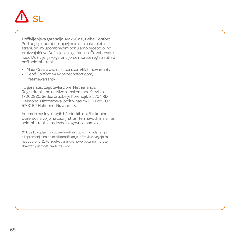# SL

Doživljenjska garancija: Maxi-Cosi, Bébé Confort Pod pogoji uporabe, objavljenimi na naši spletni strani, prvim uporabnikom ponujamo prostovoljno proizvajalčevo Doživljenjsko garancijo. Če zahtevate našo Doživljenjsko garancijo, se morate registrirati na naši spletni strani:

- Maxi-Cosi: www.maxi-cosi.com/lifetimewarranty
- Bébé Confort: www.bebeconfort.com/ lifetimewarranty

To garancijo zagotavlja Dorel Netherlands. Registrirani smo na Nizozemskem pod številko 17060920. Sedež družbe je Korendjik 5, 5704 RD Helmond, Nizozemska, poštni naslov P.O. Box 6071, 5700 ET Helmond, Nizotemska.

Imena in naslovi drugih hčerinskih družb skupine Dorel so na voljo na zadnji strani teh navodil in na naši spletni strani za zadevno blagovno znamko.

(1) Izdelki, kupljeni pri posrednikih ali trgovcih, ki odstranijo ali spremenijo nalepke ali identifikacijske številke, veljajo za neodobrene. Za te izdelke garancije ne velja, saj ne morete dokazati pristnosti takih izdelkov.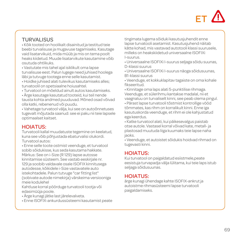

# TURVALISUS

• Kõik tooted on hoolikalt disainitud ja testitud teie beebi turvalisuse ja mugavuse tagamiseks. Kasutage vaid lisatarvikuid, mida müüb ja mis on tema poolt heaks kiidetud. Muude lisatarvikute kasutamine võib osutuda ohtlikuks.

• Vastutate mis tahel ajal isiklikult oma lapse turvalisuse eest. Palun lugege need juhised hoolega läbi ja tutvuge tootega enne selle kasutamist.

• Hoidke juhised alati tulevikus kasutamiseks alles; turvatoolil on spetsiaalne hoiusahtel.

• Turvatool on mõeldud ainult autos kasutamiseks.

• Ärge kasutage kasutatud tooteid, kui teil nende tausta kohta andmed puuduvad. Mõned osad võivad olla katki, rebenenud või puudu.

• Vahetage turvatool välja, kui see on autoõnnetuses tugevalt mõjutada saanud: see ei paku nii teie lapsele optimaalset kaitset.

# HOIATUS<sup>.</sup>

Turvatooli kallal muudatuste tegemine on keelatud, kuna see võib põhjustada ebaturvalisi olukordi. Turvatool autos:

• Enne selle toote ostmist veenduge, et turvatool sobib sõidukisse, kus seda kasutama hakkate. Märkus: See on i-Size (R 129) lapse autosse kinnitamise süsteem. See vastab eeskirjale nr. 129 ja soobib valdavale osale ISOFIX kinnitusega autodesse, kõikidele i-Size vastavatele auto istekohtadele. Palun tutvuge "car fitting list" (sobivate autode nimekirja) värskeima versiooniga meie kodulehel

Kahtluse korral pöörduge turvatooli tootja või edasimüüja poole.

- Ärge kunagi jätke last järelevalveta.
- Enne ISOFIX-ankurdussüsteemi kasutamist peate

tingimata lugema sõiduki kasutusjuhendit enne lapse turvatooli asetamist. Kasutusjuhend näitab kätte kohad, mis vastavad autotooli klassi suurusele, milleks on heakskiidetud universaalne ISOFIXi I-suurus.

• Universaalne ISOFIXi I-suurus seljaga sõidu suunas, D-klassi suurus

• Universaalne ISOFIXi I-suurus näoga sõidusuunas, B1-klassi suurus

• Veenduge, et kokkuklapitav tagaiste on oma kohale fikseeritud.

• Kinnitage oma laps alati 5-punktilise rihmaga. Veenduge, et sülerihmu kantakse madalal, nii et vaagnaluu on turvaliselt kinni, see peab olema pingul.

• Pärast lapse turvatooli tõstmist kontrollige vööd tõmmates, kas rihm on korralikult kinni. Enne iga kasutuskorda veenduge, et rihm ei ole kahjustatud ega keerdus.

• Katke turvatool alati, kui päikesevalgus paistab otse autole. Vastasel korral võivad kate, metall- ja plastosad muutuda liiga kuumaks teie lapse naha jaoks.

• Veenduge, et autoistet sõidukis hoidvad rihmad on tugevasti kinni.

# HOIATUS:

Kui turvatool on paigaldatud esiistmele,peate eesistuja turvapadja välja lülitama, kui teie laps istub seljaga sõidusuunas.

## HOIATUS:

ärge kunagi ühendage kahte ISOFIX-ankrut ja autoistme rihmasüsteemi lapse turvatooli paigaldamiseks.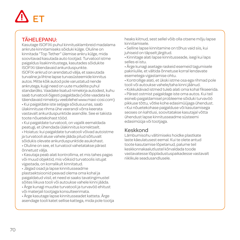# ET

## TÄHELEPANU:

Kasutage ISOFIXi puhul kinnitusklambreid madalama ankrute kinnitamiseks sõiduki külge. Oluline on kinnitada "Top Tether" ülemise ankru külge, mida soovitavad kasutada auto tootjad. Turvatool istme paigaldus lisakinnitustega, kasutades sõidukite ISOFIXi täiendavaid ankurduspunkte.

ISOFIX-ankrud on arendatud välja, et saavutada turvaline ja lihtne lapse turvasüsteemide kinnitus autos. Mitte kõik autod pole varustatud nende ankrutega, kuigi need on uute mudelite puhul standardiks. Vaadake lisatud nimekirja autodest, kuhu saab turvatooli õigesti paigaldada (võite vaadata ka täiendavaid nimekirju veebilehel www.maxi-cosi.com)

• Kui paigaldate iste seljaga sõidusuunas, saab ülakinnituse rihma ühe veerandi võrra keerata vastavalt ankurduspunktide asendile. See ei takista toote nõuetekohast tööd.

• Kui paigaldate turvatooli, on vajalik eemaldada peatugi, et ühendada ülakinnitus korrektselt.

• Hoiatus: kui paigaldate turvatooli võivad autoistme ja turvatooli aluse vahele jääda pilud sõltuvalt sõidukis olevate ankurduspunktide asukohast.

• Oluline on see, et turvatool vahetatakse pärast õnnetust välja.

• Kasutaja peab alati kontrollima, et mis tahes pagas või muud objektid, mis võiksid turvatoolis istujat vigastada, on korralikult kinnitatud.

• Jäigad osad ja lapse kinnitusseadme plastsektsioonid peavad olema oma kohal ja paigaldatud viisil, et need ei saaks tavatingimustel sõites liikuva tooli või autoukse vahele kinni jääda.

• Ärge kunagi muutke turvatooli ja turvavöö ehitust või materjali tootjaga konsulteerimata.

• Ärge kasutage lapse kinnitusseadet katteta. Ärge asendage tooli katet sellise kattega, mida pole tootja heaks kiitnud, sest sellel võib olla otsene mõju lapse kinnitamisele.

• Selline lapse kinnitamine on tõhus vaid siis, kui juhiseid on täpselt järgitud.

• Kinnitage alati lapse kinnitusseade, isegi kui laps selles ei istu.

• Ärge kunagi asetage raskeid esemeid tagumisele pakiriiulile, et vältida õnnetuse korral lendavate esemetega vigastamise ohtu.

• Kontrollige alati, et ükski istme osa ega rihmad pole tooli või autoukse vahele/taha kinni jäänud.

• Kokkukäivad istmed tuleb alati oma kohal fikseerida.

• Pärast ostmist paigaldage iste oma autos. Kui teil esineb paigaldamisel probleeme sõiduki turvavöö pikkuse tõttu, võtke kohe edasimüüjaga ühendust. • Kui nõuetekohase paigalduse või kasutamisega seoses on kahtlusi, soovitatakse kasutajal võtta ühendust lapse kinnitusseadme süsteemi edasimüüja või tootjaga.

# Keskkond

Lämbumisohu vältimiseks hoidke plastkate laste käeulatusest eemal. Kui te olete antud toote kasutamise lõpetanud, palume teil keskkonnakaalutlustel kõrvaldada toode vastavatesse lõppladustuspaikadesse vastavalt riiklikule seadusandlusele.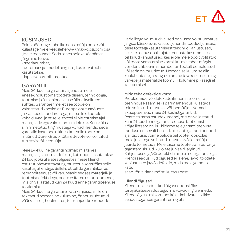# $FT$  /

# KÜSIMUSED

Palun pöörduge kohaliku edasimüüja poole või külastage meie veebilehe www.maxi-cosi.com osa "Meie teenused" Seda tehes hoidke käepärast järgmine teave:

- seerianumber;

- automark ja -mudel ning iste, kus turvatool i kasutatakse;

- lapse vanus, pikkus ja kaal.

# GARANTII

Meie 24-kuuline garantii väljendab meie enesekindlust oma toodete disaini, tehnoloogia, tootmise ja funktsionaalsuse ülima kvaliteedi suhtes. Garanteerime, et see toode on valmistatud kooskõlas Euroopa ohutusnõuete ja kvaliteedistandarditega, mis sellele tootele kohalduvad, ja et sellel tootel ei ole ostmise ajal materjalide ega valmistamise defekte. Kooskõlas siin nimetatud tingimustega võivad kliendid seda garantiid kasutada riikides, kus selle toote on müünud Dorel Groupi tütarettevõte või volitatud turustaja või jaemüüja.

Meie 24-kuuline garantii hõlmab mis tahes materjali- ja tootmisdefekte, kui toodet kasutatakse 24 kuu jooksul alates algsest esimese kliendi ostukuupäevast tavatingimustes ja kooskõlas selle kasutusjuhendiga. Selleks et tellida garantiikorras remonditeenust või varuosasid seoses materjali- ja tootmisdefektidega, peate esitama ostudokumendi, mis on väljastatud kuni 24 kuud enne garantiiteenuse taotlemist.

Meie 24-kuuline garantii ei kata kahjusid, mille on tekitanud normaalne kulumine, õnnetusjuhtumid, väärkasutus, hoolimatus, tulekahjud, kokkupuude

vedelikega või muud välised põhjused või suutmatus järgida käesolevas kasutusjuhendis toodud juhiseid, teise tootega kasutamisest tekkinud kahjustused, selliste teenusepakkujate teenuste kasutamisest tekkinud kahjustused, kes ei ole meie poolt volitatud, või toote varastamise korral, kui mis tahes märgis või identifitseerimisnumber on tootelt eemaldatud või seda on muudetud. Normaalse kulumise alla kuulub rataste ja kanga kulumine tavakasutusel ning värvide ja materjalide loomulik kulumine pikaaegsel kasutamisel.

#### Mida teha defektide korral:

Probleemide või defektide ilmnemisel on kiire teeninduse saamiseks parim lahendus külastada teie volitatud turustajat või jaemüüjat. Nemad<sup>(1)</sup> aktsepteerivad meie 24-kuulist garantiid. Peate esitama ostudokumendi, mis on väljastatud kuni 24 kuud enne garantiiteenuse taotlemist. Kõige lihtsam on, kui kiidame teie garantiiteenuse taotluse eelnevalt heaks. Kui esitate garantiiperioodi ajal taotluse, võime paluda teil toote kooskõlas meie juhistega volitatud turustaja või jaemüüja juurde toimetada. Meie tasume toote transpordi- ja tagastamiskulud, kui olete juhiseid järginud. Kahjustused ja/või defektid, millele meie garantii ega kliendi seaduslikud õigused ei laiene, ja/või toodete kahjustused ja/või defektid, mida meie garantii ei kata,

saab kõrvaldada mõistliku tasu eest.

#### Kliendi õigused:

Kliendil on seaduslikud õigused kooskõlas tarbijakaitseseadustega, mis võivad riigiti erineda. Kliendi õigusi, mis on kooskõlas kehtivate riiklikke seadustega, see garantii ei mõjuta.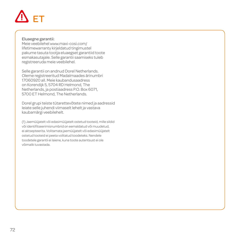# $\bigwedge$  FT

#### Eluaegne garantii:

Meie veebilehel www.maxi-cosi.com/ lifetimewarranty kirjeldatud tingimustel pakume tasuta tootja eluaegset garantiid toote esmakasutajale. Selle garantii saamiseks tuleb registreeruda meie veebilehel.

Selle garantii on andnud Dorel Netherlands. Oleme registreeritud Madalmaades ärinumbri 17060920 all. Meie kaubandusaadress on Korendijk 5, 5704 RD Helmond, The Netherlands, ja postiaadress P.O. Box 6071, 5700 ET Helmond, The Netherlands.

Dorel grupi teiste tütarettevõtete nimed ja aadressid leiate selle juhendi viimaselt lehelt ja vastava kaubamärgi veebilehelt.

(1) Jaemüüjatelt või edasimüüjatelt ostetud tooteid, mille sildid või identifitseerimisnumbrid on eemaldatud või muudetud, ei aktsepteerita. Volitamata jaemüüjatelt või edasimüüjatelt ostetud tooteid ei peeta volitatud toodeteks. Nendele toodetele garantii ei laiene, kuna toote autentsust ei ole võimalik tuvastada.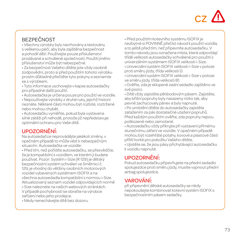

# **BEZPEČNOST**

• Všechny výrobky byly navrhovány a testovány s veškerou péčí, aby byla zajištěna bezpečnost a pohodlí dětí. Používejte pouze příslušenství prodávané a schválené společností. Použití jiného příslušenství může být nebezpečné.

• Za bezpečnost Vašeho dítěte jste vždy osobně zodpovědní, proto si před použitím tohoto výrobku prosím důkladně přečtěte tyto pokyny a seznamte se s výrobkem.

• Tyto informace uschovejte v kapse autosedačky pro případné další použití.

• Autosedačka je určena pouze pro použití ve vozidle.

• Nepoužívejte výrobky z druhé ruky, jejichž historii neznáte. Některé části mohou být rozbité, roztržené nebo mohou chybět.

• Autosedačku vyměňte, pokud byla vystavena silné zátěži při nehodě, protože již nepředstavuje optimální ochranu pro Vaše dítě.

# UPOZORNĚNÍ:

Na autosedačce neprovádějte jakékoli změny, v opačném případě to může vést k nebezpečným situacím. Autosedačka ve vozidle:

• Před tím, než pořídíte autosedačku, se přesvědčte, že je kompatibilní s vozidlem, ve kterém ji budete používat. Pozor: Systém i-Size (R 129) je dětský bezpečnostní systém schválen ve Směrnici č. 129, je vhodný do většiny osobních motorových vozidel vybavených systémem ISOFIX a na všechna autosedadla kompatibilní s normou i-Size. Aktualizovaný seznam vozidel odpovídajících normě i-Size naleznete na našich webových stránkách. V případě pochybností se obraťte na výrobce zařízení nebo jeho prodejce.

• Nikdy nenechávejte dítě bez dozoru.

• Před použitím kotevního systému ISOFIX je nezbytné si POVINNĚ přečíst návod k použití vozidla, a to ještě před tím, než připevníte autosedačku. V tomto návodu jsou označena místa, která odpovídají třídě velikosti autosedačky schválené pro použití s univerzálním systémem ISOFIX velikosti i-Size.

• Univerzální systém ISOFIX velikosti i-Size v poloze proti směru jízdy, třída velikosti D.

• Univerzální systém ISOFIX velikosti i-Size v poloze ve směru jízdy, třída velikosti B1.

• Ověřte, zda je sklopené zadní sedadlo zajištěno ve své pozici.

• Dítě vždy zajistěte pětibodovým pásem. Zajistěte, aby břišní popruhy byly nasazeny nízko tak, aby pevně zachycovaly pánev a byly napnuté.

• Po umístění dítěte do autosedačky zajistěte zatažením za pás dostatečné utažení popruhů. Před každým použitím ověřte, zda popruhy nejsou poškozené nebo zamotané.

• Autosedačku vždy přikryjte při vystavení přímému slunečnímu záření ve vozidle. V opačném případě mohou být rozehřáté potahy, kovové a plastové části příliš horké pro pokožku Vašeho dítěte.

• Ujistěte se, že jsou pásy přichytávající autosedačku k vozidlu napnuté.

# UPOZORNĚNÍ:

Pokud autosedačku připevňujete na přední sedadlo spolujezdce proti směru jízdy, musíte vypnout přední airbag spolujezdce.

# VAROVÁNÍ:

při připevnění dětské autosedačky se nikdy nepokoušejte kombinovat kotevní systém ISOFIX s bezpečnostním pásem sedačky.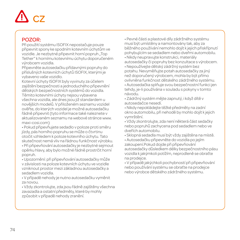# $CZ$

### POZOR:

Při použití systému ISOFIX nepostačuje pouze připevnit spony ke spodním kotevním úchytům ve vozidle. Je nezbytné připevnit horní popruh "Top Tether" k hornímu kotevnímu úchytu doporučeném výrobcem vozidla.

Připevněte autosedačku přídavnými popruhy do příslušných kotevních úchytů ISOFIX, kterými je vybaveno vaše vozidlo.

Kotevní úchyty ISOFIX byly vyvinuty za účelem zajištění bezpečnosti a jednoduchého připevnění dětských bezpečnostních systémů do vozidla. Těmito kotevními úchyty nejsou vybavena všechna vozidla, ale dnes jsou již standardem u novějších modelů. V přiloženém seznamu vozidel ověřte, do kterých vozidel je možné autosedačku řádně připevnit (tyto informace také naleznete v aktualizovaném seznamu na webové stránce www. maxi-cosi.com)

• Pokud připevňujete sedadlo v poloze proti směru jízdy, pás horního popruhu se může o čtvrtinu otočit vzhledem k poloze kotevního úchytu. Tato skutečnost nemá vliv na řádnou funkčnost výrobku.

• Při připevňování autosedačky je nezbytné sejmout opěrku hlavy, aby bylo možné řádně prostrčit horní popruh.

• Upozornění: při připevňování autosedačky může v závislosti na poloze kotevních úchytu ve vozidle vzniknout prostor mezi základnou autosedačky a sedadlem vozidla.

• V případě nehody je nutno autosedačku vyměnit za novou.

• Vždy zkontrolujte, zda jsou řádně zajištěny všechna zavazadla a ostatní předměty, které by mohly způsobit v případě nehody zranění.

• Pevné části a plastové díly zádržného systému musí být umístěny a namontovány tak, aby za běžného používání nemohlo dojít k jejich přiskřípnutí pohybujícím se sedadlem nebo dveřmi automobilu.

• Nikdy neupravujte konstrukci, materiály autosedačky či popruhy bez konzultace s výrobcem.

• Nepoužívejte dětský zádržný systém bez potahu. Nevyměňujte potah autosedačky za jiný než doporučený výrobcem, mohla by být přímo ovlivněna funkčnost dětského zádržného systému. • Autosedačka splňuje svou bezpečnostní funkci jen tehdy, je-li používána v souladu s pokyny v tomto návodu.

• Zádržný systém mějte zapnutý, i když dítě v autosedačce nesedí.

• Nikdy nepokládejte těžké předměty na zadní okno automobilu, při nehodě by mohlo dojít k jejich vymrštění.

• Vždy zkontrolujte, zda není některá část sedačky nebo popruhů zachycena pod sedadlem nebo ve dveřích automobilu.

• Sklopná sedadla musí být vždy zajištěna na místě. • Autosedačku připevněte do vozidla po jejím zakoupení.Pokud dojde při připevňování autosedačky důsledkem délky bezpečnostního pásu vozidla k jakýmkoli potížím, neprodleně se obraťte na prodejce.

• V případě jakýchkoli pochybností při připevňování nebo používání systému se obraťte na prodejce nebo výrobce dětského zádržného systému.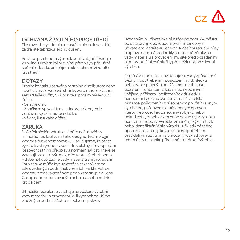# CZ

# OCHRANA ŽIVOTNÍHO PROSTŘEDÍ

Plastové obaly udržujte neustále mimo dosah děti, zabráníte tak riziku jejich udušení.

Poté, co přestanete výrobek používat, jej zlikvidujte v souladu s místními právními předpisy v příslušné sběrně odpadu, přispějete tak k ochraně životního prostředí.

### DOTAZY

Prosím kontaktujte svého místního distributora nebo navštivte naše webové stránky www.maxi-cosi.com, sekci "Naše služby". Připravte si prosím následující údaje:

- Sériové číslo;
- Značka a typ vozidla a sedačky, ve kterých je používán systém autosedačka;
- Věk, výška a váha dítěte.

# ZÁRUKA

Naše 24měsíční záruka svědčí o naší důvěře v mimořádnou kvalitu našeho designu, technologií, výroby a funkčnosti výrobku. Zaručujeme, že tento výrobek byl vyroben v souladu s platnými evropskými bezpečnostními předpisy a normami jakosti, které se vztahují na tento výrobek, a že tento výrobek nemá v době nákupu žádné vady materiálu ani provedení. Tato záruka může být uplatněna zákazníkem za zde uvedených podmínek v zemích, ve kterých se výrobek prodává dceřiným podnikem skupiny Dorel Group nebo autorizovaným nebo maloobchodním prodejcem.

24měsíční záruka se vztahuje na veškeré výrobní vady materiálu a provedení, je-li výrobek používán v běžných podmínkách a v souladu s pokyny

uvedenými v uživatelské příručce po dobu 24 měsíců od data prvního zakoupení prvním koncovým uživatelem. Žádáte-li během 24měsíční záruční lhůty o opravu nebo náhradní díly na základě záruky na vady materiálu a provedení, musíte před požádáním o poskytnutí takové služby předložit doklad o koupi výrobku.

24měsíční záruka se nevztahuje na vady způsobené běžným opotřebením, poškozením v důsledku nehody, nesprávným používáním, nedbalostí, požárem, kontaktem s kapalinou nebo jinými vnějšími příčinami, poškozením v důsledku nedodržení pokynů uvedených v uživatelské příručce, poškozením způsobeným použitím s jiným výrobkem, poškozením způsobeným opravou, kterou neprovedl autorizovaný subjekt, nebo pokud byl výrobek zcizen nebo pokud byl z výrobku odstraněn nebo na výrobku změněn jakýkoli štítek nebo identifikační číslo výrobku. Příklady běžného opotřebení zahrnují kola a tkaniny opotřebené pravidelným užíváním a přirozený rozklad barev a materiálů v důsledku přirozeného stárnutí výrobku.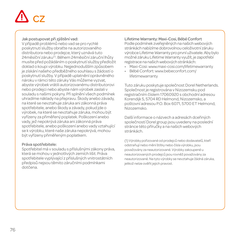# CZ

#### Jak postupovat při zjištění vad:

V případě problémů nebo vad se pro rychlé poskytnutí služby obraťte na autorizovaného distributora nebo prodejce, který uznává tuto 24měsíční záruku(1). Během 24měsíční záruční lhůty musíte před požádáním o poskytnutí služby předložit doklad o koupi výrobku. Nejjednodušším způsobem je získání našeho předběžného souhlasu s žádostí o poskytnutí služby. V případě uplatnění oprávněného nároku v rámci této záruky Vás můžeme vyzvat, abyste výrobek vrátili autorizovanému distributorovi nebo prodejci nebo abyste nám výrobek zaslali v souladu s našimi pokyny. Při splnění všech podmínek uhradíme náklady na přepravu. Škody anebo závady, na které se nevztahuje záruka ani zákonná práva spotřebitele, anebo škody a závady, pokud jde o výrobek, na které se nevztahuje záruka, mohou být vyřízeny za přiměřený poplatek. Poškození anebo vady, jež nepokrývá záruka ani zákonná práva spotřebitele, anebo poškození anebo vady vztahující se k výrobku, které naše záruka nepokrývá, mohou být vyřízeny přiměřeným poplatkem.

#### Práva spotřebitele:

Spotřebitel má v souladu s příslušnými zákony práva, která se mohou v jednotlivých zemích lišit. Práva spotřebitele vyplývající z příslušných vnitrostátních předpisů nejsou těmito záručními podmínkami dotčena.

#### Lifetime Warranty: Maxi-Cosi, Bébé Confort

Podle podmínek zveřejněných na našich webových stránkách nabízíme dobrovolnou celoživotní záruku výrobce Lifetime Warranty pro první uživatele. Aby bylo možné záruku Lifetime Warranty využít, je zapotřebí registrace na našich webových stránkách:

- Maxi-Cosi: www.maxi-cosi.com/lifetimewarranty
- Bébé Confort: www.bebeconfort.com/ lifetimewarranty

Tuto záruku poskytuje společnost Dorel Netherlands. Společnost je registrována v Nizozemsku pod registračním číslem 17060920 s obchodní adresou Korendijk 5, 5704 RD Helmond, Nizozemsko, a poštovní adresou P.O. Box 6071, 5700 ET Helmond, Nizozemsko.

Další informace o názvech a adresách dceřiných společností Dorel group jsou uvedeny na poslední stránce této příručky a na našich webových stránkách.

(1) Výrobky pořizované od prodejců nebo dodavatelů, kteří odstraňují nebo mění štítky nebo čísla výrobku, jsou považovány za neautorizované. Výrobky zakoupené u neautorizovaných prodejců jsou rovněž považovány za neautorizované. Na tyto výrobky se nevztahuje žádná záruka, jelikož nelze ověřit jejich pravost.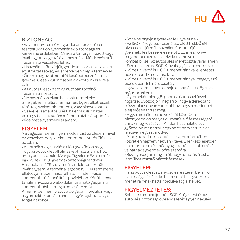

# **BIZTONSÁG**

• Valamennyi terméket gondosan terveztük és teszteltük az ön gyermekének biztonsága és kényelme érdekében. Csak a által forgalmazott vagy jóváhagyott kiegészítőket használja. Más kiegészítők használata veszélyes lehet.

• Használat előtt kérjük, gondosan olvassa el ezeket az útmutatásokat, és ismerkedjen meg a termékkel.

• Őrizze meg az útmutatót későbbi használatra; a gyermekülésen külön zsebet alakítottunk ki erre a célra.

• Az autós ülést kizárólag autóban történő használatra készült.

• Ne használjon olyan használt termékeket, amelyeknek múltját nem ismeri. Egyes alkatrészek töröttek, szakadtak lehetnek, vagy hiányozhatnak.

• Cserélje ki az autós ülést, ha erős külső hatás érte egy baleset során: már nem biztosít optimális védelmet a gyermeke számára.

#### FIGYELEM:

Ne végezzen semmilyen módosítást az ülésen, mivel ez veszélyes helyzeteket teremthet. Autós ülést az autóban:

• A termék megvásárlása előtt győződjön meg, hogy az autós ülés alkalmas-e ahhoz a járműhöz, amelyben használni kívánja. Figyelem: Ez a termék egy i-Size (R 129) gyermekbiztonsági rendszer. Használata a 129-es számú rendeletben került jóváhagyásra. A termék a legtöbb ISOFIX rendszerrel ellátott járműben használható, minden i-Size kompatibilis ülésbeállítási pozícióban. Kérjük, hogy tanulmányozza a weboldalán található gépjármű kompatibilitási lista legutóbbi változatát. Amennyiben nem biztos a dolgában, forduljon vagy a gyermekbiztonsági rendszer gyártójához, vagy a forgalmazóhoz.

• Soha ne hagyja a gyereket felügyelet nélkül.

• Az ISOFIX rögzítés használata előtt KELLŐEN olvassa el a jármű használati útmutatóját a gyermekülés beszerelése előtt. Ez a kézikönyv megmutatja azokat a helyeket, amelyek kompatibilisek az autós ülés méretosztályával, amely i-Size univerzális ISOFIX jóváhagyással rendelkezik.

• i-Size univerzális ISOFIX menetiránnyal ellentétes pozícióban, D méretosztály.

• i-Size univerzális ISOFIX menetiránnyal megegyező pozícióban, B1 méretosztály.

• Ügyeljen arra, hogy a lehajtott hátsó ülés rögzítve legyen a helyén.

• Gyermekét mindig 5-pontos biztonsági övvel rögzítse. Győződjön meg arról, hogy a derékpánt eléggé alacsonyan van-e ahhoz, hogy a medencét elég erősen tartsa meg.

• A gyermek ülésbe helyezését követően bizonyosodjon meg az öv megfelelő feszességéről annak meghúzásával. Minden használat előtt győződjön meg arról, hogy az öv nem sérült-e és

nincs-e megcsavarodva.

• Mindig takarja le az autós ülést, ha a járműben közvetlen napfénynek van kitéve. Ellenkező esetben a borítás, a fém és műanyag alkatrészek túl forróvá válhatnak a gyermek bőre számára.

• Bizonyosodjon meg arról, hogy az autós ülést a járműhöz rögzítő pántok feszesek.

### FIGYELEM:

Ha az autós ülést az anyósülésre szereli be, akkor az ülés légzsákját ki kell kapcsolni, ha a gyermek a menetiránynak háttal fordulva foglal helyet.

#### FIGYELMEZTETÉS:

Soha ne kombináljon két ISOFIX rögzítést és az autóülés biztonságiöv-rendszerét a gyermekülés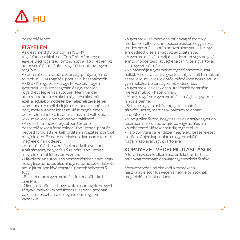# HU

beszereléséhez.

#### FIGYELEM:

Az ülést mindig 3 ponton: az ISOFIX rögzítőkapcsokkal és a "Top Tether" horoggal egyidejűleg rögzítse. Fontos, hogy a "Top Tether" az autógyártó által ajánlott rögzítési ponthoz legyen rögzítve.

Az autós ülést további biztonsági pántjai a jármű további ISOFIX rögzítési pontjaival használhatók. Az ISOFIX rögzítéseket úgy tervezték, hogy a gyermekülés biztonságosan és egyszerűen rögzíthető legyen az autóban. Nem minden autó rendelkezik ezekkel a rögzítésekkel, bár ezek a legújabb modellekben alapfelszerelésnek számítanak. A mellékelt járműlistában ellenőrizze, hogy mely autókba lehet az ülést megfelelően beszerelni (ennek a listának a frissített változatat a www.maxi-cosi.com webhelyen található. • Az ülés hátranéző helyzetben történő beszerelésekor a felső zsinór "Top Tether" pántját negyed fordulattal el kell fordítani a rögzítési pontnak megfelelően. Ez nem befolyásolja károsan a termék megfelelő működését.

• Az autós ülés beszerelésekor el kell távolítani a háttámaszt, hogy a felső zsinórt "Top Tether" megfelelően át lehessen vezetni.

• Figyelem: az autós ülés beszerelésekor lehet, hogy hézag lesz az autós ülés alapja és az autóülés között, ami a járműben lévő rögzítési pontok helyzetétől függ.

• Baleset után a gyermekülést feltétlenül ki kell cserélni.

• Mindig ellenőrizze, hogy azok a csomagok és egyéb tárgyak, melyek ütközéskor az ülésben utazónak balesetet okozhatnak, megfelelően rögzítve vannak-e.

• A gyermekülés merev és műanyag részeit oly módon kell elhelyezni a beszereléskor, hogy azok a rendes használat során ne szorulhassanak be egy elmozdított ülés alá vagy az autó ajtajába.

• A gyermekülés és a szíjak szerkezetét vagy anyagát érintő módosításokat végrehajtani tilos a gyártóval való egyeztetés nélkül.

• Ne használja a gyermeket rögzítő eszközt huzat nélkül. A huzatot csak a gyártó által javasolt termékkel cserélje le, mivel ez jelentős mértékben hozzájárul a gyermekülés biztonságos működéséhez.

• A gyermekülés csak ezen utasítások betartása mellett működik hatékonyan.

• Mindig rögzítse a gyermekülést, még ha a gyermek nincs is benne.

• Soha ne tegyen nehéz tárgyakat a hátsó tárolófelületre, mert azok balesetkor onnan lerepülhetnek.

• Mindig ellenőrizze, hogy az ülés és a szíjak egyetlen része sem szorult be az ajtóba vagy az ülés alá.

• A lehajtható üléseket mindig rögzíteni kell.

• Ha bizonytalan a rendszer megfelelő beszerelését illetően, lépjen kapcsolatba a gyermekülés forgalmazójával vagy gyártójával.

# KÖRNYEZETVÉDELMI UTASÍTÁSOK

A fulladásveszély elkerülése érdekében tartsa a műanyag csomagolóanyagot gyermekektől távol.

Környezetvédelmi okokból a terméket a használati életciklus végén a helyi előírásoknak megfelelően ártalmatlanítsa.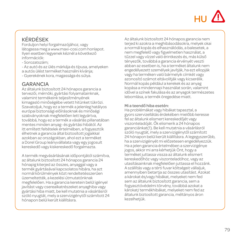# $H1$

# KÉRDÉSEK

Forduljon helyi forgalmazójához, vagy látogassa meg a www.maxi-cosi.com honlapot. Ilyen esetben legyenek kéznél a következő információk:

- Sorozatszám;
- Az autó és az ülés márkája és típusa, amelyeken
- a autós ülést terméket használni kívánja;
- Gyerekének kora, magassága és súlya.

### GARANCIA

Az általunk biztosított 24 hónapos garancia a tervezői, mérnöki, gyártási folyamatainknak, valamint termékeink teljesítményének kimagasló minőségébe vetett hitünket tükrözi. Szavatoljuk, hogy ez a termék a jelenleg hatályos európai biztonsági előírásoknak és minőségi szabványoknak megfelelően lett legyártva, továbbá, hogy ez a termék a vásárlás pillanatában mentes minden anyag- és gyártási hibától. Az itt említett feltételek értelmében, a fogyasztók élhetnek a garancia által biztosított jogaikkal azokban az országokban, ahol ezt a terméket a Dorel Group leányvállalata vagy egy jogosult kereskedő vagy kiskereskedő forgalmazta.

A termék megvásárlásának időpontjától számítva, az általunk biztosított 24 hónapos garancia 24 hónapig kiterjed az összes, anyaggal vagy a termék gyártásával kapcsolatos hibára, ha azt normál körülmények közt rendeltetésszerűen üzemeltették, a kezelési útmutatónknak megfelelően. Ha a garancia keretein belül igényel javítást vagy cserealkatrészeket anyaghiba vagy gyártási hiba miatt, be kell mutatnia a vásárlásról szóló nyugtát, mely a szervizigénytől számított 24 hónapon belül került kiállításra.

Az általunk biztosított 24 hónapos garancia nem terjed ki azokra a meghibásodásokra, melyek okai a normál kopás és elhasználódás, a balesetek, a nem megfelelő vagy figyelmetlen használat, a tűzzel vagy vízzel való érintkezés és, más külső tényezők, továbbá a garancia érvényét veszti abban az esetben is, ha a terméket általunk nem engedélyezett személyek javítják, ha ezt ellopják vagy ha terméken való bármelyik címkét vagy azonosító számot eltávolítják vagy kicserélik. Normál kopás például a kerekek és az anyag kopása a mindennapi használat során, valamint idővel a színek fakulása és az anyagok természetes lebomlása, a termék öregedése miatt.

#### Mi a teendő hiba esetén:

Ha problémákat vagy hibákat tapasztal, a gyors szervizellátás érdekében mielőbb keresse fel az általunk elismert kereskedőjét vagy viszonteladóját. Ők elismerik a 24 hónapos garanciánkat(1). Be kell mutatnia a vásárlásról szóló nyugtát, mely a szervizigénytől számított 24 hónapon belül került kiállításra. A legegyszerűbb, ha a szervizigényét mi előzetesen engedélyezzük. Ha a jelen garancia értelmében a szervizigénye jogos, akkor mi arra kérhetjük Önt, hogy a terméket juttassa vissza az általunk elismert kereskedőhöz vagy viszonteladóhoz, vagy az utasításainknak megfelelően juttassa el hozzánk. A szállítás vagy a térti fuvar költségeit vállaljuk, amennyiben betartja az összes utasítást. Azokat a károkat és/vagy hibákat, melyeket nem fed sem az általunk biztosított garancia, sem a fogyasztóvédelmi törvény, továbbá azokat a károkat/ termékhibákat, melyeket nem fed az általunk biztosított garancia, méltányos áron kezelhetiük.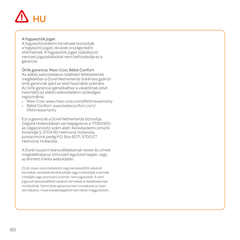# HU

#### A fogyasztók jogai:

A fogyasztóvédelmi törvények biztosítják a fogyasztó jogait, de ezek országonként eltérhetnek. A fogyasztók jogait szabályozó nemzeti jogszabályokat nem befolyásolja ez a garancia.

Örök garancia: Maxi-Cosi, Bébé Confort Az alábbi weboldalakon található feltételeknek megfelelően a Dorel Netherlands önkéntes gyártói örök garanciát ajánl az első használók számára. Az örök garancia igényléséhez a vásárlónak (első használó) az alábbi weboldalakon szükséges regisztrálnia:

- Maxi-Cosi: www.maxi-cosi.com/lifetimewarranty
- Bébé Confort: www.bebeconfort.com/ lifetimewarranty

Ezt a garanciát a Dorel Netherlands biztosítja. Cégünk Hollandiában van bejegyezve a 17060920 as cégazonosító szám alatt. Kereskedelmi címünk Korendijk 5, 5704 RD Helmond, Hollandia, postacímünk pedig P.O. Box 6071, 5700 ET Helmond, Hollandia.

A Dorel csoport leányvállalatainak neveit és címeit megtalálhatja az útmutató legutolsó lapján, vagy az érintett márka weboldalán.

(1) Az olyan viszonteladótól vagy kereskedőtől vásárolt termékek, amelyeknél eltávolítják vagy módosítják a termék címkéjét vagy azonosító számát, nem jogosultak. A nem jogosult kereskedőktől vásárolt termékek is illetéktelennek minősülnek. Semmilyen garancia nem vonatkozik az ilyen termékekre, mivel eredetiségükről nem lehet meggyőződni.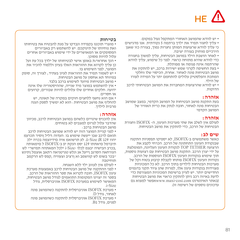

• יש לוודא שהמושב האחורי המתקפל נעול במקום.<br>• עליך לחגור תמיד את ילדך ברתמה 5 נקודתית. אנו מדגישים<br>כי עליד לוודא שרצועות המותו נחגרות נמוד. בצורה כזו שאנו

הירכיים מוחזק בצורה יציבה.<br>• לאחר הושבת הילד במושב הבטיחות, עליך למשוך בחגורה<br>כדי לוודא שהיא מתוחה כראוי. לפני כל שימוש. עליד לוודא שהרתמה אינה פגומה או מפותלת.<br>• בעת החשיפה לקרני שמש ישירות ברכב. יש להתקיו את

מושב הבטיחות פונה לאחור. אחרת, הכיסוי שלו וחלקי<br>המתכת והפלסטוס עלולים להתחמם יתר על המידה לעורו

של הילד.<br>• יש לוודא שהרצועות המחברות את המושב הבטיחותי לרכב<br>הדוקות.

#### **אזהרה:**

בעת התקנת מושב הבטיחות על המושב הקדמי, במצב שמושב הבטיחות פונה לאחור, חובה לנתק את כרית האוויר של<br>המושב הקדמי

לעולם אין לשלב את שתי מערכות העיגון, ה- ISOFIX וחגורת **אזהרה:** הבטיחות של הרכב, כדי להתקין את מושב הבטיחות.

**שים לב:**<br>כאשר משתמשים ב-ISOFIX, לא יספיקו תפסניות התקנה שבנקודת העיגון התחתונה של הרכב. הכרחי לקבע את<br>הרצועה TOP TETHER לנסודת העיגוו העליונה. המומלצת על ידי יצרן הרכב. התקנת מושב הבטיחות עם רצועות נוספות,<br>תוך שימוש בנקודות העיגון ISOFLX הנוספות של הרכב.<br>נקודות העיגון ISOFLX הפתח לקבלת קיבוע בטוח וקל של<br>מערכות הבטיחות לילדים בתוד הרכב. לא כל המכוניות מצוידות בנקודות עיגון אלו, למרות שהן ציוד תקני בדגמים החדישים יותר. יש לעיין ברשימת המכוניות המצורפת כדי לדעת באיזה רכב ניתן להתקין כראוי את מושב הבטיחות ובאתר האינטרנט cosi.com.www.maxi-cosi.com.<br>עדכונים נוספים של בשימה זו/

#### **בטיחות**

• מוצרי תוכננו בקפידה ונבדקו על מנת להבטיח את בטיחותו ואת נוחיותו של תינוקכם. יש להשתמש רק באביזרים המסופקים או המאושרים על ידי שימוש באביזרים אחרים עלול להיות מסוכן.

• הנך אחראי/ת באופן אישי לבטיחותו של ילדך בכל עת ועל כן עליך לקרוא את ההוראות האלו בעיון וללמוד להכיר את המוצר, לפני השימוש בו.

• יש לשמור תמיד את ההוראות לעיון בעתיד; לצורך זה, סופק במיוחד תא אחסון על מושב הבטיחות.

• מושב הבטיחות מיועד לשימוש ברכב בלבד.

• אין להשתמש במוצר מיד שנייה, שההיסטוריה שלו אינה<br>ידועה. חלקים אחדים שלו עלולים להיות שבורים. קרועים או חסרים.<br>• אם הוא נחשף ללחצים חזקים במקרה של תאונה. יש

להחליף את מושב הבטיחות: הוא לא ימשיך לספק הגנה מרבית לילדך.

#### **אזהרה:**

אין להכניס שינויים כלשהם במושב הבטיחות לרכב, מכיוון<br>שהדרך עליל ליכים למצבים לא בנוסים -<br>- מושב הבטיחות ברכב :<br>- לפני קניית המוצר הזה יש לוודא שמושב הבטיחות לרכב

תואם לרכב שבו ייעשה שימוש בו. העדוה :דליל ןוסיר תכרעמ<br>יהוז i-Size (R 129). לע תרשואמ איה סידיוצמה בכרה ילכ תיברמל םיאתתו 129 יסמ הנקת יפ ב-ISOFIX ל םימאותה<br>בכרב הבישיה יבצמ לכלו -i-Size ילכל המאתהה תמישר" לש הנורחאה הסרגב ןייעל אנ ונלש טנרטניאה רתאב אוצמל ןתינש ייבכר בשומ לש קוושמב וא ןרציב וצעוויה ,קפס לש הרקמב<br>תוחיטבה

• לעולם אין לעזוב ילד ללא השגחה.

• לפני ההתקנה של מושב הבטיחות לרכב באמצעות מערכת<br>עיגוו ISOFIX. חובה לקרוא את ספר ההוראות של הרכב. בספר זה יצוינו המקומות התואמים לגודל מושב הבטיחות,<br>המאושר לשימוש במערכת ISOFIX אוניברסלית. גודל

i-Size.<br>• מערכת ISOFIX אוניברסלית להתקנה כשהמושב פונה<br>לאחור. נודל D

• מערכת ISOFIX אוניברסלית להתקנה כשהמושב פונה<br>לפנים, גודל B1.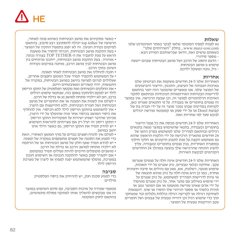

#### **שאלות**

נא לפנות למפיץ המקומי שלאו לבקר באתר האינטרנט שלנו<br>www.maxi-cosi.com. בחלק "השירותים שלנו".

כשאתם עושים זאת, וודאו שברשותכם המידע הבא :<br>- מספר סידורי.<br>- הדגם והסוג של הרכב ושל מושב הבטיחות שבהם ייעשה<br>שימוש ב-מישב הבתימות

- גיל, גובה ומשקל ילדכם.

**אחריות**<br>האחריות שלנו ל-24 חודשים משקפת את הביטחון שלנו באיכות הגבוהה של העיצוב, התכנון, הייצור והביצועים של המוצר שלנו. אנו מאשרים שהמוצר הזה יוצר בהתאם לדרישות הבטיחות האירופאיות הנוכחיות ובהתאם לתקני האיכות הרלוונטיים למוצר זה, וכן שבעת הרכישה, אין במוצר זה פגמים בחומרים או בעבודה. על פי התנאים שצוינו כאן, לקוחות במדינות שבהן נמכר מוצר זה על ידי חברת בת של קבוצת Dorel או על ידי ספק או קמעונאי מורשה יכולים<br>לבקש סעד לפי אחריות זאת.

האחריות שלנו ל-24 חודשים מכסה את כל פגמי הייצור<br>בחומרים ובעבודה, בתנאי שהשימוש במוצר נעשה בתנאים<br>רגילים ובהתאם למדריך שלנו למשתמש בפרק הזמן של<br>24 חודשים מתאריד הרכישה על ידי הלקוח הראשוו שהוא גם משתמש הקצה.על מנת לתבוע תיקונים או חלקי חילוף במסגרת האחריות, בגין פגמים בחומרים ובעבודה, עליך להציג הוכחה שהרכישה שלך בוצעה במהלך 24 החודשים הקודמים לבקשת השירות.

האחריות שלנו ל-24 חודשים אינה חלה על פגמים שנגרמו<br>עקב : שחיקה ובלאי טבעיים, נזק שנגרם על ידי תאונות. שימוש פוגעני, רשלנות, אש, מגע עם נוזלים או סיבה חיצונית אחרת; כמו כן היא אינה חלה על נזק שהוא תוצאה של אי ציות לדרישות המדריך למשתמש, על נזק שנגרם על ידי שימוש בשילוב עם מוצר אחר, על נזק שנגרם מטיפול<br>על ידי אדם שאינו מוכשה מטעמון או אם המוצר נוגר או תווית כלשהי או מספר הזיהוי שלו הוסרו או שווו. דוגמאות לשחיקה רגילה או לקריעה רגילה כוללות גלגלים ובד שנשחקו תוך כדי שימוש רגיל וכן דהייה טבעית של צבעים ושל חומרים עקב הזדקנות טבעית של המוצר.

• כאשר מתקינים את מושב הבטיחות כשהוא פונה לאחור, הרצועה של tether top יכולה להסתובב רבע סיבוב, בהתאם למיקום נקודת העיגון. זה לא יפגע בתפעול התקין של המוצר. • בעת התקנת מושב הבטיחות, הכרחי להסיר את משענת<br>הראש על מות להעריר את ה-TOP TETHER רצורה ורווה • אזהרה : בעת התקנת מושב הבטיחות, ייתכנו מרווחים בין<br>מושב הבטיחות לביו מושב הרכב. מותנה במיקום נקודות העיגון בתוך הרכב.<br>• חובה להחליף את מושב הבטיחות לאחר תאונה.

- 
- על המשתמש להקפיד תמיד שכל המטען וחפצים אחרים,<br>שעלולים לגרום לפגיעה ביושב במושב הבטיחות. במקרה של התנגשות, יהיו קשורים ומאובטחים היטב.<br>• את החלקים הקשיחים ואת מקטעי הפלסטיק של התקו הריסוו
- לילד יש למקם ולהתקין באופן כזה, שבתנאי שימוש רגילים ברכב, הם לא יילכדו מתחת למושב נע או בדלת של הרכב.
- לעולם אין לשנות את המבנה או את החומרים של מושב הבטיחות ושל חגורת הבטיחות, ללא התייעצות עם היצרן. • אין להשתמש בהתקן הריסון לילד ללא הכיסוי. אין להחליף את כיסוי המושב בכיסוי אחר מזה שהומלץ על ידי היצרן,
	- מכיוון שהדבר ישפיע ישירות על תפקודיות התקן הריסון.
	- התקן ריסון זה יעיל רק אם מצייתים להוראות השימוש.<br>• יש להדה תמיד את התהו הריסוו. גם כאשר הילד אינו
- יושב במושב.<br>• לעולם איו להניח חפצים כבדים על מדף המטעו האחורי. וזאת
- כדי למנוע את הסכנה של חפצים מתעופפים במקרה של תאונה.<br>• יש לוודא תמיד שאף חלק של מושב הבטיחות או של הרתמה לא יילכדו מתחת למושב הרכב או בדלת של הרכב.<br>• מושבים מהופלים חינרים להיות ועולים תמיד במהומם
	-
- אם יתעורר ספק באשר להתקנה הנכונה או השימוש הנכון במערכת, מומלץ שהמשתמש יפנה למפיץ או ליצרן של מערכת הריסון לילד.

#### **סביבה**

כדי למנוע סכנת חנק, יש להרחיק את כיסוי הפלסטיק<br>מילדים.

מטעמי שמירה על איכות הסביבה, עם סיום השימוש במוצר זה אנו מבקשים להשליך אותו למתקני פסולת מתאימים, בהתאם לחוק המקומי.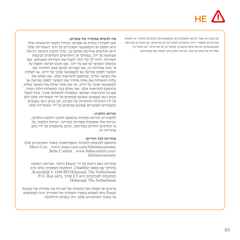# $HF$  $I$

)1( מוצרים אשר נרכשו מספקים או מקמעונאים הנוהגים להסיר או לשנות תוויות או מספרי זיהוי נחשבים למוצרים לא מורשים. גם מוצרים שנרכשו מקמעונאים לא מורשים נחשבים למוצרים לא מורשים. לא תחול כל אחריות על מוצרים אלו, מכיוון שלא ניתן לאמת את אמינותם.

#### **מה לעשות במקרה של פגמים:**

אם יתעוררו בעיות או פגמים, נקודת הקשר הראשונה שלך היא הספק או הקמעונאי המוכרים על ידנו. האחריות שלנו<br>ל-24 חודשים מחינרת אותם (11 עליד להציג הוכחת רכישה שבוצעה על ידך, במהלך 24 החודשים הקודמים לבקשת ל24- חודשים מחייבת אותם )1(. עליך להציג הוכחת רכישה השירות. יהיה לך קל יותר לקבל את השירות המבוקש, אם בקשתך תאושר מראש על ידנו. אם תוגש תביעה תקפה על פי כתב אחריות זה, אנו עשויים לבקש ממך להחזיר את המוצר לספק מורשה או לקמעונאי מוכר על ידינו, או לשלוח את המוצר אלינו, בהתאם להוראות שלנו. אנו נשלם את עלות המשלוח אם אתה מחזיר את המוצר לספק מורשה או לקמעונאי מוכר על ידינו, או אם אתה שולח את המוצר אלינו, בהתאם להוראות שלנו. אנו נשלם בגין המשלוח הלוך וחזור, אם כל ההוראות ימולאו. בתמורה לתשלום סביר, נוכל לטפל בנזק ו/או בפגמים שאינם מכוסים על ידי האחריות שלנו ולא על ידי הזכויות החוקיות של הצרכן, וכן בנזק ו/או בפגמים הקשורים למוצרים שאינם מכוסים על ידי האחריות שלנו.

#### **זכויות הלקוח:**

ללקוח יש זכויות חוקיות בהתאם לחוקי הלקוח החלים; זכויות אלו משתנות ממדינה למדינה. זכויות הלקוח, על פי החוקים החלים במדינתך, אינם מושפעים על ידי כתב<br>אחריות זה

**אחריות לכל החיים:**<br>התהוס לתנאים ולתניות המפורסמות Maxi-Cosi : www.maxi-cosi.com/lifetimewarranty<br>Bebe Confort : www.bebeconfort.com/<br>lifetimewarranty!

אחריות זאת ניתנת על ידי Dorel הולנד. חברתנו רשומה<br>בהולנד עם מספר 17060920. הכתובת העסקית שלנו היא Korendijk 5, 5704 RD Helmond. The Netherlands P.O. Box 6071, 5700 ET היא למכתבים וכתובתנו .Helmond, The Netherlands

פרטים על שמות ועל כתובות של חברות בת אחרות של קבוצת Dorel ניתן למצוא בעמוד האחרון של המדריך הזה למשתמש<br>או באתר האינטרנט שלנו. הדו במותג הרלוונטי.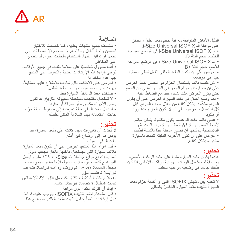

# **السالمة**

ُ • صممت جميع منتجات بعناية، كما خضعت لالختبار لضمان راحة الطفل وسالمته. ال تستخدم إال الملحقات التي تبيعها أو توافق عليها. فاستخدام ملحقات أخرى قد ينطوي على المخاطر. ّ • أنت مسؤول شخصيا على سالمة طفلك في جميع األوقات، ُيرجى قراءة هذه اإلرشادات بعناية والتعرف على المنتج جيداً قبل استخدامه. ،ً • احرص على االحتفاظ باإلرشادات لالطالع عليها مستقبال ويوجد حيز مخصص لتخزينها بمقعد الطفل. • يستخدم مقعد الـ داخل السيارة فقط. • ال تستعمل منتجات مستعملة مجهولة التاريخ. قد تكون بعض األجزاء مكسورة أو ممزقة أو مفقودة. ّ • استبدل مقعد الـ في حالة تعرضه إلى ضغوط عنيفة جراء حادث: استعماله يهدد السالمة المثلى لطفلك.

#### **تحذير:**

لا تُحدث أيّ تغيير ات مهما كانت على مقعد السيارة، فقد ّ يؤدي هذا إلى أوضاع غير آمنة. مقعد الـ في السيارة: • قبل شراء هذا المنتج، احرص على أن يكون مقعد السيارة مالئما للسيارة التي سيستعمل داخلها. نالعا: مجحب دلولل نامأ يسؤك نع ةرابع جتنمال اذه Size-i ، 129 مقر رايعمل اقفو هيلع قداصم ةرايسلا يف سولجلا تايعضو اعيمج بسانيو مجحل ةبسانمال Size-i نم روكذم وه امك تارايسال بتك يف تارايسال تاعنصم لبق. ُ ةهجال ةراشتسا كنكميف ً،اقثاو نكت مل اذإ وأ الفطأال ةمالس ّ نيمأت ةمظنأل ةعنصمال ةئزجتال عئاب. • إياك أن تترك الطفل دون مراقبة. • قبل استخدام نظام التثبيت ISOFIX، يتوجب عليك قراءة دليل إرشادات السيارة قبل تثبيت مقعد طفلك. سيوضح هذا

الدليل األماكن المتوافقة مع فئة حجم مقعد الطفل، الحائز .i-Size Universal ISOFIX الـ موافقة على • الـ ISOFIX Universal Size-i في الوضع المواجه للخلف، حجم الفئة D. • الـ ISOFIX Universal Size-i في الوضع المواجه لألمام، حجم الفئة 1B. ّ • احرص على أن يكون المقعد الخلفي القابل للطي مستقرا جيدا في موضعه. ّ • أمن طفلك دائما باستعمال الحزام ذو الخمس نقاط. احرص ِ على أن يتم ارتداء حزام الحجر في الجزء السفلي من الجسم ّ حتى يكون الحوض مثبتا بشكل جيد مع الضغط عليه. • بعد وضع الطفل في مقعد السيارة، احرص على أن يكون الحزام مشدودا بشكل كاف من خالل سحب الحزام. قبل ّكل استعمال، احرص على أن ال يكون الحزام متضررا أو ملتويا. ّ • غطي دائما مقعد الـ عندما يكون مكشوفا بشكل مباشر ّ ألشعة الشمس و إال فإن الغطاء و األجزاء المعدنية و ّ البالستيكية بإمكانها أن تصير ساخنة جدا بالنسبة لطفلك. • احرص على أن تكون األحزمة المثبتة للمقعد بالسيارة مشدودة بشكل كاف.

**تحذير:** عندما يكون مقعد السيارة مثبتا على مقعد الراكب األمامي، يجب إيقاف تشغيل الوسادة الهوائية للراكب الأمامي إذا كان طفلك جالسا في وضعية مواجهة للخلف.

# **تحذير:**

ال تجمع بين مشبكي ISOFIX اثنين و أنظمة حزام مقعد ّ السيارة لتثبيت مقعد السيارة الخاص بالطفل.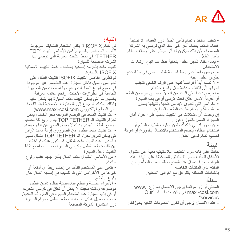

#### **انتبه:**

في نظام ISOFIX ال يكفي استخدام المشابك الموجودة للتثبيت المنخفض بالسيارة. فمن األساسي تثبيت "TOP TETHER "في نقاط التثبيت العلوية التي توصي بها الشركة المصنعة للسيارة. تثبيت مقعد بأحزمة إضافية باستخدام نقاط التثبيت اإلضافية ISOFIX بالسيارة. تم تطوير عناصر التثبيت ISOFIX لتثبيت الطفل على نحو آمن وسهل داخل السيارة. هذه العناصر غير موجودة في جميع أنواع السيارات رغم أنها أصبحت من التجهيزات القّياسية في الطّر از ات الأحدث. ر اجع القائمة المر فقة بالسيارات التي يمكن تثبيت مقعد السيارة بها بشكل سليم )كذلك يمكنك الرجوع إلى التحدثيات اإلضافية لهذه القائمة )www.maxi-cosi.com اإللكتروني الموقع على • عند تثبيت المقعد في الوضع المواجه نحو الخلف، يمكن لحزام التثبيت الـ TETHER TOP يدور ربع لفة بحسب موضع نقطة التثبيت. وذلك ال يعوق المنتج عن أداء مهمته. • عند تثبيت مقعد الطفل، من الضروري إزالة مسند الرأس كي يمكن تمريرالحزام الـ TETHER TOP بشكل سليم. • تحذير: عند تثبيت مقعد الطفل، قد تكون هناك فراغات بين قاعدة مقعد الطفل وكرسي السيارة بحسب مواضع نقاط التثبيت داخل السيارة. • من األساسي استبدال مقعد الطفل بآخر جديد عقب وقوع حادث. • يتعين على المستخدم التأكد من إحكام ربط أي أمتعة أو غير ها من الأغراض التي قد تتسبب في إصابة الطفل حال وقوع ارتطام. • األجزاء الصلبة والقطع البالستيكية بنظام تأمين الطفل موضوعة ومثبتة بحيث ال يمكن أن تعلق في كرسي متحرك أو في باب السيارة عند استخدام السيارة في الظروف العادية. • تجنب تعديل هيكل أو خامات مقعد الطفل وحزام السيارة دون استشارة الشركة المصنعة.

• تجنب استخدام نظام تأمين الطفل دون الغطاء. ال تستبدل غطاء المقعد بغطاء آخر غير ذلك الذي توصي به الشركة المصنعة، ألن ذلك سيكون له أثر مباشر على وظائف نظام تأمين الطفل. • يعمل نظام تأمين الطفل بفعالية فقط عند اتباع ارشادات االستخدام. ً على ربط أحزمة التأمين حتى في حالة عدم • احرص دائما جلوس الطفل عليه. • لا تضع أبداً أغراضاً ثقيلة على الرف الخلفي لتجنب تحولها إلى قذائف مندفعة حال وقوع حادث. • احرص دائماً على التأكد من أنه لا يوجد أي جزء من المقعد أو أحز مة الأمان عالق تحت كرسي أو في باب السيار ة. • الكراسي التي تُطوى لابد من فتحها وتثبيتها بأمان. • عقب الشراء، قم بتثبيت المقعد بالسيارة. إن وجدت أي مشكالت في التثبيت بسبب طول حزام أمان .ً السيارة، اتصل بالموزع فورا • إن ساورتك أي شكوك بشأن أسلوب التثبيت السليم أو ُ استخدام النظام، ينصح المستخدم باالتصال بالموزع أو شركة تصنيع نظام تأمين الطفل.

ا**لمبيئــه**<br>حافظ على كافة مواد التغليف البلاستيكية بعيداً عن متناول لأطفال لتجنّب خطر الاختناق. للمحافظة على البِيئة، عند لتوقف عن استعمال هذا المنتج، نطلب منك التخلّص من المنتج لدى المنشآت الخاصة بالقمامات المماثلة بالتوافق مع القوانين المحلية.

ُ المحلي أو زر موقعنا يرجى االتصال بموزع .:www **أسئلة**  com.cosi-maxi في ركن خدماتنا أو "Our ."services ُ - عند االتصال يرجى أن تكون المعلومات التالية بحوزتك: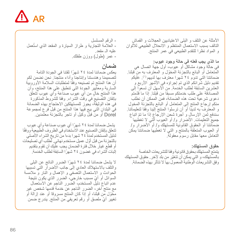

- الرقم المسلسل - العلامة التجارية و طراز السيارة و المقعد الذي استعمل عليه الـ مقعد. - عمر )طول( ووزن طفلك.

**ضمان** يعكس ضماننا لمدة 24 ً شهرا ثقتنا في الجودة التامة لتصميمنا وهندستنا وإنتاجنا وأداء منتجنا. نحن نضمن لكم أن هذا المنتج تم تصنيعه وفقًا لمتطلبات السلامة الأوروبية السارية ومعايير الجودة التي تنطبق علي هذا المنتج، وأن<br>هذا المنتج خال من أي عيوب صناعة وأي عيوب تتعلق بإتقان التصنيع في وقت الشراء. وفقا للشروط المذكورة في هذه الوثيقة، يجوز للمستهلكين االحتجاج بهذه الضمانة في البلدان التي بيع فيها هذا المنتج من قبل فرع لمجموعة Dorel أو من قبل وكيل أو تاجر بالتجزئة معتمدين.

 يشمل ضماننا لمدة 24 ً شهرا أي عيوب صناعة وأي عيوب تتعلق بإتقان التصنيع عند الاستخدام في الظروف الطبيعية ووفقًا لدليل المستخدم لمدة 24 شهرا بدءا من تاريخ الشراء األصلي ّ بالتجزئة من قبل أول عميل مستخدم نهائي. لطلب أي تصليحات أو قطع غيار خالل فترة الضمان يجب عليك أن تقوم بتقديم إثبات الشراء في غضون 24 ً شهرا السابقة لطلب الخدمة.

ال يشمل ضماننا لمدة 24 ً شهرا الضرر الناتج عن البلى والتلف باالستهالك العادي إلى جانب األضرار التي تسببها الحوادث و االستعمال التعسفي و اإلهمال و النار و مالمسة ّ السوائل أو أي مسبب خارجي، الضرر الذي يكون نتيجة عدم اتباع دليل المستخدم، الضرر الناجم عن االستعمال مع منتج آخر، الضرر الناجم عن خدمة قدمها شخص غير ّ مخول من قبلنا، أو إذا كان المنتج مسروقا أو عند إزالة أو ّ تغيير أي ملصق أو رقم تعريفي من المنتج. يندرج ضمن

األمثلة عن التلف و البلى االعتياديين العجالت و القماش التالف بسبب االستعمال المنتظم و االنحالل الطبيعي لأللوان و المواد نظرا للتقدم الطبيعي في عمر المنتج.

**ما الذي يجب فعله في حالة وجود عيوب:** في حالة وجود مشاكل أو عيوب، أول جهة اتصال هي ّ المتعامل أو البائع بالتجزئة المخول و المعترف به من قبلنا. ضمانتنا التي تدوم 24 شهرا معترف بها لديهم )1(. عليكم تقديم دليل شر ائكم الذي تم اجر اؤه في الأشهر ِ الأر بع و العشرين السابقة لطلب الخدمة. من األسهل أن تسعوا إلى ّ المصادقة على طلب خدمتكم مسبقا من قبلنا. إذا ما قدمتم دعوى شرعية تحت هذه الضمانة، فمن الممكن أن نطلب منكم إرجاع المنتج إلى المتعامل أو البائع بالتجزئة المخول و المعترف به لدينا أو أن ترسلوا المنتج إلينا وفقا لتعليماتنا.<br>سندفع ثمن الارسال و أحرة شحن الارحاع اذا ما تتم اتناع جميع التعليمات. الأضرار و/ أو العيوب التي لا تغطيها ضمانتنا أو الحقوق القانونية للمستهلك و/ أو األضرار و/ أو العيوب المتعلقة بالمنتج و التي ال تغطيها ضمانتنا يمكن التعامل معها مقابل رسوم معقولة.

**حقوق المستهلك:**  يتمتع المستهلك بحقوق قانونية وفقا للتشريعات الخاصة ّ بالمستهلك، و التي يمكن أن تتغير من بلد آلخر. حقوق المستهلك وفق التشريعات الوطنية المعمول بها ال تتأثر بهذه الضمانة.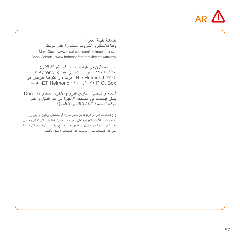

|                                                     |  | ضمانة طللة العمر : |  |
|-----------------------------------------------------|--|--------------------|--|
| وفقا للأحكام و الشروط المنشورة على موقعنا:          |  |                    |  |
| Maxi-Cosi: www.maxi-cosi.com/lifetimewarranty       |  |                    |  |
| Bébé Confort : www.bebeconfort.com/lifetimewarranty |  |                    |  |

نحن مسجلون في هولندا تحت رقم الشركة اآلتي: .17060920 عنواننا التجاري هو: Korendijk ,5 5704 Helmond RD، هولندا، و عنواننا البريدي هو: .هولندا ،ET Helmond 5700 ,6071 P.O. Box

أسماء و تفاصيل عناوين الفروع األخرى لمجموعة Dorel يمكن إيجادها في الصفحة األخيرة من هذا الدليل و على ّ موقعنا بالنسبة للعالمة التجارية المعنية.

)1 ّ ( المنتجات التي تم شراؤها من بائعي تجزئة أو متعاملين يزيلون أو يغيرون ّ الملصقات أو األرقام التعريفية تعتبر غير مصر ّ ح بها. المنتجات التي تم شراؤها من ّ عند بائعي تجزئة غير مخو ّ ل لهم تعتبر غير مصر ّ ح بها أيضا. ال تسري أس ضمانة ّ على هذه المنتجات بما أن موثوقية هذه المنتجات ال يمكن تأكيدها.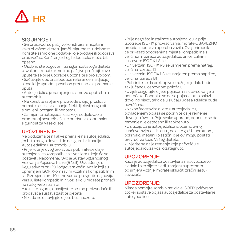# **HR**

### **SIGURNOST**

• Svi proizvodi su pažljivo konstruirani i ispitani kako bi vašem djetetu jamčili sigurnost i udobnost. Koristite samo one dodatke koje prodaje ili odobrava proizvođač. Korištenje drugih dodataka može biti opasno.

• Osobno ste odgovorni za sigurnost svoga djeteta u svakom trenutku; molimo pažljivo pročitajte ove upute te se prije uporabe upoznajte s proizvodom. • Sačuvajte upute za buduće reference, na dječjoj

sjedalici je ugrađen poseban pretinac za spremanje uputa.

• Autosjedalica je namijenjen samo za upotrebu u automobilu.

• Ne koristite rabljene proizvode o čijoj prošlosti nemate nikakvih saznanja. Neki dijelovi mogu biti slomljeni, potrgani ili nedostaju.

• Zamijenite autosjedalica ako je sudjelovao u prometnoj nesreći: više ne predstavlja optimalnu sigurnost za Vaše dijete.

#### UPOZORENJE:

Ne poduzimajte nikakve preinake na autosjedalici, jer bi to moglo dovesti do nesigurnih situacija. Autosjedalica u automobilu:

• Prije kupnje ovog proizvoda pobrinite se da je autosjedalica kompatibilna s vozilom u koje će se postaviti. Napomena: Ovo je Sustav Sigurnosnog Vezivanja Pojaseva I-size (R 129). Usklađen je s Regulativom br. 129 i odgovara većini vozila koji su opremljeni ISOFIX-om i svim vozilima kompatibilnim s I-Size sjedalom. Molimo vas da provjerite najnoviju verziju liste kompatibilnih vozila koju možete pronaći na našoj web stranici.

Ako niste sigurni, obavijestite se kod proizvođača ili prodavača sustava zaštite djeteta.

• Nikada ne ostavljajte dijete bez nadzora.

• Prije nego što instalirate autosjedalicu, a prije upotrebe ISOFIX pričvršćivanja, morate OBAVEZNO pročitati upute za uporabu vozila. Ovaj priručnik će prikazati odobrenima mjesta kompatibilna s veličinom razreda autosjedalice, univerzalnim sustavom ISOFIX i-Size.

• Univerzalni ISOFIX i-Size usmjeren prema natrag, veličina razreda D

• Univerzalni ISOFIX i-Size usmjeren prema naprijed, veličina razreda B1

• Pobrinite se da preklopivo stražnje sjedalo bude zaključano u osnovnom položaju.

• Uvijek osigurajte dijete pojasom za učvršćivanje u pet točaka. Pobrinite se da se pojas za krilo nalazi dovoljno nisko, tako da u slučaju udesa zdjelica bude učvršćena.

• Nakon što stavite dijete u autosjedalicu, povlačenjem pojasa se pobrinite da je remenje dovolljno čvrsto. Prije svake uporabe, pobrinite se da remenje nije oštećeno ili zaokrenuto.

• U slučaju da je autosjedalica izložen izravnoj sunčevoj svjetlosti u autu, pokrijte ga. U suprotnom, pokrivalo, metalni i plastični dijelovi mogu postati prevrući za kožu Vašeg djeteta.

• Uvjerite se da je remenje koje pričvršćuje autosjedalicu za vozilo zategnuto.

#### UPOZORENJE:

Kada je autosjedalica postavljena na suvozačevo sjedalo i ako dijete sjedi u smjeru suprotnom od smjera vožnje, morate isključiti zračni jastuk suvozača.

#### UPOZORENJE:

Nikada nemojte kombinirati dvije ISOFIX pričvrsne točke i sustave pojasa autosjedalice za postavljanje autosjedalice.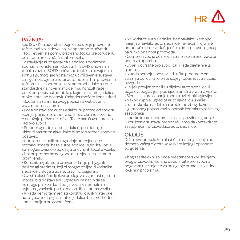

### PAŽNJA:

kod ISOFIX-a uporaba spojnica za donje pričvrsne točke vozila nije dovoljna. Neophodno je učvrstiti "Top Tether" na gornju pričvrsnu točku preporučenu od strane proizvođača automobila.

Postavljanje autosjedalica sjedalice s dodatnim sponama korištenjem dodatnih ISOFIX pričvrsnih točaka vozila. ISOFIX pričvrsne točke su razvijene u svrhu sigurnog i jednostavnog učvršćivanje sustava za sigurnost djece unutar automobila. Tim pričvrsnim točkama nisu opremljeni svi automobili iako su one standardne na novijim modelima. Konzultirajte priloženi popis automobila u kojima se autosjedalica može ispravno postaviti (također možete konzultirati i dodatna ažuriranja ovog popisa na web stranici www.maxi-cosi.com)

• Kada postavljate autosjedalicu suprotno od smjera vožnje, pojas top tether-a se može okrenuti ovisno o položaju pričvrsne točke. To ne narušava ispravan rad proizvoda.

• Prilikom ugradnje autosjedalice, potrebno je ukloniti naslon za glavu kako bi se top tether ispravno postavio.

• Upozorenje: prilikom ugradnje autosjedalice, razmaci između baze autosjedalice i sjedišta vozila su mogući ovisno o položaju pričvrsnih točaka vozila. • Nakon prometne nezgode auto sjedalica se mora promijeniti.

• Korisnik uvijek mora provjeriti da li je prtljaga ili neki drugi predmet, koji bi mogao ozlijediti korisnika sjedalice u slučaju udara, pravilno osiguran.

• Čvrsti i plastični dijelovi uređaja za sigurnost djeteta moraju biti postavljeni i ugrađeni na način da se ne mogu prilikom korištenja vozila u normalnim uvjetima, zaglaviti pod sjedalom ili u vratima vozila.

• Nikada nemojte mijenjati konstrukciju ili materijale auto sjedalice i pojasa auto sjedalice bez prethodne konzultacije s proizvođačem.

• Ne koristite auto sjedalicu bez navlake. Nemojte mijenjati navlaku auto sjedalice navlakom koju nije preporučio proizvođač, jer će to imati izravni utjecaj na funkcionalnost proizvoda.

• Ovaj proizvod je učinkovit samo ako se pridržavate uputa za uporabu.

• Uvijek učvrstite proizvod, čak i kada dijete nije u njemu.

• Nikada nemojte postavljati teške predmete na stražnju policu kako biste izbjegli opasnost u slučaju nezgode.

• Uvijek provjerite da li su dijelovi auto sjedalice ili pojaseva zaglavljeni pod sjedalom ili u vratima vozila.

• Sjedala na preklapanje moraju uvijek biti uglavljena. • Nakon kupnje, ugradite auto sjedalicu u Vaše vozilo. Ukoliko naiđete na probleme zbog dužine sigurnosnog pojasa vozila, odmah kontaktirajte Vašeg zastupnika .

• Ukoliko imate nedoumica u vezi pravilne ugradnje ili korištenja sustava, preporučujemo da kontaktirate zastupnika ili proizvođača auto sjedalice.

# OKOLIŠ

Držite sve ambalažne plastične materijale dalje od dometa Vašeg djeteta kako biste izbjegli opasnost od gušenja.

Zbog zaštite okoliša, kada prestanete s korištenjem ovog proizvoda, molimo deponirajte proizvod na odgovarajuće mjesto za odlaganje otpada sukladno lokalnim propisima.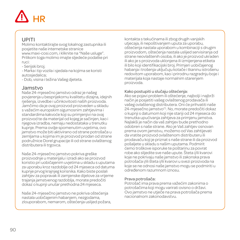# **HR**

#### UPITI

Molimo kontaktirajte svog lokalnog zastupnika ili posjetite naše internetske stranice www.maxi-cosi.com, i kliknite na "Naše usluge". Prilikom toga molimo imajte sljedeće podatke pri ruci:

- Serijski broj;

- Marka i tip vozila i sjedala na kojima se koristi autosjedalica;

- Dob, visina i težina Vašeg djeteta.

#### Jamstvo

Naše 24-mjesečno jamstvo odraz je našeg povjerenja u besprijekornu kvalitetu dizajna, idejnih rješenja, izvedbe i učinkovitosti naših proizvoda. Jamčimo da je ovaj proizvod proizveden u skladu s važećim europskim sigurnosnim zahtjevima i standardima kakvoće koji su primjenjivi na ovaj proizvod te da materijal od kojeg je sačinjen, kao i njegova izradba, nemaju nedostataka u trenutku kupnje. Prema ovdje spomenutim uvjetima, ovo jamstvo može biti aktivirano od strane potrošača u zemljama u kojima im je proizvod prodan od strane podružnice Dorel grupacije ili od strane ovlaštenog distributera ili trgovca.

Naše 24-mjesečno jamstvo pokriva greške proizvodnje u materijalu i izradi ako se proizvod koristio pri uobičajenim uvjetima u skladu s uputama za uporabu kroz razdoblje od 24 mjeseca od datuma kupnje prvog krajnjeg korisnika. Kako biste poslali zahtjev za popravak ili zamjenske dijelove za vrijeme trajanja jamstvenog razdoblja, morate predočiti dokaz o kupnji unutar prethodna 24 mjeseca.

Naše 24-mjesečno jamstvo ne pokriva oštećenja nastala uobičajenim habanjem, nezgodama, zlouporabom, nemarom, oštećenja uslijed požara, kontakta s tekućinama ili zbog drugih vanjskih utjecaja, ili nepoštivanjem uputa za uporabu, oštećenja nastala uporabom u kombinaciji s drugim proizvodom, oštećenja nastala uslijed servisiranja od strane neovlaštenih osoba, ili ako je proizvod ukraden ili ako je s proizvoda uklonjena ili izmijenjena etiketa ili bilo koji identifikacijski broj. Primjeri uobičajenog habanja i trošenja uključuju kotače i tkaninu istrošenu redovitom uporabom, kao i prirodnu razgradnju boje i materijala koja nastaje normalnim starenjem proizvoda.

#### Kako postupiti u slučaju oštećenja:

Ako se pojavi problem ili oštećenje, najbolji i najbrži način je posjetiti vašeg ovlaštenog prodavača ili vašeg ovlaštenog distributera. Oni će prihvatiti naše 24-miesečno jamstvo<sup>(1)</sup>. No, morate predočiti dokaz o kupnji s datumom koji nije stariji od 24 mjeseca do trenutka upućivanja zahtjeva za primjenu jamstva. Najlakši je način da vaš zahtjev bude prethodno odobren s naše strane. Ako je Vaš zahtjev osnovan prema ovom jamstvu, možemo od Vas zahtijevati da vratite proizvod ovlaštenom distributeru ili prodavaču koji je priznat s naše strane ili da proizvod pošaljete u skladu s našim uputama. Podmirit ćemo troškove isporuke te poštarinu za povrat robe ako slijedite sve naše upute. Šteta i/ili kvarovi koje ne pokrivaju naše jamstvo ili zakonska prava potrošača i/ili šteta i/ili kvarovi u svezi proizvoda na koje se ne odnosi naše jamstvo mogu se podmiriti u određenom razumnom iznosu.

#### Prava potrošača:

Potrošač ima prava prema važećim zakonima o potrošačima koji mogu varirati ovisno o državi. Ovo jamstvo ne utječe na prava potrošača prema nacionalnom zakonodavstvu.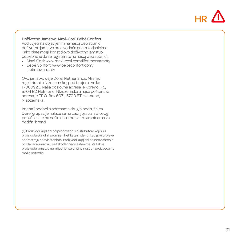

Doživotno Jamstvo: Maxi-Cosi, Bébé Confort Pod uvjetima objavljenim na našoj web stranici doživotno jamstvo proizvođača prvim korisnicima. Kako biste mogli koristiti ovo doživotno jamstvo, potrebno je da se registrirate na našoj web stranici:

- Maxi-Cosi: www.maxi-cosi.com/lifetimewarranty
- Bébé Confort: www.bebeconfort.com/ lifetimewarranty

Ovo jamstvo daje Dorel Netherlands. Mi smo registrirani u Nizozemskoj pod brojem tvrtke 17060920. Naša poslovna adresa je Korendijk 5, 5704 RD Helmond, NIzozemska a naša poštanska adresa je TP.O. Box 6071, 5700 ET Helmond, Nizozemska.

Imena i podaci o adresama drugih podružnica Dorel grupacije nalaze se na zadnjoj stranici ovog priručnika te na našim internetskim stranicama za dotični brend.

(1) Proizvodi kupljeni od prodavača ili distributera koji su s proizvoda skinuli ili promijenili etikete ili identifikacijske brojeve se smatraju neovlaštenima. Proizvodi kupljeni od neovlaštenih prodavača smatraju se također neovlaštenima. Za takve proizvode jamstvo ne vrijedi jer se originalnost tih proizvoda ne može potvrditi.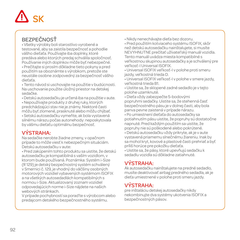

# **BEZPEČNOSŤ**

• Všetky výrobky boli starostlivo vyrobené a testované, aby sa zaistila bezpečnosť a pohodlie vášho dieťaťa. Používajte iba doplnky, ktoré predáva alebo ktorých predaj schválila spoločnosť. Používanie iných doplnkov môže byť nebezpečné. • Prečítajte si prosím dôkladne tieto pokyny a pred použitím sa oboznámte s výrobkom, pretože ste

neustále osobne zodpovedný za bezpečnosť vášho dieťaťa.

• Tento návod si uschovajte na použitie v budúcnosti. Na uschovanie použite úložný priestor na detskej sedačke.

• Detskú autosedačku je určená iba na použitie v aute.

• Nepoužívajte produkty z druhej ruky, ktorých predchádzajúci stav nie je známy. Niektoré časti môžu byť zlomené, prasknuté alebo môžu chýbať.

• Setskú autosedačku vymeňte, ak bola vystavená silnému nárazu počas autonehody: neposkytovala by vášmu dieťaťu optimálnu bezpečnosť.

### VÝSTRAHA:

Na sedačke nerobte žiadne zmeny, v opačnom prípade to môže viesť k nebezpečným situáciám. Detskú autosedačku v aute:

• Pred zakúpením tohto produktu sa uistite, že detskú autosedačku je kompatibilná s vaším vozidlom, v ktorom bude používaná. Poznámka: Systém i-Size (R 129) je detský bezpečnostný systém schválený v Smernici č. 129, je vhodný do väčšiny osobných motorových vozidiel vybavených systémom ISOFIX a na všetkých autosedadlách kompatibilných s normou i-Size. Aktualizovaný zoznam vozidiel odpovedajúcich norme i-Size nájdete na našich webových stránkach.

V prípade pochybností sa poraďte s výrobcom alebo predajcom detského bezpečnostného systému.

• Nikdy nenechávajte dieťa bez dozoru.

• Pred použitím kotviaceho systému ISOFIX, skôr než detskú autosedačku nainštalujete, si musíte NEVYHNUTNE prečítať užívateľský manuál vozidla. Tento manuál uvádza miesta kompatibilné s veľkostnou skupinou autosedačky a je schválený pre veľkosť-I Universal ISOFIX.

• Universal ISOFIX veľkosť-I v polohe proti smeru jazdy, veľkostná trieda D.

• Universal ISOFIX veľkosť-I v polohe v smere jazdy, veľkostná trieda B1.

• Uistite sa, že sklopené zadné sedadlo je v tejto polohe uzamknuté.

• Dieťa vždy zabezpečte 5-bodovými popruhmi sedačky. Uistite sa, že stehenná časť bezpečnostného pásu je v dolnej časti, aby bola panva pevne zaistená v prípade nárazu. • Po umiestnení dieťaťa do autosedačky sa potiahnutím pásu uistite, že popruhy sú dostatočne napnuté. Pred každým použitím sa uistite, že popruhy nie sú poškodené alebo pokrútené.

• Detskú autosedačku vždy prikryte, ak je v aute vystavená priamemu slnečnému žiareniu. Inak by sa mohol kryt, kovové a plastové časti prehriať a byť príliš horúce pre pokožku dieťaťa.

• Uistite sa, že pásy, ktoré upevňujú sedačku k sedadlu vozidla sú dôkladne zatiahnuté.

# VÝSTRAHA:

Ak autosedačku nainštalujete na predné sedadlo, musíte deaktivovať airbag predného sedadla, ak je dieťa umiestnené v polohe proti smeru jazdy.

### VÝSTRAHA:

pre inštaláciu detskej autosedačky nikdy nekombinujte dva systémy ukotvenia ISOFIX a bezpečnostných pásov.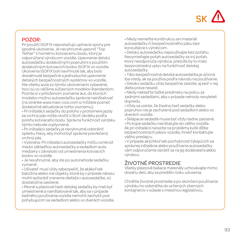

#### POZOR:

Pri použití ISOFIX nepostačujú upínacie spony pre spodné ukotvenie. Je nevyhnutné upevniť "Top Tether" k hornému kotviacemu bodu, ktorý je odporúčaný výrobcom vozidla. Upevnenie detskú autosedačku dodatočnými popruhmi s použitím dodatočných kotviacich bodov ISOFIX vo vozidle. Ukotvenia ISOFIX boli navrhnuté tak, aby bolo dosiahnuté bezpečné a jednoduché upevnenie detských bezpečnostných systémov vo vozidle. Nie všetky autá sú týmito ukotveniami vybavené, hoci sú vo väčšine súčasných modelov štandardom. Pozrite si v priloženom zozname áut, do ktorých modelov možno autosedačku správne nainštalovať (na stránke www.maxi-cosi.com si môžete pozrieť dodatočné aktualizácie tohto zoznamu).

• Pri inštalácii sedačky do polohy v protismere jazdy sa vrchný pás môže otočiť o štvrť obrátky podľa polohy kotviaceho bodu. Správna funkčnosť výrobku týmto nebude ovplyvnená.

- Pri inštalácii sedačky je nevyhnutné odstrániť opierku hlavy, aby mohol byť správne prevlečený vrchný pás.
- Výstraha: Pri inštalácii autosedačky môžu vzniknúť medzi základňou autosedačky a sedadlom auta medzery v závislosti od umiestnenia kotviacich bodov vo vozidle.

• Je nevyhnutné, aby ste po autonehode sedačku vymenili.

• Užívateľ musí vždy zabezpečiť, že akákoľvek batožina alebo iné objekty, ktoré by v prípade nárazu mohli spôsobiť zranenie dieťaťa v autosedačke, sú dostatočne zaistené.

• Pevné a plastové časti detskej sedačky by mali byť umiestnené a nainštalované tak, aby sa v prípade bežného používania vozidla nemohli zachytiť pod pohybujúcim sa sedadlom alebo vo dverách vozidla. • Nikdy nemeňte konštrukciu ani materiál autosedačky či bezpečnostného pásu bez konzultácie s výrobcom.

• Detskú autosedačku nepoužívajte bez poťahu. Nevymieňajte poťah autosedačky za iný poťah, ktorý neodporúča výrobca, pretože by to malo bezprostredný vplyv na funkčnosť detskej autosedačky.

• Táto bezpečnostná detská autosedačka je účinná iba vtedy, ak sa používa podľa návodu na používanie. • Detskú sedačku vždy bezpečne zaistite, aj keď v nej dieťa práve nesedí.

• Nikdy neklaďte ťažké predmety na policu za zadnými sedadlami, aby v prípade nehody nevyleteli dopredu.

• Vždy sa uistite, že žiadna časť sedačky alebo popruhov nie je zachytená pod sedadlom alebo vo dverách vozidla.

• Sklápacie sedadlá musia byť vždy riadne zaistené.

• Po kúpe sedačku nainštalujte do vášho vozidla. Ak pri inštalácii narazíte na problémy kvôli dĺžke bezpečnostných pásov vozidla, ihneď kontaktujte vášho predajcu.

• V prípade akýchkoľvek pochybností týkajúcich sa správnej inštalácie alebo používania autosedačky vám odporúčame obrátiť sa na jej dodávateľa alebo výrobcu.

# ŽIVOTNÉ PROSTREDIE

Všetky plastové baliace materiály uchovávajte mimo dosahu detí, aby sa predišlo riziku udusenia.

Chráňte životné prostredie a po skončení používania výrobku ho odstráňte do určených zberných kontajnerov v súlade s miestnou legislatívou.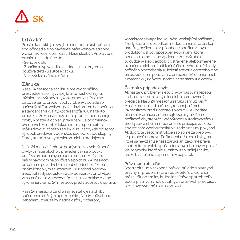# SK

# OTÁZKY

Prosím kontaktujte svojho miestneho distribútora spoločnosti alebo navštívte naše webové stránky www.maxi-cosi.com, časť "Naše služby". Pripravte si prosím nasledujúce údaje:

- Sériové číslo;

- Značka a typ vozidla a sedadla, na ktorých sa používa detskú autosedačku;

- Vek, výška a váha dieťaťa.

#### Záruka

Naša 24 mesačná záruka je prejavom nášho presvedčenia o najvyššej kvalite nášho dizajnu, inžinierstva, výroby a výkonu produktu. Ručíme za to, že tento produkt bol vyrobený v súlade so súčasnými Európskymi požiadavkami na bezpečnosť a štandardami kvality, ktoré sa vzťahujú na tento produkt a že v čase kúpy tento produkt neobsahuje chyby v materiáloch a v prevedení. Za podmienok uvedených v tomto dokumente sa spotrebitelia môžu dovolávať tejto záruky v krajinách, kde bol tento výrobok predávaný dcérskou spoločnosťou skupiny Dorel, autorizovaným dílerom alebo predajcom.

Naša 24 mesačná záruka pokrýva akékoľvek výrobné chyby v materiáloch a v prevedení, ak sa produkt používa pri normálnych podmienkach a v súlade s našim návodom na používanie po dobu 24 mesiacov od dátumu pôvodného maloobchodného nákupu prvým koncovým zákazníkom. Pri žiadosti o opravy alebo náhrady súčiastok na základe záruky pri chybách v materiáloch a v prevedení musíte mať doklad o kúpe vykonanej v rámci 24 mesiacov pred žiadosťou o opravu.

Naša 24 mesačná záruka sa nevzťahuje na chyby spôsobené bežným opotrebením, škody spôsobené nehodami, zneužitím, nedbalosťou, požiarom,

kontaktom s kvapalinou či inými vonkajšími príčinami, škody, ktoré sú dôsledkom nedodržania užívateľskej príručky, poškodenia spôsobené použitím s iným produktom, škody spôsobené opravami, ktoré nepovoľujeme, alebo v prípade, že je výrobok odcudzený alebo ak bolo odstránené, alebo zmenené označenie alebo identifikačné číslo z výrobku. Príklady bežného opotrebenia sú kolesá a textílie opotrebované pri pravidelnom používaní a prirodzené členenie farieb a materiálov, z dôvodu normálneho starnutia výrobku.

#### Čo robiť v prípade chýb:

Ak nastanú problémy alebo chyby, vašou najlepšou voľbou je autorizovaný díler alebo nami uznaný predajca. Našu 24 mesačnú záruku vám uznajú<sup>0</sup>. Musíte mať doklad o kúpe vykonanej v rámci 24 mesiacov pred žiadosťou o opravu. Ak podáte platnú reklamáciu v rámci tejto záruky, môžeme požiadať, aby ste vrátili váš výrobok autorizovanému predajcovi alebo nami uznanému predajcovi, alebo aby ste nám výrobok zaslali v súlade s našimi pokynmi. Ak dodržíte všetky inštrukcie zaplatíme za prepravu a spiatočnú dopravu. Poškodenia a/alebo chyby, na ktoré sa nevzťahuje naša záruka ani zákonné práva spotrebiteľa a/alebo poškodenia a/alebo chyby, pokiaľ ide o výrobky, ktoré nie sú zahrnuté v našej záruke, môžu byť riešené za primeraný poplatok.

#### Práva spotrebiteľa:

Spotrebiteľ má zákonné právo v súlade s platnými právnymi predpismi pre spotrebiteľov, ktoré sa môže líšiť od krajiny ku krajine. Právo spotrebiteľa podľa platných vnútroštátnych právnych predpisov nie je ovplyvnené touto zárukou.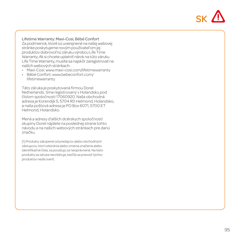

Lifetime Warranty: Maxi-Cosi, Bébé Confort Za podmienok, ktoré sú uverejnené na našej webovej stránke poskytujeme novým používateľom jej produktov dobrovoľnú záruku výrobcu Life Time Warranty. Ak si chcete uplatniť nárok na túto záruku Life Time Warranty, musíte sa najskôr zaregistrovať na naších webových stránkach:

- Maxi-Cosi: www.maxi-cosi.com/lifetimewarranty
- Bébé Confort: www.bebeconfort.com/ lifetimewarranty

Táto záruka je poskytovaná firmou Dorel Netherlands. Sme registrovaný v Holandsku pod číslom spoločnosti 17060920. Naša obchodná adresa je Korendijk 5, 5704 RD Helmond, Holandsko, a naša poštová adresa je PO Box 6071, 5700 ET Helmond, Holandsko.

Mená a adresy ďalších dcérskych spoločností skupiny Dorel nájdete na poslednej strane tohto návodu a na našich webových stránkach pre danú značku.

(1) Produkty zakúpené od predajcov alebo obchodných zástupcov, ktorí odstránia alebo zmenia značenia alebo identifikačné čísla, sa považujú za neoprávnené. Na tieto produkty sa záruka nevzťahuje, keďže sa pravosť týchto produktov nedá overiť.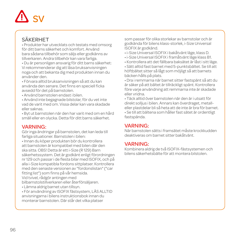# SV

## SÄKERHET

• Produkter har utvecklats och testats med omsorg för ditt barns säkerhet och komfort. Använd bara sådana tillbehör som säljs eller godkänns av tillverkaren. Andra tillbehör kan vara farliga.

• Du är personligen ansvarig för ditt barns säkerhet: Vi rekommenderar dig att läsa bruksanvisningen noga och att bekanta dig med produkten innan du använder den.

• Förvara alltid bruksanvisningen så att du kan använda den senare. Det finns en speciell ficka avsedd för det på barnstolen.

• Använd barnstolen endast i bilen.

• Använd inte begagnade bilstolar, för du vet inte vad de varit med om. Vissa delar kan vara skadade eller saknas.

• Byt ut barnstolen när den har varit med om en hård smäll eller en olycka. Detta för ditt barns säkerhet.

#### VARNING:

Gör inga ändringar på barnstolen, det kan leda till farliga situationer. Barnstolen i bilen:

• Innan du köper produkten bör du kontrollera att barnstolen är kompatibel med bilen där den ska sitta. OBS! Detta är ett i-Size (R 129) Barn säkerhetssystem. Det är godkänt enligt förordningen nr 129 och passar i de flesta bilar med ISOFIX, och på alla i-Size kompatibla fordons sittplatser. Kontrollera med den senaste versionen av "fordonslistan" ("car fitting list") som finns på vår hemsida.

Vid tvivel, rådgör antingen med

bilbarnstolstillverkaren eller återförsäljaren.

• Lämna aldrig barnet utan tillsyn.

• För användning av ISOFIX fästsystem, LÄS ALLTID anvisningarna i bilens instruktionsbok innan du monterar barnstolen. Där står det vilka platser

som passar för olika storlekar av barnstolar och är godkända för bilens klass-storlek, i-Size Universal ISOFIX är godkänd.

- i-Size Universal ISOFIX i bakåtvänt läge, klass D.
- i-Size Universal ISOFIX i framåtvänt läge klass B1.
- Kontrollera att det fällbara baksätet är låst i sitt läge.

• Sätt alltid fast barnet med 5-punktsbältet. Se till att höftbältet sitter så lågt som möjligt så att barnets bäcken hålls på plats.

• Dra i remmarna när barnet sitter fastspänt så att du är säker på att bältet är tillräckligt spänt. Kontrollera före varje användning att remmarna inte är skadade eller vridna.

• Täck alltid över barnstolen när den är i utsatt för direkt solljus i bilen. Annars kan överdraget, metalleller plastdelar bli så heta att de inte är bra för barnet. • Se till att bältena som håller fast sätet är ordentligt fastspända.

#### VARNING:

När barnstolen sätts i framsätet måste krockkudden deaktiveras om barnet sitter bakåtvänt.

#### VARNING:

Kombinera aldrig de två ISOFIX-fästsystemen och bilens säkerhetsbälte för att montera bilstolen.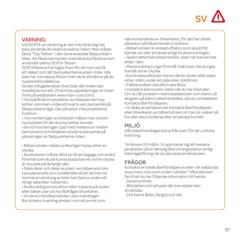

#### VARNING:

Vid ISOFIX-användning är det inte tillräckligt att bara använda de nedre krokarna i bilen. Man måste fästa "Top Tether" i den övre avsedda fästpunkten i bilen. Att fästa barnstolen med de extra fästena som använder bilens ISOFIX-fästen.

ISOFIXfästena har tagits fram för att man ska få ett säkert och lätt barnsäkerhetssystem i bilar. Alla bilar har inte dessa fästen men de är allmänna på de nyaste bilmodellerna.

Se den bifogade listan över bilar där stolen kan installeras korrekt. (Framtida uppdateringar av listan finns på webbsidan www.maxi-cosi.com).

• Vid bakåtvänd installation av bilstolen kan top tether-remmen vridas ett kvarts varv beroende på fästpunktens läge. Det påverkar inte produktens funktion.

• Vid monteringen av bilstolen måste man ta bort nackstödet för att dra top tether korrekt.

• Se vid monteringen upp med mellanrum mellan barnstolens och bilsätets sittdyna beroende på placeringen av fästpunkterna i bilen.

• Bilbarnstolen måste ovillkorligen bytas efter en olycka.

• Användaren måste alltid se till att bagage och andra föremål som skulle kunna skada barnet vid en olycka är stuvade på lämpligt sätt.

• Stela delar och delar av plast i en bilbarnstol ska vara placerade och installerade så att de inte vid normal användning av bilen kan fastna under ett rörligt säte eller i bildörren.

• Ändra aldrig konstruktion eller material på stolen eller bältet utan att ha rådfrågat tillverkaren.

• Använd inte bilbarnstolen utan överdraget. Byt stolens överdrag endast mot ett annat som rekommenderas av tillverkaren, för det har direkt påverkan på bilbarnstolens funktion.

• Bilbarnstolen är endast effektiv som skydd för barnet om den används enligt bruksanvisningen.

• Spänn alltid fast bilbarnstolen, även när barnet inte sitter i den.

• Placera aldrig tunga föremål i bakrutan. De slungas framåt vid en olycka.

• Kontrollera alltid att inte en del av stolen eller selen sitter i kläm under ett säte eller i bildörren.

• Fällbara säten ska alltid vara låsta.

• Installera barnstolen i bilen när du har köpt den. Om du får problem med installationen som beror på längden på bilens säkerhetsbälte, ska du omedelbart kontakta återförsäljaren.

• Vi råder användaren att kontakta återförsäljaren eller tillverkaren av bilbarnstolen om han är osäker på hur den ska installeras eller användas korrekt.

# MILJÖ

Håll plastöverdraget borta från barn för att undvika kvävning.

Ta hänsyn till miljön. Vi uppmanar dig att kassera produkten på en lämplig återvinningsstation enligt lokal lagstiftning när du ska sluta använda den.

# FRÅGOR

Kontakta er lokala återförsäljare av eller vår webbsida www.maxi-cosi.com under rubriken "Våra tjänster". Se till att du har följande information till hands:

- Serienummer;

- Bilmärken och biltyper där barnstolen kan användas;

- Ditt barns ålder (längd) och vikt.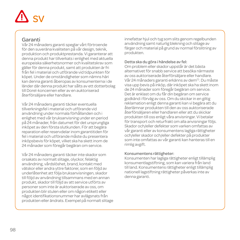# $\sim$

#### Garanti

Vår 24 månaders garanti speglar vårt förtroende för den suveräna kvaliteten på vår design, teknik, produktion och produktprestanda. Vi garanterar att denna produkt har tillverkats i enlighet med aktuella europeiska säkerhetsnormer och kvalitetskrav som gäller för denna produkt, samt att produkten är fri från fel i material och utförande vid tidpunkten för köpet. Under de omständigheter som nämns häri kan denna garanti åberopas av konsumenterna i de länder där denna produkt har sålts av ett dotterbolag till Dorel-koncernen eller av en auktoriserad återförsäljare eller handlare.

Vår 24 månaders garanti täcker eventuella tillverkningsfel i material och utförande vid användning under normala förhållanden och i enlighet med vår bruksanvisning under en period på 24 månader, från datumet för det ursprungliga inköpet av den första slutkunden. För att begära reparation eller reservdelar inom garantitiden för fel i material och utförande måste du presentera inköpsbevis för köpet, vilket ska ha skett inom de 24 månader som föregår begäran om service.

Vår 24 månaders garanti täcker inte skador som orsakats av normalt slitage, olyckor, felaktig användning, vårdslöshet, brand, kontakt med vätskor eller andra yttre faktorer, som en följd av underlåtenhet att följa bruksanvisningen, skador till följd av användning tillsammans med en annan produkt, skador till följd av att service utförts av personer som inte är auktoriserade av oss, om produkten blir stulen eller om någon etikett eller något identifikationsnummer har avlägsnats från produkten eller ändrats. Exempel på normalt slitage innefattar hjul och tyg som slits genom regelbunden användning samt naturlig blekning och slitage av färger och material på grund av normal förslitning av produkten.

#### Detta ska du göra i händelse av fel:

Om problem eller skador uppstår är det bästa alternativet för snabb service att besöka närmaste av oss auktoriserade återförsäljare eller handlare. Vår 24 månaders garanti erkänns av dem<sup>(1)</sup>. Du måste visa upp bevis på inköp, där inköpet ska ha skett inom de 24 månader som föregår begäran om service. Det är enklast om du får din begäran om service godkänd i förväg av oss. Om du skickar in en giltig reklamation enligt denna garanti kan vi begära att du återlämnar produkten till den av oss auktoriserade återförsäljaren eller handlaren eller att du skickar produkten till oss enligt våra anvisningar. Vi betalar för transport och returfrakt om alla anvisningar följs. Skador och/eller defekter som varken omfattas av vår garanti eller av konsumentens lagliga rättigheter och/eller skador och/eller defekter på produkter som inte omfattas av vår garanti kan hanteras till en rimlig avgift.

#### Konsumentens rättigheter:

Konsumenten har lagliga rättigheter enligt tillämplig konsumentlagstiftning, som kan variera från land till land. Konsumentens rättigheter enligt tillämplig nationell lagstiftning rättigheter påverkas inte av denna garanti.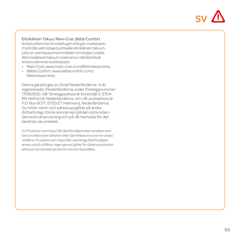

Elinikäinen Takuu: Maxi-Cosi, Bébé Confort Kotisivuillamme ilmoitettujen ehtojen mukaisesti myöntää valmistaja tuotteelle elinikäinen takuun, joka on voimassa ensimmäisen omistajan osalta. Aktivoidaksesi takuun tulee sinun rekisteröityä kotisivuilamme osoitteessa:

- Maxi-Cosi: www.maxi-cosi.com/lifetimewarranty
- Bébé Confort: www.bebeconfort.com/ lifetimewarranty

Denna garanti ges av Dorel Nederländerna. Vi är registrerade i Nederländerna under företagsnummer 17060920. Vår företagsadress är Korendijk 5, 5704 RD Helmond, Nederländerna, och vår postadress är P.O. Box 6071, 5700 ET Helmond, Nederländerna. Du hittar namn och adressuppgifter på andra dotterbolag i Dorel-koncernen på den sista sidan i denna bruksanvisning och på vår hemsida för det berörda varumärket.

(1) Produkter som köps från återförsäljare eller handlare som tar bort eller byter etiketter eller identifikationsnummer anses otillåtna. Produkter som köps från obehöriga återförsäljare anses också otillåtna. Ingen garanti gäller för sådana produkter eftersom produkternas äkthet inte kan fastställas.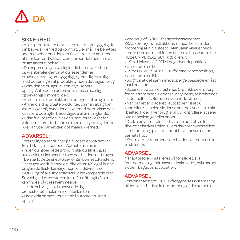# $\overline{D}$

#### **SIKKERHED**

• Alle's produkter er udviklet og testet omhyggeligt for din babys sikkerhed og komfort. Der må ikke benyttes andet tilbehør end det, der er leveret eller godkendt af fabrikanten. Det kan være forbundet med fare at bruge andet tilbehør.

• Du er personlig ansvarlig for dit barns sikkerhed, og vi anbefaler derfor, at du læser denne brugervejledning omhyggeligt, og gør dig fortrolig med betjeningen af produktet, inden det tages i brug.

• Gem denne brugervejledning til senere opslag. Autostolen er forsynet med en særlig opbevaringslomme til den.

• Autostolen er udelukkende beregnet til brug i en bil.

• Anvend aldrig brugte produkter, da man aldrig kan være sikker på, hvad der er sket med dem. Visse dele kan være ødelagte, beskadigede eller manglende.

• Udskift autostolen, hvis den har været udsat for voldsomt stød i forbindelse med en ulykke og derfor ikke kan yde barnet den optimale sikkerhed.

#### ADVARSEL:

Foretag ingen ændringer på autostolen, da det kan føre til farlige situationer. Autostolen i bilen: • Inden du køber dette produkt, skal du sikre dig, at autostolen er kompatibel med den bil, den skal bruges i. Bemærk: Dette er et I-Size (R-129) børnestol-system. Det er godkendt i henhold til direktiv nr. 129 og vil kunne bruges i de fleste køretøjer, som er udstyret med ISOFIX, og på alle siddepladser i I-Size kompatible biler. Se venligst den nyeste version af "car fitting list", som kan findes på vores hjemmeside.

Hvis du er i tvivl, kan du henvende dig til børnestolforhandleren eller fabrikanten.

• Lad aldrig barnet være alene i autostolen uden opsyn.

• Ved brug af ISOFIX-fastgørelsessystemet,

SKAL køretøjets instruktionsmanual læses inden montering af din autostol. Manualen viser egnede steder til en autostol for en bestemt klassestørrelse, i-Size UNIVERSAL ISOFIX godkendt.

• i-Size Universal ISOFIX i bagudvendt position, klassestørrelse D.

• i-Size UNIVERSAL ISOFIX i fremadv endt position, klassestørrelse B1.

• Sørg for, at det sammenklappelige bagsæde er låst fast i position.

• Spænd altid barnet fast med 5-punktsselen. Sørg for at lårremmene sidder så langt nede, at bækkenet sidder helt fast. Remmen skal sidde stramt.

• Når barnet er placeret i autostolen, skal du kontrollere, at selen sidder stramt nok ved at trække i bæltet. Inden hver brug, skal du kontrollere, at selen ikke er beskadiget eller snoet.

• Dæk altid autostolen til, hvis den udsættes for direkte solstråler i bilen. Ellers risikerer overtrækket samt metal- og plastdelene at blive for varme for barnets hud.

• Kontrollér, at remmene, der holder bilsædet til bilen, er stramme.

### ADVARSEL:

Når autostolen installeres på forsædet, skal forsædepassagerairbaggen deaktiveres, hvis barnet sidder i bagudvendt position.

### ADVARSEL:

Kombinér aldrig to ISOFIX-fastgørelsessystemer og bilens sikkerhedssele til montering af din autostol.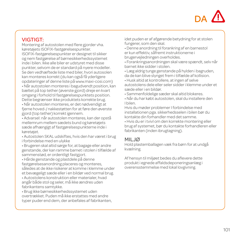

#### VIGTIGT:

Montering af autostolen med flere gjorder vha. køretøjets ISOFIX-fastgørelsespunkter. ISOFIX-fastgørelsespunkter er designet til sikker og nem fastgørelse af børnesikkerhedssystemet inde i bilen. Ikke alle biler er udstyret med disse punkter, selvom de er standard på nyere modeller. Se den vedhæftede liste med biler, hvori autosolen kan monteres korrekt (du kan også få yderligere opdateringer af denne liste på www.maxi-cosi.com) • Når autostolen monteres i bagudvendt position, kan bæltet på top tether (øverste gjord) dreje en kvart omgang i forhold til fastgørelsespunktets position. Dette begrænser ikke produktets korrekte brug.

• Når autostolen monteres, er det nødvendigt at fjerne hoved-/ nakkestøtten for at føre den øverste gjord (top tether) korrekt igennem.

• Advarsel: når autostolen monteres, kan der opstå mellemrum mellem sædets bund og køretøjets sæde afhængigt af fastgørelsespunkterne inde i køretøjet.

• Autostolen SKAL udskiftes, hvis den har været i brug i forbindelse med en ulykke

• Brugeren skal altid sørge for, at bagage eller andre genstande, der kan ramme barnet i stolen i tilfælde af sammenstød, er ordentligt fastgjort.

• Hårde genstande og plastdele på denne fastgørelsesanordning placeres og monteres, således at de ikke risikerer at komme i klemme under et bevægeligt sæde eller i en bildør ved normal brug.

• Autostolens konstruktion eller materialer, hvad angår både stol og seler, må ikke ændres uden fabrikantens samtykke.

• Brug ikke børnesikkerhedssystemet uden overtrækket. Puden må ikke erstattes med andre typer puder end dem, der anbefales af fabrikanten, idet puden er af afgørende betydning for at stolen fungerer, som den skal.

• Denne anordning til forankring af en barnestol er kun effektiv, såfremt instruktionerne i brugervejledningen overholdes.

• Forankringsanordningen skal være spændt, selv når barnet ikke sidder i stolen.

• Læg aldrig tunge genstande på hylden i bagruden, da de kan blive slynget frem i tilfælde af kollision.

• Husk altid at kontrollere, at ingen af selve autostolens dele eller seler sidder i klemme under et sæde eller i en bildør.

• Sammenfoldelige sæder skal altid blokeres.

• Når du har købt autostolen, skal du installere den I bilen.

Hvis du møder problemer I forbindelse med installationen pga. sikkerhedsselen i bilen bør du kontakte din forhandler med det samme. • Hvis du er i tvivl om den korrekte montering eller brug af systemet, bør du kontakte forhandleren eller fabrikanten (inden ibrugtagning).

#### MILJØ

Hold plastemballagen væk fra børn for at undgå kvælning.

Af hensyn til miljøet bedes du aflevere dette produkt i egnede affaldsdeponeringsanlæg i overensstemmelse med lokal lovgivning.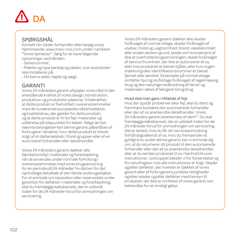

#### SPØRGSMÅL

Kontakt din lokale-forhandler eller besøg vores hjemmeside, www.maxi-cosi.com under rubrikken "Vores tjenester". Sørg for at have følgende oplysninger ved hånden:

- Serienummer;

- Mærke og type køretøj og sæder, som autostolen skal installeres på;

- Dit barns alder, højde og vægt.

#### GARANTI

Vores 24 måneders garanti afspejler vores tillid til den enestående kvalitet af vores design, konstruktion, produktion og produktets ydeevne. Vi bekræfter, at dette produkt er fremstillet i overensstemmelse med de nuværende europæiske sikkerhedskrav og kvalitetskrav, der gælder for dette produkt, og at dette produkt er fri for fejl i materialer og udførelse på tidspunktet for købet. Ifølge de heri nævnte betingelser kan denne garanti påberåbes af forbrugere i landene, hvor dette produkt er blevet solgt af et datterselskab i Dorel-gruppen eller af en autoriseret forhandler eller detailhandler.

Vores 24 måneders garanti dækker alle fabrikationsfeil i materialer og forarbeidning, når de anvendes under normale forhold og i overensstemmelse med vores brugsanvisning for en periode på 24 måneder fra datoen for det oprindelige detailkøb af den første slutbrugerkøber. For at anmode om reparation eller reservedele under garantien for defekter i materialer og forarbejdning, skal du fremlægge købsbeviset, der er udstedt inden for de 24 måneder forud for anmodningen om servicering.

Vores 24 måneders garanti dækker ikke skader forårsaget af normal slitage, skader forårsaget af ulykker, misbrug, uagtsomhed, brand, væskekontakt eller anden ekstern grund, skade som konsekvens af ikke at overholde brugsanvisningen, skade forårsaget af service fra enhver, der ikke er autoriseret af os, eller hvis produktet er blevet stjålet, eller hvis nogen mærkning eller identifikationsnummer er blevet fjernet eller ændret. Eksempler på normal slitage omfatter hjul og stofslitage forårsaget af regelmæssig brug og den naturlige nedbrydning af farver og materialer i løbet af længere tid og brug.

#### Hvad skal man gøre i tilfælde af fejl:

Hvis der opstår problemer eller fejl, skal du først og fremmest kontakte den autoriserede forhandler eller den af os anerkendte detailhandler. Vores 24 måneders garanti anerkendes af dem<sup>(1)</sup>. Du skal fremlægge købsbeviset, der er udstedt inden for de 24 måneder forud for anmodningen om servicering. Det er lettest, hvis du får din serviceanmodning forhåndsgodkendt af os. Hvis du fremsender et gyldigt krav under denne garanti, kan vi anmode dig om, at du returnerer dit produkt til den autoriserede forhandler eller den af os anerkendte detailhandler, eller at du sender produktet til os i henhold til vore instruktioner. I princippet betaler vi for forsendelse og for returfragten, hvis alle instruktioner er fulgt. Skader og/eller defekter, der hverken er dækket af vores garanti eller af forbrugerens juridiske rettigheder og/eller skader og/eller defekter med hensyn til produkter, der ikke er omfattet af vores garanti, kan behandles for et rimeligt gebyr.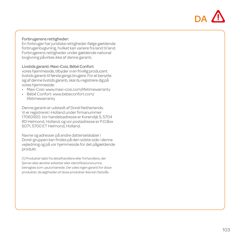

#### Forbrugerens rettigheder:

En forbruger har juridiske rettigheder ifølge gældende forbrugerlovgivning, hvilket kan variere fra land til land. Forbrugerens rettigheder under gældende national lovgivning påvirkes ikke af denne garanti.

#### Livstids garanti: Maxi-Cosi, Bébé Confort

vores hjemmeside, tilbyder vi en frivillig producent livstids garanti til første gangs brugere. For at benytte sig af denne livstids garanti, skal du registrere dig på vores hjemmeside:

- Maxi-Cosi: www.maxi-cosi.com/lifetimewarranty
- Bébé Confort: www.bebeconfort.com/ lifetimewarranty

Denne garanti er udstedt af Dorel Netherlands. Vi er registreret i Holland under firmanummer 17060920. Vor handelsadresse er Korendijk 5, 5704 RD Helmond, Holland, og vor postadresse er P.O.Box 6071, 5700 ET Helmond, Holland.

Navne og adresser på andre datterselskaber i Dorel-gruppen kan findes på den sidste side i denne vejledning og på vor hjemmeside for det pågældende produkt.

(1) Produkter købt fra detailhandlere eller forhandlere, der fierner eller ændrer etiketter eller identifikationsnumre, betragtes som uautoriserede. Der ydes ingen garanti for disse produkter, da ægtheden af disse produkter ikke kan fastslås.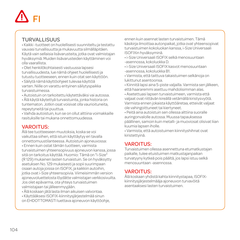# FI

#### TURVALLISUUS

• Kaikki -tuotteet on huolellisesti suunniteltu ja testattu vauvasi turvallisuutta ja mukavuutta silmälläpitäen. Käytä vain sellaisia lisävarusteita, jotka ovat valmistajan hyväksymiä. Muiden lisävarusteiden käyttäminen voi olla vaarallista.

• Olet henkilökohtaisesti vastuussa lapsesi turvallisuudesta, lue nämä ohjeet huolellisesti ja tutustu tuotteeseen, ennen kuin otat sen käyttöön.

• Säilytä nämä käyttöohjeet tulevaa käyttöä varten. Niille on varattu erityinen säilytyspaikka turvaistuimessa.

• Autoistuin on tarkoitettu käytettäväksi vai autossa.

• Älä käytä käytettyä turvaistuinta, jonka historia on tuntematon. Jotkin osat voisivat olla vaurioituneita, repeytyneitä tai puuttua.

• Vaihda autoistuin, kun se on ollut alttiina voimakkaille rasituksille tai mukana onnettomuudessa.

# VAROITUS:

Älä tee tuotteeseen muutoksia, koska se voi vaikuttaa siihen, että istuin käyttäytyy eri tavalla onnettomuustilanteessa. Autoistuin ajoneuvossa:

• Ennen kuin ostat tämän tuotteen, varmista turvaistuimen yhteensopivuus ajoneuvon kanssa, jossa sitä on tarkoitus käyttää. Huomio: Tämä on "i-Size" (R 129) mukainen lasten turvaistuin. Se on hyväksytty asetuksen No. 129 mukaisesti ja sopii suurimpaan osaan autoja joissa on ISOFIX, ja kaikkiin autoihin, jotka ovat i-Size yhteensopivia. Viimeisimmän version ajoneuvoluettelosta löydätte valmistajan verkkosivuilta. Jos olet epävarma, ota yhteys turvaistuimen valmistajaan tai jälleenmyyjään.

- Älä koskaan jätä lasta ilman aikuisen valvontaa.
- Käyttääksesi ISOFIX-kiinnitysjärjestelmää sinun on EHDOTTOMASTI luettava ajoneuvon käyttöohje,

ennen kuin asennat lasten turvaistuimen. Tämä käsikirja ilmoittaa autonpaikat, jotka ovat yhteensopivat turvaistuimen kokoluokan kanssa, i-Size Universaali ISOFIXin hyväksyminä.

• i-Size Universaali ISOFIX selkä menosuuntaan -asennossa, kokoluokka D.

• i-Size Universaali ISOFIX kasvot menosuuntaan -asennossa, kokoluokka B1.

• Varmista, että taittuva takaistuimen selkänoja on lukittunut asentoonsa.

• Kiinnitä lapsi aina 5-piste valjailla. Varmista sen jälkeen, että haararemmi asettuu mahdolisimman alas.

• Asetettuasi lapsen turvaistuimeen, varmista että valjaat ovat riittävän kireällä vetämällä kiristysvyötä. Varmista ennen jokaista käyttöäretaa, etteivät valjaat ole vahingoittuneet tai kiertyneet.

• Peitä aina autoistuin sen ollessa alttiina suoralle auringonvalolle autossa. Muussa tapauksessa päällinen, samoin kuin metalli- ja muoviosat olisivat liian kuumia lapsen iholle.

• Varmista, että autoistuimen kiinnityshihnat ovat kiristettyinä.

# VAROITUS:

Turvaistuimen ollessa asennettuna etumatkustajan paikalle, tulee etuistuimen matkustajanpaikan turvatyyny kytkeä pois päältä, jos lapsi istuu selkä menosuuntaan -asennossa.

### VAROITUS:

Älä koskaan yhdistä kahta kiinnitystapaa, ISOFIXkiinnitysjärjestelmääja ajoneuvon turvavöitä asentaaksesi lasten turvaistuimen.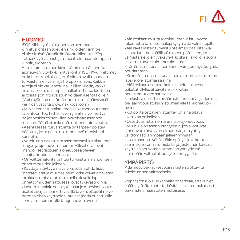

#### HUOMIO:

ISOFIXIN käytössä ajoneuvon alempaan kiinnityskohtaan tulevien sinkilöiden kiinnitys ei ole riittävä. On välttämätöntä kiinnittää <sup>3</sup>Top Tether²-vyö valmistajan suosittelemaan ylempään kiinnityskohtaan.

Autoistuin-istuimen kiinnittäminen lisähihnoilla ajoneuvon ISOFIX-kiinnityskohtiin ISOFIX-kiinnittimet on kehitetty sellaisiksi, että niiden avulla saadaan turvaistuimen varma ja helppo kiinnitys. Kaikkia autoja ei ole varustettu näillä kiinnikkeillä, vaikka ne on vakioitu uusimpiin malleihin. Katso luetteloa autoista, joihin turvaistuin voidaan asentaa oikein (Voit myös katsoa tämän luettelon lisäpäivityksiä verkkosivustolta www.maxi-cosi.com).

• Kun asennat turvaistuimen selkä menosuuntaan -asentoon, top tether -vyön ylähihna voi kiertyä neljänneskierroksen kiinnityskohdan asennon mukaan. Tämä ei heikennä tuotteen toimivuutta.

• Asentaessasi turvaistuinta on tarpeen poistaa pääntuki, jotta pään top tether -vyö menisi läpi kunnolla.

• Varoitus: turvaistuinta asentaessasi autoistuimen rungon ja ajoneuvon istuimen väliset erot ovat mahdolliset riippuen ajoneuvossa olevien kiinnityskohtien asennosta.

• On välttämätöntä vaihtaa turvaistuin mahdollisen onnettomuuden jälkeen.

• Käyttäjän täytyy aina valvoa, että mahdolliset matkatavarat ja muut esineet, jotka voivat aiheuttaa loukkaantumisia autoistuimella olevalle lapselle onnettomuuden sattuessa, ovat tukevasti kiinni.

• Lasten turvalaitteen jäykät osat ja muoviset osat on asetettava ja asennettava sillä tavoin, etteivät ne voi normaaleissa käyttöolosuhteissa jäädä puristuksiin liikkuvan istuimen alle tai ajoneuvon oveen.

• Älä koskaan muuta autoistuimen ja istuinvyön rakennetta tai materiaaleja kysymättä valmistajalta.

• Älä käytä lasten turvaistuinta ilman päällistä. Älä vaihda istuimen päällistä toiseen päälliseen, jota valmistaja ei ole hyväksynyt, koska sillä voi olla suora vaikutus turvaistuiment toimintaan.

• Tämä lasten turvaistuin toimii vain, jos käyttöohjeita noudatetaan.

• Kiinnitä aina lasten turvaistuin autoon, silloinkin kun lapsi ei ole istumassa siinä.

• Älä koskaan aseta raskaita esineitä takaosan pakettihyllylle, etteivät ne sinkoutuisi onnettomuuden sattuessa.

• Tarkista aina, ettei mikään istuimen tai valjaiden osa ole jäänyt puristuksiin istuimen alle tai ajoneuvon oveen.

• Kokoontaitettavien istuinten on aina oltava lukittuina paikalleen.

• Ostettuasi istuimen asenna se ajoneuvoosi. Jos sinulla on asennusongelmia, jotka johtuvat ajoneuvon turvavyön pituudesta, ota yhteys välittömästi lähimpään jälleenmyyjään.

• Jos ilmaantuu vähäistäkin epäilyä, joka koskee asennuksen onnistumista tai järjestelmän käyttöä, käyttäjää neuvotaan ottamaan yhteydessä lähimpään valtuutettuun jälleenmyyjään.

### YMPÄRISTÖ

Pidä muovipakkaukset poissa lasten ulottuvilta tukehtumisen välttämiseksi.

Ympäristönsuojelun kannalta on tärkeää, että kun et enää käytä tätä tuotetta, hävität sen asianmukaisesti paikallisten määräysten mukaisesti.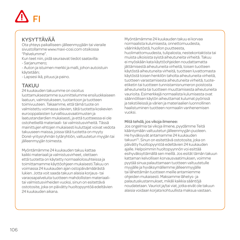# FI

# KYSYTTÄVÄÄ

Ota yhteys paikalliseen-jälleenmyyjään tai vieraile sivustollamme www.maxi-cosi.com otsikossa "Palvelumme".

Kun teet niin, pidä seuraavat tiedot saatavilla:

- Sarjanumero;

- Auton ja istuimen merkki ja malli, johon autoistuin käytetään;

- Lapsesi ikä, pituus ja paino.

# **TAKUU**

24 kuukauden takuumme on osoitus luottamuksestamme suunnittelumme ensiluokkaiseen laatuun, valmistukseen, tuotantoon ja tuotteen toimivuuteen. Takaamme, että tämä tuote on valmistettu voimassa olevien, tätä tuotetta koskevien eurooppalaisten turvallisuusvaatimusten ja laatustandardien mukaisesti, ja että tuotteessa ei ole ostohetkellä materiaali- tai valmistusvirheitä. Tässä mainittujen ehtojen mukaisesti kuluttajat voivat vedota takuuseen maissa, joissa tätä tuotetta on myyty Dorel-yritysryhmän tytäryhtiön, valtuutetun myyjän tai jälleenmyyjän toimesta.

Myöntämämme 24 kuukauden takuu kattaa kaikki materiaali ja valmistusvirheet, olettaen että tuotetta on käytetty normaaliolosuhteissa ja toimittamamme käyttöohjeen mukaisesti.Takuu on voimassa 24 kuukauden ajan ostopäivämäärästä lukien. Jotta voit saada takuun alaisia korjaus- tai varaosapalveluita tuotteen mahdollisten materiaalitai valmistusvirheiden vuoksi, sinun on esitettävä ostotosite, joka on päivätty huoltopyyntöä edeltävien 24 kuukauden aikana.

Myöntämämme 24 kuukauden takuu ei korvaa normaalista kulumisesta, onnettomuudesta, väärinkäytöstä, huollon puutteesta, huolimattomuudesta, tulipalosta, nestekontaktista tai muista ulkoisista syistä aiheutuneita virheitä. Takuu ei myöskään kata käyttöohjeiden noudattamatta jättämisestä aiheutuneita virheitä, toisen tuotteen käytöstä aiheutuneita virheitä, tuotteen luvattomasta käytöstä toisen henkilön taholta aiheutuneita virheitä, tuotteen varastamisesta aiheutuneita virheitä, tuoteetiketin tai tuotteen tunnistamisnumeron poistosta aiheutuneita tai tuotteen muuttamisesta aiheutuneita vaurioita. Esimerkkejä normaalista kulumisesta ovat säännöllisen käytön aiheuttamat kulumat pyörissä ja tekstiileissä ja värien ja materiaalien luonnollinen haalistuminen tuotteen normaalin vanhenemisen vuoksi.

#### Mitä tehdä, jos vikoja ilmenee:

Jos ongelmia tai vikoja ilmene, pyydämme Teitä kääntymään valtuutetun jälleenmyyjän puoleen. He hyväksyvät antamamme 24 kuukauden takuun(1). Sinun on esitettävä ostotosite, joka on päivätty huoltopyyntöä edeltävien 24 kuukauden ajalle. Helpoimmin huoltopyynnön voi esittää esihyväksyttämällä sen meillä. Jos esität tämän takuun kattaman kelvollisen korvausvaatimuksen, voimme pyytää sinua palauttamaan tuotteen valtuutetulle myyjälle ja hyväksymällemme jälleenmyyjälle tai lähettämän tuotteen meille antamiemme ohjeiden mukaisesti. Maksamme lähetys- ja palautuskustannukset, mikäli kaikkia sääntöjä noudatetaan. Vauriot ja/tai viat, jotka eivät ole takuun alaisia voidaan korjata kohtuullista maksua vastaan.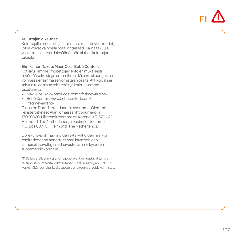

#### Kuluttajan oikeudet:

Kuluttajalla on kuluttajasuojalaissa määriteyt oikeudet, jotka voivat vaihdella maakohtaisesti. Tämä takuu ei vaikuta kansallisen lainsäädännön alaisiin kuluttajan oikeuksiin.

#### Elinikäinen Takuu: Maxi-Cosi, Bébé Confort

Kotisivuillamme ilmoitettujen ehtojen mukaisesti myöntää valmistaja tuotteelle elinikäinen takuun, joka on voimassa ensimmäisen omistajan osalta. Aktivoidaksesi takuun tulee sinun rekisteröityä kotisivuilamme osoitteessa:

- Maxi-Cosi: www.maxi-cosi.com/lifetimewarranty
- Bébé Confort: www.bebeconfort.com/ lifetimewarranty

Takuu on Dorel Netherlandsin asettama. Olemme rekisteröityneet Alankomaissa yhtiönumerolla 17060920. Liikeosoitteemme on Korendijk 5, 5704 RD Helmond, The Netherlands ja postiosoitteemme P.O. Bos 6071 ET Helmond, The Netherlands.

Dorel-yritysryhmän muiden tytäryhtiöiden nimi- ja osoitetiedot on annettu tämän käyttöohjeen viimeisellä sivulla ja nettisivustollamme kyseisen tuotemerkin kohdalla.

(1) Sellaisia jälleenmyyjiä, jotka poistavat tai muuttavat tarroja tai tunnistenumeroita, ei katsota valtuutetuiksi myyjiksi. Takuu ei koske näitä tuotteita, koska tuotteiden aitoutta ei voida varmistaa.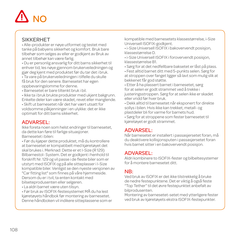# NO

#### **SIKKERHET**

• Alle-produkter er nøye utformet og testet med tanke på babyens sikkerhet og komfort. Bruk bare tilbehør som selges av eller er godkjent av Bruk av annet tilbehør kan være farlig.

• Du er personlig ansvarlig for ditt barns sikkerhet til enhver tid, les nøye gjennom brukerveiledningen og gjør deg kjent med produktet før du tar det i bruk.

• Ta vare på brukerveiledningen i tilfelle du skulle få bruk for den senere. Barnesetet har egen oppbevaringslomme for denne.

• Barnesetet er bare tiltenkt bruk i bil.

• Ikke ta i bruk brukte produkter med ukjent bakgrunn. Enkelte deler kan være skadet, revet eller manglende.

• Skift ut barnesetet når det har vært utsatt for voldsomme påkjenninger i en ulykke: det er ikke optimalt for ditt barns sikkerhet.

#### ADVARSEL:

Ikke foreta noen som helst endringer til barnesetet, da dette kan føre til farlige situasjoner. Barnesetet i bilen:

• Før du kjøper dette produktet, må du kontrollere at barnesetet er kompatibelt med kjøretøyet det skal brukes i. Merknad: Dette er et I-Size (R 129) Bilbarnestol- System. Det er godkjent i henhold til forskrift Nr. 129 og vil passe i de fleste biler som er utstyrt med ISOFIX og på alle sitteplasser i I-Size kompatible biler. Venligst se den nyeste versjonen av "Car fitting list" som finnes på våre hjemmeside. Dersom du er i tvil, ta enten kontakt med bilseteprodusenten eller selgeren.

• La aldri barnet være uten tilsyn.

• Før bruk av ISOFIX-festesystemet MÅ du ha lest kjøretøyets håndbok før montering av barnesetet. Denne håndboken vil indikere sitteplassene som er kompatible med barnesetets klassestørrelse, i-Size Universell ISOFIX-godkjent.

• i-Size Universell ISOFIX i bakovervendt posisjon, klassestørrelse D.

• i-Size Universell ISOFIX i forovervendt posisjon, klassestørrelse B1.

• Sørg for at det nedfellbare baksetet er låst på plass.

• Fest alltid barnet ditt med 5-punkts selen. Sørg for at stroppen over fanget ligger så lavt som mulig slik at bekkenet får god støtte.

• Etter å ha plassert barnet i barnesetet, sørg for at selen er godt strammet ved å trekke i justeringsstroppen. Sørg for at selen ikke er skadet eller vridd før hver bruk.

• Dekk alltid til barnesetet når eksponert for direkte sollys i bilen. Hvis ikke kan trekket, metall- og plastdeler bli for varme for barnets hud.

• Sørg for at stroppene som fester barnesetet til kjøretøyet er godt strammet.

#### ADVARSEL:

Når barnesetet er installert i passasjersetet foran, må du deaktivere kollisjonsputen i passasjersetet foran hvis barnet sitter i en bakovervendt posisjon.

#### ADVARSEL:

Aldri kombinere to ISOFIX-fester og bilbeltesystemer for å montere barnesetet ditt.

### NB:

Ved bruk av ISOFIX er det ikke tilstrekkelig å bruke de nedre festepunktene. Det er viktig å også feste "Top Tether" til det øvre festepunktet anbefalt av bilprodusenten.

Montering av barnesetet-setet med ytterligere fester ved bruk av kjøretøyets ekstra ISOFIX-festepunkter.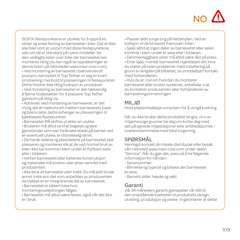

ISOFIX-festepunktene er utviklet for å oppnå en sikker og enkel festing av barneseter i biler. Det er ikke alle biler som er utstyrt med disse festepunktene, selv om de er standard på nyere modeller. Se den vedlagte listen over biler der barnesetet kan monteres riktig (du kan også se oppdateringer av denne listen på nettstedet www.maxi-cosi.com)

• Ved montering av barnesetet i bakovervendt posisjon, kan beltet til Top Tether vri seg en kvart omdreining i henhold til plasseringen til festepunktet. Dette hindrer ikke riktig funksjon av produktet. • Ved montering av barnesetet er det nødvendig

å fjerne hodestøtten for å plassere Top Tether gjennom på riktig vis.

• Advarsel: ved montering av barnesetet, er det mulig der er mellomrom mellom barnesetets base og bilens sete, dette avhenger av plasseringen til kjøretøyets festepunkter.

• Barnesetet MÅ skiftes ut etter en ulykke.

• Brukeren må alltid se til at bagasje og løse

gjenstander som kan forårsake skade på barnet ved en eventuell ulykke, er tilstrekkelig sikret.

• De harde delene og plastdelene på barnesetet skal plasseres og monteres slik at de ved normal bruk av bilen ikke kan komme i klem under et flyttbart sete eller i bildøren.

• Verken barnesetet eller beltenes konstruksjon og materialer må endres uten etter samråd med produsenten.

• Ikke bruk et barnesete uten trekk. Du må aldri bruke annet trekk enn det som anbefales av produsenten da trekket er en integrerende del av barnesetet.

• Barnesetet er sikkert bare hvis

monteringsveiledningen følges.

• Barnesetet må alltid være festet, også når det ikke er i bruk.

- Plasser aldri tunge ting på hattehyllen. Ved en kollisjon vil de bli kastet framover i bilen.
- Sjekk alltid at ingen deler av barnesetet eller selen kommer i klem under et sete eller i bildøren.
- Sammenleggbare seter må alltid være låst på plass.
- Etter kjøp, monter barnesetet i kjøretøyet ditt.Hvis du støter på noen problemer med installering på grunn av lengden på bilbeltet, ta umiddelbart kontakt med forhandleren.

• Hvis du er i tvil om hvordan du monterer barnesetet eller bruker systemet, anbefaler vi at du kontakter produsenten eller forhandleren av barnesikringsinnretningen.

## MILJØ

Hold plastemballasje unna barn for å unngå kvelning.

Når du ikke bruker dette produktet lengre, vil vi av miljømessige grunner be deg om kvitte deg med det på egnede miljøstasjoner eller avfallsdeponier, i overensstemmelse med lokal lovgivning.

# SPØRSMÅL

Vennligst kontakt din lokale-distributør eller besøk vårt nettsted www.maxi-cosi.com under delen "Service". Når du gjør det, pass på å ha følgende informasjon for hånden:

- Serienummer;

- Bilmerke og type bil og bilsete der barnesetet brukes;

- Barnets alder, høyde og vekt.

### Garanti

Vår 24 måneders garanti gjenspeiler vår tillit til den enestående kvaliteten til produktets design, utvikling, produksjon og ytelse. Vi garanterer at dette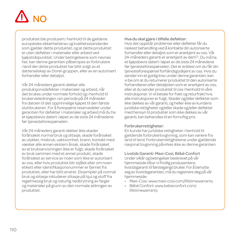

produktet ble produsert i henhold til de gjeldene europeiske sikkerhetskrav og kvalitetsstandarder som gjelder dette produktet, og at dette produktet er uten defekter i materialer eller arbeid ved kjøpstidspunktet. Under betingelsene som nevnes her, kan denne garantien påberopes av forbrukere i land der dette produktet har blitt solgt av et datterselskap av Dorel-gruppen, eller av en autorisert forhandler eller detaljist.

Vår 24 måneders garanti dekker alle produksjonsdefekter i materialer og arbeid, når det brukes under normale forhold og i henhold til brukerveiledningen i en periode på 24 måneder fra datoen til det opprinnelige kjøpet til den første sluttbrukeren. For å forespørre reservedeler under garantien for defekter i materialer og arbeid må du ha et kjøpsbevis datert i løpet av de siste 24 månedene før tienesteforespørselen.

Vår 24 måneders garanti dekker ikke skader forårsaket normal bruk og slitasje, skade forårsaket av ulykker, misbruk, uaktsomhet, brann, kontakt med væsker alle annen ekstern årsak, skade forårsaket av at bruksanvisningen ikke er fulgt, skade forårsaket av bruk sammen med et annet produkt, skade forårsaket av service av noen som ikke er autorisert av oss, eller hvis produktet blir stjålet eller om noen etikett eller identifikasjonsnummer er fjernet fra produktet, eller har blitt endret. Eksempler på normal bruk og slitasje inkluderer slitasje på hjul og stoff fra regelmessig bruk og naturlig nedbrytning av farger og materialer på grunn av den normale aldringen av produktet.

#### Hva du skal gjøre i tilfelle defekter:

Hvis det oppstår problemer eller defekter får du raskest behandling ved å kontakte din autoriserte forhandler eller detaljist som er anerkjent av oss. Vår 24-måneders garanti er anerkjent av dem(1). Du må ha et kjøpsbevis datert i løpet av de siste 24 månedene før tjenesteforespørselen. Det er enklest om du får din tjenesteforespørsel forhåndsgodkjent av oss. Hvis du sender inn et gyldig krav under denne garantien, kan vi be om at du returnerer produktet til den autoriserte forhandleren eller detaljisten som er anerkjent av oss, eller at du sender produktet til oss i henhold til våre instruksjoner. Vi vil betale for frakt og returfrakt hvis alle instruksjoner er fulgt. Skader og/eller defekter som ikke dekkes av vår garanti, og heller ikke av kundens juridiske rettigheter og/eller skade og/eller defekter med hensyn til produkter som ikke dekkes av vår garanti, kan behandles til en fornuftig pris.

#### Forbrukerrettigheter:

En kunde har juridiske rettigheter i henhold til gjeldende forbrukerlovgivning, som kan variere fra land til land. Forbrukerrettighetene under gjeldende nasjonal lovgivning påvirkes ikke av denne garantien.

Livstids Garanti: Maxi-Cosi, Bébé Confort Under vilkår og betingelser beskrevet på vår hjemmeside tilbyr vi frivillig produsentens livstidsgaranti til førstegangs bruker. For å benytte seg av livstidsgarantien, må du registrere deg på vår hjemmeside:

- Maxi-Cosi: www.maxi-cosi.com/lifetimewarranty
- Bébé Confort: www.bebeconfort.com/ lifetimewarranty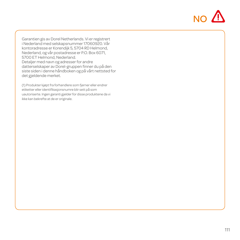

Garantien gis av Dorel Netherlands. Vi er registrert i Nederland med selskapsnummer 17060920. Vår kontoradresse er Korendijk 5, 5704 RD Helmond, Nederland, og vår postadresse er P.O. Box 6071, 5700 ET Helmond, Nederland. Detaljer med navn og adresser for andre datterselskaper av Dorel-gruppen finner du på den siste siden i denne håndboken og på vårt nettsted for det gjeldende merket.

(1) Produkter kjøpt fra forhandlere som fjerner eller endrer etiketter eller identifikasjonsnumre blir sett på som uautoriserte. Ingen garanti gjelder for disse produktene da vi ikke kan bekrefte at de er originale.